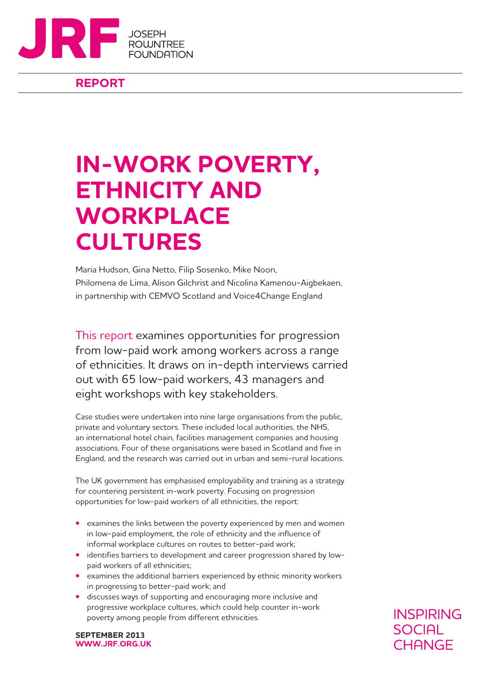

## **REPORT**

# **IN-WORK POVERTY, ETHNICITY AND WORKPLACE CULTURES**

Maria Hudson, Gina Netto, Filip Sosenko, Mike Noon, Philomena de Lima, Alison Gilchrist and Nicolina Kamenou-Aigbekaen, in partnership with CEMVO Scotland and Voice4Change England

This report examines opportunities for progression from low-paid work among workers across a range of ethnicities. It draws on in-depth interviews carried out with 65 low-paid workers, 43 managers and eight workshops with key stakeholders.

Case studies were undertaken into nine large organisations from the public, private and voluntary sectors. These included local authorities, the NHS, an international hotel chain, facilities management companies and housing associations. Four of these organisations were based in Scotland and five in England, and the research was carried out in urban and semi-rural locations.

The UK government has emphasised employability and training as a strategy for countering persistent in-work poverty. Focusing on progression opportunities for low-paid workers of all ethnicities, the report:

- examines the links between the poverty experienced by men and women in low-paid employment, the role of ethnicity and the influence of informal workplace cultures on routes to better-paid work;
- identifies barriers to development and career progression shared by lowpaid workers of all ethnicities;
- **•** examines the additional barriers experienced by ethnic minority workers in progressing to better-paid work; and
- **•** discusses ways of supporting and encouraging more inclusive and progressive workplace cultures, which could help counter in-work poverty among people from different ethnicities.

**INSPIRING SOCIAL** CHANGE

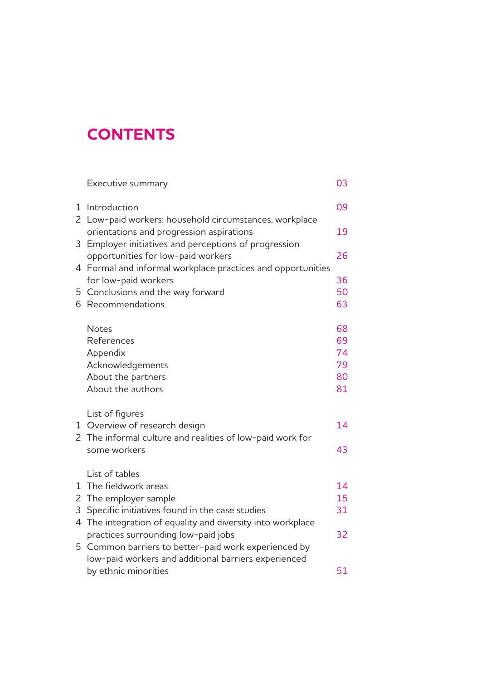## **CONTENTS**

|    | Executive summary                                           | 03 |
|----|-------------------------------------------------------------|----|
| 1  | Introduction                                                | 09 |
|    | 2 Low-paid workers: household circumstances, workplace      |    |
|    | orientations and progression aspirations                    | 19 |
| 3  | Employer initiatives and perceptions of progression         |    |
|    | opportunities for low-paid workers                          | 26 |
|    | 4 Formal and informal workplace practices and opportunities |    |
|    | for low-paid workers                                        | 36 |
|    | 5 Conclusions and the way forward                           | 50 |
| 6. | Recommendations                                             | 63 |
|    | <b>Notes</b>                                                | 68 |
|    | References                                                  | 69 |
|    | Appendix                                                    | 74 |
|    | Acknowledgements                                            | 79 |
|    | About the partners                                          | 80 |
|    | About the authors                                           | 81 |
|    | List of figures                                             |    |
|    | 1 Overview of research design                               | 14 |
|    | 2 The informal culture and realities of low-paid work for   |    |
|    | some workers                                                | 43 |
|    | List of tables                                              |    |
| 1  | The fieldwork areas                                         | 14 |
|    | 2 The employer sample                                       | 15 |
| 3  | Specific initiatives found in the case studies              | 31 |
| 4  | The integration of equality and diversity into workplace    |    |
|    | practices surrounding low-paid jobs                         | 32 |
| 5  | Common barriers to better-paid work experienced by          |    |
|    | low-paid workers and additional barriers experienced        |    |
|    | by ethnic minorities                                        | 51 |
|    |                                                             |    |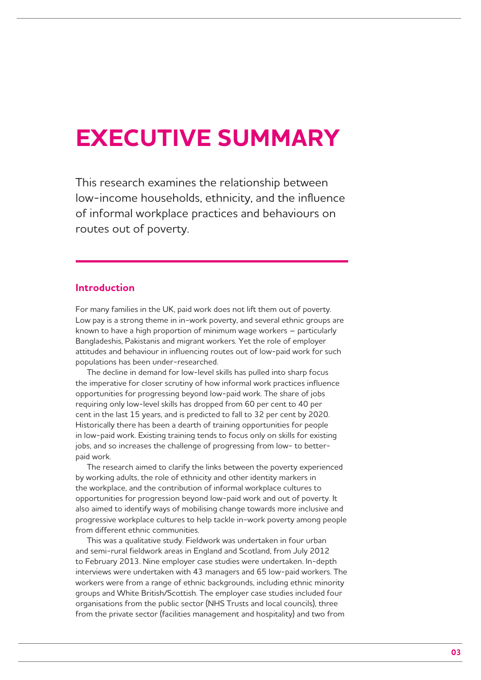# **EXECUTIVE SUMMARY**

This research examines the relationship between low-income households, ethnicity, and the influence of informal workplace practices and behaviours on routes out of poverty.

## **Introduction**

For many families in the UK, paid work does not lift them out of poverty. Low pay is a strong theme in in-work poverty, and several ethnic groups are known to have a high proportion of minimum wage workers – particularly Bangladeshis, Pakistanis and migrant workers. Yet the role of employer attitudes and behaviour in influencing routes out of low-paid work for such populations has been under-researched.

The decline in demand for low-level skills has pulled into sharp focus the imperative for closer scrutiny of how informal work practices influence opportunities for progressing beyond low-paid work. The share of jobs requiring only low-level skills has dropped from 60 per cent to 40 per cent in the last 15 years, and is predicted to fall to 32 per cent by 2020. Historically there has been a dearth of training opportunities for people in low-paid work. Existing training tends to focus only on skills for existing jobs, and so increases the challenge of progressing from low- to betterpaid work.

The research aimed to clarify the links between the poverty experienced by working adults, the role of ethnicity and other identity markers in the workplace, and the contribution of informal workplace cultures to opportunities for progression beyond low-paid work and out of poverty. It also aimed to identify ways of mobilising change towards more inclusive and progressive workplace cultures to help tackle in-work poverty among people from different ethnic communities.

This was a qualitative study. Fieldwork was undertaken in four urban and semi-rural fieldwork areas in England and Scotland, from July 2012 to February 2013. Nine employer case studies were undertaken. In-depth interviews were undertaken with 43 managers and 65 low-paid workers. The workers were from a range of ethnic backgrounds, including ethnic minority groups and White British/Scottish. The employer case studies included four organisations from the public sector (NHS Trusts and local councils), three from the private sector (facilities management and hospitality) and two from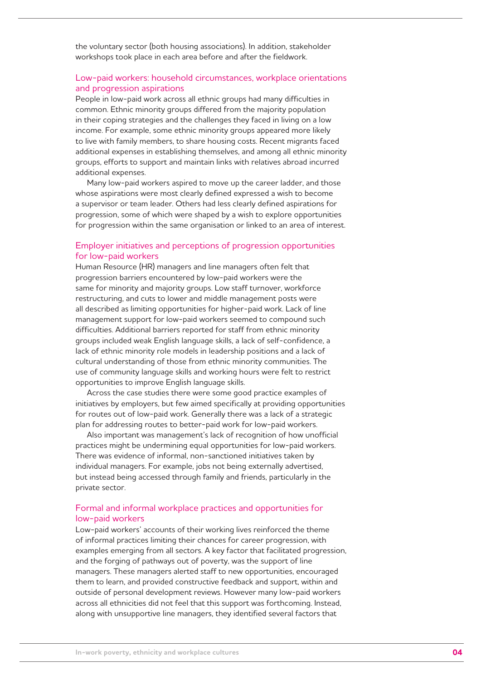the voluntary sector (both housing associations). In addition, stakeholder workshops took place in each area before and after the fieldwork.

## Low-paid workers: household circumstances, workplace orientations and progression aspirations

People in low-paid work across all ethnic groups had many difficulties in common. Ethnic minority groups differed from the majority population in their coping strategies and the challenges they faced in living on a low income. For example, some ethnic minority groups appeared more likely to live with family members, to share housing costs. Recent migrants faced additional expenses in establishing themselves, and among all ethnic minority groups, efforts to support and maintain links with relatives abroad incurred additional expenses.

Many low-paid workers aspired to move up the career ladder, and those whose aspirations were most clearly defined expressed a wish to become a supervisor or team leader. Others had less clearly defined aspirations for progression, some of which were shaped by a wish to explore opportunities for progression within the same organisation or linked to an area of interest.

#### Employer initiatives and perceptions of progression opportunities for low-paid workers

Human Resource (HR) managers and line managers often felt that progression barriers encountered by low-paid workers were the same for minority and majority groups. Low staff turnover, workforce restructuring, and cuts to lower and middle management posts were all described as limiting opportunities for higher-paid work. Lack of line management support for low-paid workers seemed to compound such difficulties. Additional barriers reported for staff from ethnic minority groups included weak English language skills, a lack of self-confidence, a lack of ethnic minority role models in leadership positions and a lack of cultural understanding of those from ethnic minority communities. The use of community language skills and working hours were felt to restrict opportunities to improve English language skills.

Across the case studies there were some good practice examples of initiatives by employers, but few aimed specifically at providing opportunities for routes out of low-paid work. Generally there was a lack of a strategic plan for addressing routes to better-paid work for low-paid workers.

Also important was management's lack of recognition of how unofficial practices might be undermining equal opportunities for low-paid workers. There was evidence of informal, non-sanctioned initiatives taken by individual managers. For example, jobs not being externally advertised, but instead being accessed through family and friends, particularly in the private sector.

## Formal and informal workplace practices and opportunities for low-paid workers

Low-paid workers' accounts of their working lives reinforced the theme of informal practices limiting their chances for career progression, with examples emerging from all sectors. A key factor that facilitated progression, and the forging of pathways out of poverty, was the support of line managers. These managers alerted staff to new opportunities, encouraged them to learn, and provided constructive feedback and support, within and outside of personal development reviews. However many low-paid workers across all ethnicities did not feel that this support was forthcoming. Instead, along with unsupportive line managers, they identified several factors that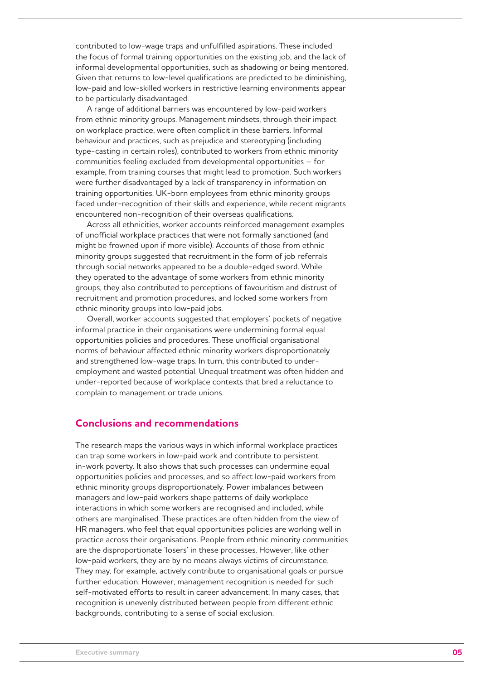contributed to low-wage traps and unfulfilled aspirations. These included the focus of formal training opportunities on the existing job; and the lack of informal developmental opportunities, such as shadowing or being mentored. Given that returns to low-level qualifications are predicted to be diminishing, low-paid and low-skilled workers in restrictive learning environments appear to be particularly disadvantaged.

A range of additional barriers was encountered by low-paid workers from ethnic minority groups. Management mindsets, through their impact on workplace practice, were often complicit in these barriers. Informal behaviour and practices, such as prejudice and stereotyping (including type-casting in certain roles), contributed to workers from ethnic minority communities feeling excluded from developmental opportunities – for example, from training courses that might lead to promotion. Such workers were further disadvantaged by a lack of transparency in information on training opportunities. UK-born employees from ethnic minority groups faced under-recognition of their skills and experience, while recent migrants encountered non-recognition of their overseas qualifications.

Across all ethnicities, worker accounts reinforced management examples of unofficial workplace practices that were not formally sanctioned (and might be frowned upon if more visible). Accounts of those from ethnic minority groups suggested that recruitment in the form of job referrals through social networks appeared to be a double-edged sword. While they operated to the advantage of some workers from ethnic minority groups, they also contributed to perceptions of favouritism and distrust of recruitment and promotion procedures, and locked some workers from ethnic minority groups into low-paid jobs.

Overall, worker accounts suggested that employers' pockets of negative informal practice in their organisations were undermining formal equal opportunities policies and procedures. These unofficial organisational norms of behaviour affected ethnic minority workers disproportionately and strengthened low-wage traps. In turn, this contributed to underemployment and wasted potential. Unequal treatment was often hidden and under-reported because of workplace contexts that bred a reluctance to complain to management or trade unions.

## **Conclusions and recommendations**

The research maps the various ways in which informal workplace practices can trap some workers in low-paid work and contribute to persistent in-work poverty. It also shows that such processes can undermine equal opportunities policies and processes, and so affect low-paid workers from ethnic minority groups disproportionately. Power imbalances between managers and low-paid workers shape patterns of daily workplace interactions in which some workers are recognised and included, while others are marginalised. These practices are often hidden from the view of HR managers, who feel that equal opportunities policies are working well in practice across their organisations. People from ethnic minority communities are the disproportionate 'losers' in these processes. However, like other low-paid workers, they are by no means always victims of circumstance. They may, for example, actively contribute to organisational goals or pursue further education. However, management recognition is needed for such self-motivated efforts to result in career advancement. In many cases, that recognition is unevenly distributed between people from different ethnic backgrounds, contributing to a sense of social exclusion.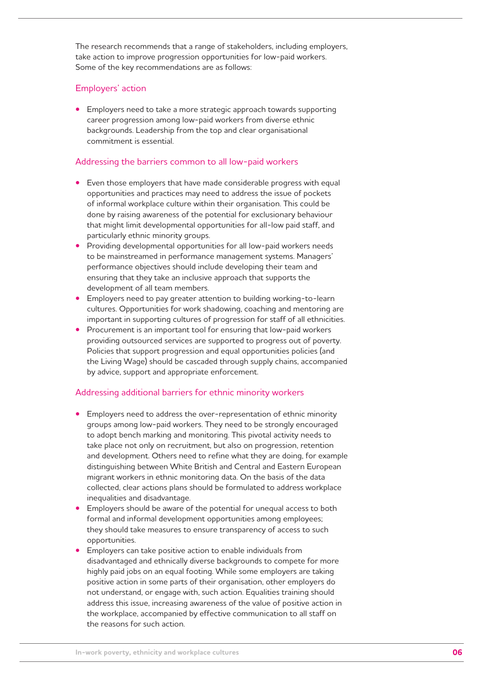The research recommends that a range of stakeholders, including employers, take action to improve progression opportunities for low-paid workers. Some of the key recommendations are as follows:

## Employers' action

**•** Employers need to take a more strategic approach towards supporting career progression among low-paid workers from diverse ethnic backgrounds. Leadership from the top and clear organisational commitment is essential.

## Addressing the barriers common to all low-paid workers

- Even those employers that have made considerable progress with equal opportunities and practices may need to address the issue of pockets of informal workplace culture within their organisation. This could be done by raising awareness of the potential for exclusionary behaviour that might limit developmental opportunities for all-low paid staff, and particularly ethnic minority groups.
- **•**  Providing developmental opportunities for all low-paid workers needs to be mainstreamed in performance management systems. Managers' performance objectives should include developing their team and ensuring that they take an inclusive approach that supports the development of all team members.
- Employers need to pay greater attention to building working-to-learn cultures. Opportunities for work shadowing, coaching and mentoring are important in supporting cultures of progression for staff of all ethnicities.
- **•** Procurement is an important tool for ensuring that low-paid workers providing outsourced services are supported to progress out of poverty. Policies that support progression and equal opportunities policies (and the Living Wage) should be cascaded through supply chains, accompanied by advice, support and appropriate enforcement.

## Addressing additional barriers for ethnic minority workers

- Employers need to address the over-representation of ethnic minority groups among low-paid workers. They need to be strongly encouraged to adopt bench marking and monitoring. This pivotal activity needs to take place not only on recruitment, but also on progression, retention and development. Others need to refine what they are doing, for example distinguishing between White British and Central and Eastern European migrant workers in ethnic monitoring data. On the basis of the data collected, clear actions plans should be formulated to address workplace inequalities and disadvantage.
- Employers should be aware of the potential for unequal access to both formal and informal development opportunities among employees; they should take measures to ensure transparency of access to such opportunities.
- Employers can take positive action to enable individuals from disadvantaged and ethnically diverse backgrounds to compete for more highly paid jobs on an equal footing. While some employers are taking positive action in some parts of their organisation, other employers do not understand, or engage with, such action. Equalities training should address this issue, increasing awareness of the value of positive action in the workplace, accompanied by effective communication to all staff on the reasons for such action.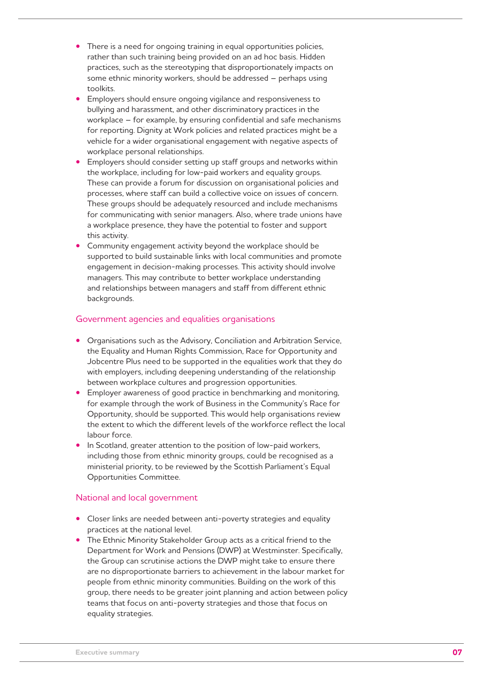- There is a need for ongoing training in equal opportunities policies, rather than such training being provided on an ad hoc basis. Hidden practices, such as the stereotyping that disproportionately impacts on some ethnic minority workers, should be addressed – perhaps using toolkits.
- Employers should ensure ongoing vigilance and responsiveness to bullying and harassment, and other discriminatory practices in the workplace – for example, by ensuring confidential and safe mechanisms for reporting. Dignity at Work policies and related practices might be a vehicle for a wider organisational engagement with negative aspects of workplace personal relationships.
- Employers should consider setting up staff groups and networks within the workplace, including for low-paid workers and equality groups. These can provide a forum for discussion on organisational policies and processes, where staff can build a collective voice on issues of concern. These groups should be adequately resourced and include mechanisms for communicating with senior managers. Also, where trade unions have a workplace presence, they have the potential to foster and support this activity.
- Community engagement activity beyond the workplace should be supported to build sustainable links with local communities and promote engagement in decision-making processes. This activity should involve managers. This may contribute to better workplace understanding and relationships between managers and staff from different ethnic backgrounds.

## Government agencies and equalities organisations

- **Organisations such as the Advisory, Conciliation and Arbitration Service,** the Equality and Human Rights Commission, Race for Opportunity and Jobcentre Plus need to be supported in the equalities work that they do with employers, including deepening understanding of the relationship between workplace cultures and progression opportunities.
- Employer awareness of good practice in benchmarking and monitoring, for example through the work of Business in the Community's Race for Opportunity, should be supported. This would help organisations review the extent to which the different levels of the workforce reflect the local labour force.
- In Scotland, greater attention to the position of low-paid workers, including those from ethnic minority groups, could be recognised as a ministerial priority, to be reviewed by the Scottish Parliament's Equal Opportunities Committee.

## National and local government

- **•** Closer links are needed between anti-poverty strategies and equality practices at the national level.
- The Ethnic Minority Stakeholder Group acts as a critical friend to the Department for Work and Pensions (DWP) at Westminster. Specifically, the Group can scrutinise actions the DWP might take to ensure there are no disproportionate barriers to achievement in the labour market for people from ethnic minority communities. Building on the work of this group, there needs to be greater joint planning and action between policy teams that focus on anti-poverty strategies and those that focus on equality strategies.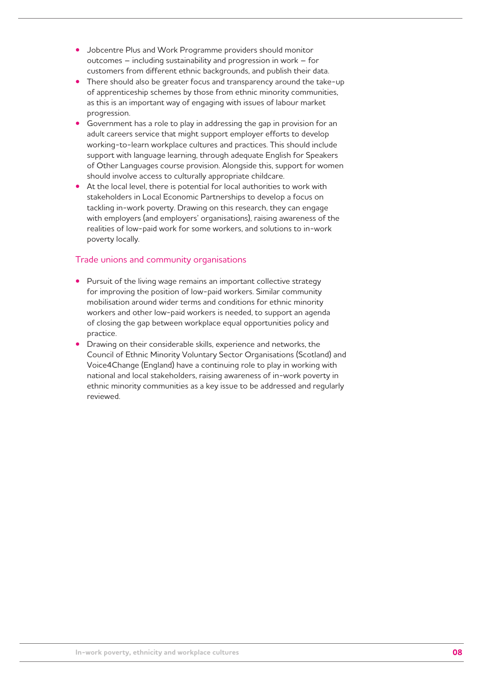- **•**  Jobcentre Plus and Work Programme providers should monitor outcomes – including sustainability and progression in work – for customers from different ethnic backgrounds, and publish their data.
- There should also be greater focus and transparency around the take-up of apprenticeship schemes by those from ethnic minority communities, as this is an important way of engaging with issues of labour market progression.
- Government has a role to play in addressing the gap in provision for an adult careers service that might support employer efforts to develop working-to-learn workplace cultures and practices. This should include support with language learning, through adequate English for Speakers of Other Languages course provision. Alongside this, support for women should involve access to culturally appropriate childcare.
- At the local level, there is potential for local authorities to work with stakeholders in Local Economic Partnerships to develop a focus on tackling in-work poverty. Drawing on this research, they can engage with employers (and employers' organisations), raising awareness of the realities of low-paid work for some workers, and solutions to in-work poverty locally.

## Trade unions and community organisations

- Pursuit of the living wage remains an important collective strategy for improving the position of low-paid workers. Similar community mobilisation around wider terms and conditions for ethnic minority workers and other low-paid workers is needed, to support an agenda of closing the gap between workplace equal opportunities policy and practice.
- Drawing on their considerable skills, experience and networks, the Council of Ethnic Minority Voluntary Sector Organisations (Scotland) and Voice4Change (England) have a continuing role to play in working with national and local stakeholders, raising awareness of in-work poverty in ethnic minority communities as a key issue to be addressed and regularly reviewed.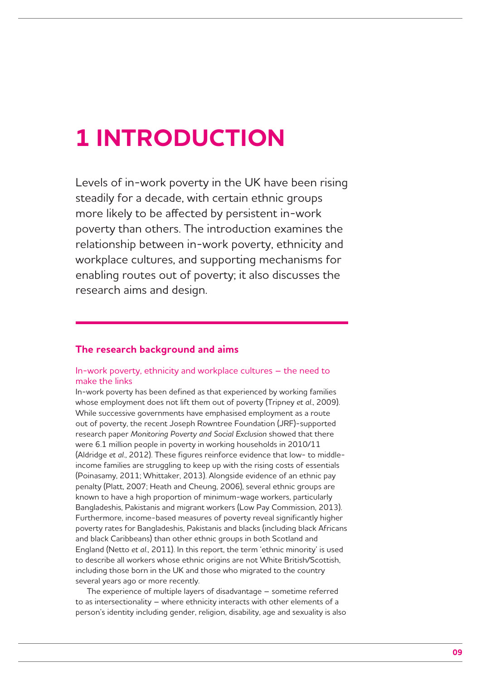## **1 INTRODUCTION**

Levels of in-work poverty in the UK have been rising steadily for a decade, with certain ethnic groups more likely to be affected by persistent in-work poverty than others. The introduction examines the relationship between in-work poverty, ethnicity and workplace cultures, and supporting mechanisms for enabling routes out of poverty; it also discusses the research aims and design.

## **The research background and aims**

## In-work poverty, ethnicity and workplace cultures – the need to make the links

In-work poverty has been defined as that experienced by working families whose employment does not lift them out of poverty (Tripney *et al*., 2009). While successive governments have emphasised employment as a route out of poverty, the recent Joseph Rowntree Foundation (JRF)-supported research paper *Monitoring Poverty and Social Exclusion* showed that there were 6.1 million people in poverty in working households in 2010/11 (Aldridge *et al*., 2012). These figures reinforce evidence that low- to middleincome families are struggling to keep up with the rising costs of essentials (Poinasamy, 2011; Whittaker, 2013). Alongside evidence of an ethnic pay penalty (Platt, 2007; Heath and Cheung, 2006), several ethnic groups are known to have a high proportion of minimum-wage workers, particularly Bangladeshis, Pakistanis and migrant workers (Low Pay Commission, 2013). Furthermore, income-based measures of poverty reveal significantly higher poverty rates for Bangladeshis, Pakistanis and blacks (including black Africans and black Caribbeans) than other ethnic groups in both Scotland and England (Netto *et al*., 2011). In this report, the term 'ethnic minority' is used to describe all workers whose ethnic origins are not White British/Scottish, including those born in the UK and those who migrated to the country several years ago or more recently.

The experience of multiple layers of disadvantage – sometime referred to as intersectionality – where ethnicity interacts with other elements of a person's identity including gender, religion, disability, age and sexuality is also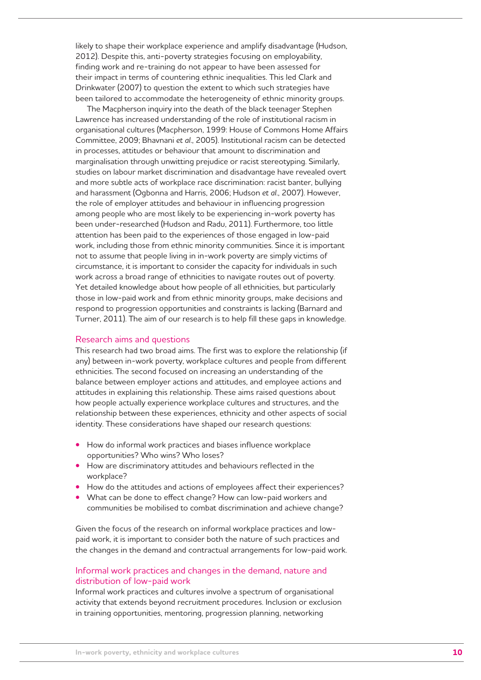likely to shape their workplace experience and amplify disadvantage (Hudson, 2012). Despite this, anti-poverty strategies focusing on employability, finding work and re-training do not appear to have been assessed for their impact in terms of countering ethnic inequalities. This led Clark and Drinkwater (2007) to question the extent to which such strategies have been tailored to accommodate the heterogeneity of ethnic minority groups.

The Macpherson inquiry into the death of the black teenager Stephen Lawrence has increased understanding of the role of institutional racism in organisational cultures (Macpherson, 1999: House of Commons Home Affairs Committee, 2009; Bhavnani *et al*., 2005). Institutional racism can be detected in processes, attitudes or behaviour that amount to discrimination and marginalisation through unwitting prejudice or racist stereotyping. Similarly, studies on labour market discrimination and disadvantage have revealed overt and more subtle acts of workplace race discrimination: racist banter, bullying and harassment (Ogbonna and Harris, 2006; Hudson *et al*., 2007). However, the role of employer attitudes and behaviour in influencing progression among people who are most likely to be experiencing in-work poverty has been under-researched (Hudson and Radu, 2011). Furthermore, too little attention has been paid to the experiences of those engaged in low-paid work, including those from ethnic minority communities. Since it is important not to assume that people living in in-work poverty are simply victims of circumstance, it is important to consider the capacity for individuals in such work across a broad range of ethnicities to navigate routes out of poverty. Yet detailed knowledge about how people of all ethnicities, but particularly those in low-paid work and from ethnic minority groups, make decisions and respond to progression opportunities and constraints is lacking (Barnard and Turner, 2011). The aim of our research is to help fill these gaps in knowledge.

#### Research aims and questions

This research had two broad aims. The first was to explore the relationship (if any) between in-work poverty, workplace cultures and people from different ethnicities. The second focused on increasing an understanding of the balance between employer actions and attitudes, and employee actions and attitudes in explaining this relationship. These aims raised questions about how people actually experience workplace cultures and structures, and the relationship between these experiences, ethnicity and other aspects of social identity. These considerations have shaped our research questions:

- **•** How do informal work practices and biases influence workplace opportunities? Who wins? Who loses?
- **•** How are discriminatory attitudes and behaviours reflected in the workplace?
- **•**  How do the attitudes and actions of employees affect their experiences?
- What can be done to effect change? How can low-paid workers and communities be mobilised to combat discrimination and achieve change?

Given the focus of the research on informal workplace practices and lowpaid work, it is important to consider both the nature of such practices and the changes in the demand and contractual arrangements for low-paid work.

## Informal work practices and changes in the demand, nature and distribution of low-paid work

Informal work practices and cultures involve a spectrum of organisational activity that extends beyond recruitment procedures. Inclusion or exclusion in training opportunities, mentoring, progression planning, networking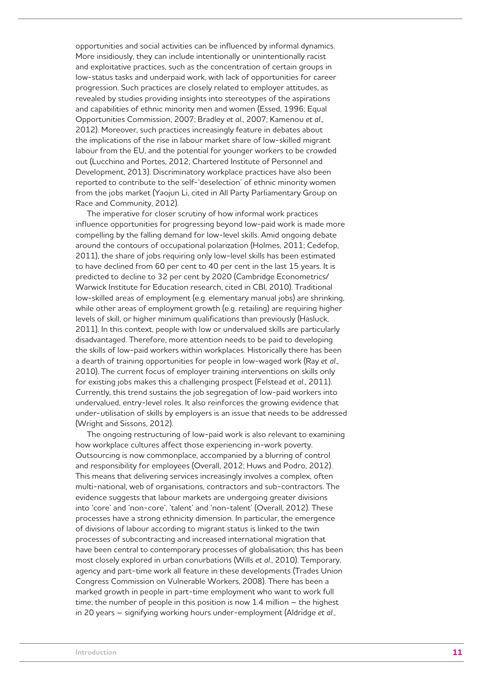opportunities and social activities can be influenced by informal dynamics. More insidiously, they can include intentionally or unintentionally racist and exploitative practices, such as the concentration of certain groups in low-status tasks and underpaid work, with lack of opportunities for career progression. Such practices are closely related to employer attitudes, as revealed by studies providing insights into stereotypes of the aspirations and capabilities of ethnic minority men and women (Essed, 1996; Equal Opportunities Commission, 2007; Bradley *et al*., 2007; Kamenou *et al*., 2012). Moreover, such practices increasingly feature in debates about the implications of the rise in labour market share of low-skilled migrant labour from the EU, and the potential for younger workers to be crowded out (Lucchino and Portes, 2012; Chartered Institute of Personnel and Development, 2013). Discriminatory workplace practices have also been reported to contribute to the self-'deselection' of ethnic minority women from the jobs market (Yaojun Li, cited in All Party Parliamentary Group on Race and Community, 2012).

The imperative for closer scrutiny of how informal work practices influence opportunities for progressing beyond low-paid work is made more compelling by the falling demand for low-level skills. Amid ongoing debate around the contours of occupational polarization (Holmes, 2011; Cedefop, 2011), the share of jobs requiring only low-level skills has been estimated to have declined from 60 per cent to 40 per cent in the last 15 years. It is predicted to decline to 32 per cent by 2020 (Cambridge Econometrics/ Warwick Institute for Education research, cited in CBI, 2010). Traditional low-skilled areas of employment (e.g. elementary manual jobs) are shrinking, while other areas of employment growth (e.g. retailing) are requiring higher levels of skill, or higher minimum qualifications than previously (Hasluck, 2011). In this context, people with low or undervalued skills are particularly disadvantaged. Therefore, more attention needs to be paid to developing the skills of low-paid workers within workplaces. Historically there has been a dearth of training opportunities for people in low-waged work (Ray *et al*., 2010). The current focus of employer training interventions on skills only for existing jobs makes this a challenging prospect (Felstead *et al*., 2011). Currently, this trend sustains the job segregation of low-paid workers into undervalued, entry-level roles. It also reinforces the growing evidence that under-utilisation of skills by employers is an issue that needs to be addressed (Wright and Sissons, 2012).

The ongoing restructuring of low-paid work is also relevant to examining how workplace cultures affect those experiencing in-work poverty. Outsourcing is now commonplace, accompanied by a blurring of control and responsibility for employees (Overall, 2012; Huws and Podro, 2012). This means that delivering services increasingly involves a complex, often multi-national, web of organisations, contractors and sub-contractors. The evidence suggests that labour markets are undergoing greater divisions into 'core' and 'non-core', 'talent' and 'non-talent' (Overall, 2012). These processes have a strong ethnicity dimension. In particular, the emergence of divisions of labour according to migrant status is linked to the twin processes of subcontracting and increased international migration that have been central to contemporary processes of globalisation; this has been most closely explored in urban conurbations (Wills *et al*., 2010). Temporary, agency and part-time work all feature in these developments (Trades Union Congress Commission on Vulnerable Workers, 2008). There has been a marked growth in people in part-time employment who want to work full time; the number of people in this position is now 1.4 million – the highest in 20 years – signifying working hours under-employment (Aldridge *et al*.,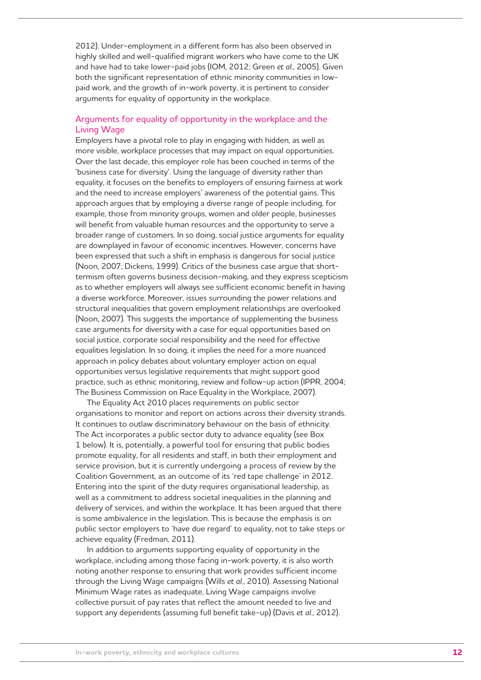2012). Under-employment in a different form has also been observed in highly skilled and well-qualified migrant workers who have come to the UK and have had to take lower-paid jobs (IOM, 2012; Green *et al*., 2005). Given both the significant representation of ethnic minority communities in lowpaid work, and the growth of in-work poverty, it is pertinent to consider arguments for equality of opportunity in the workplace.

## Arguments for equality of opportunity in the workplace and the Living Wage

Employers have a pivotal role to play in engaging with hidden, as well as more visible, workplace processes that may impact on equal opportunities. Over the last decade, this employer role has been couched in terms of the 'business case for diversity'. Using the language of diversity rather than equality, it focuses on the benefits to employers of ensuring fairness at work and the need to increase employers' awareness of the potential gains. This approach argues that by employing a diverse range of people including, for example, those from minority groups, women and older people, businesses will benefit from valuable human resources and the opportunity to serve a broader range of customers. In so doing, social justice arguments for equality are downplayed in favour of economic incentives. However, concerns have been expressed that such a shift in emphasis is dangerous for social justice (Noon, 2007; Dickens, 1999). Critics of the business case argue that shorttermism often governs business decision-making, and they express scepticism as to whether employers will always see sufficient economic benefit in having a diverse workforce. Moreover, issues surrounding the power relations and structural inequalities that govern employment relationships are overlooked (Noon, 2007). This suggests the importance of supplementing the business case arguments for diversity with a case for equal opportunities based on social justice, corporate social responsibility and the need for effective equalities legislation. In so doing, it implies the need for a more nuanced approach in policy debates about voluntary employer action on equal opportunities versus legislative requirements that might support good practice, such as ethnic monitoring, review and follow-up action (IPPR, 2004; The Business Commission on Race Equality in the Workplace, 2007).

The Equality Act 2010 places requirements on public sector organisations to monitor and report on actions across their diversity strands. It continues to outlaw discriminatory behaviour on the basis of ethnicity. The Act incorporates a public sector duty to advance equality (see Box 1 below). It is, potentially, a powerful tool for ensuring that public bodies promote equality, for all residents and staff, in both their employment and service provision, but it is currently undergoing a process of review by the Coalition Government, as an outcome of its 'red tape challenge' in 2012. Entering into the spirit of the duty requires organisational leadership, as well as a commitment to address societal inequalities in the planning and delivery of services, and within the workplace. It has been argued that there is some ambivalence in the legislation. This is because the emphasis is on public sector employers to 'have due regard' to equality, not to take steps or achieve equality (Fredman, 2011).

In addition to arguments supporting equality of opportunity in the workplace, including among those facing in-work poverty, it is also worth noting another response to ensuring that work provides sufficient income through the Living Wage campaigns (Wills *et al*., 2010). Assessing National Minimum Wage rates as inadequate, Living Wage campaigns involve collective pursuit of pay rates that reflect the amount needed to live and support any dependents (assuming full benefit take-up) (Davis *et al*., 2012).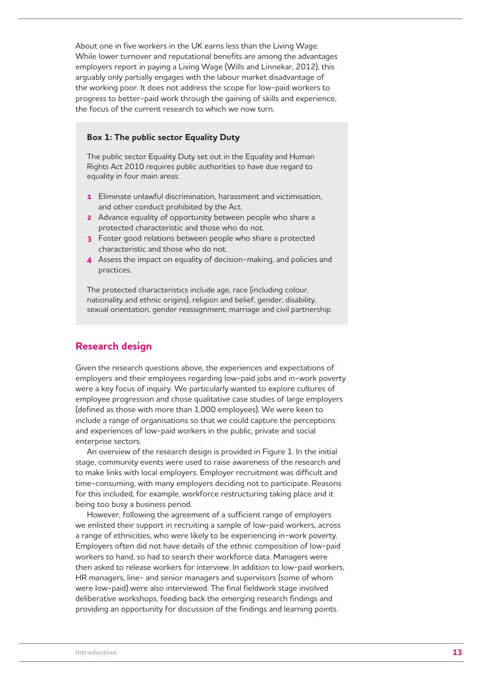About one in five workers in the UK earns less than the Living Wage. While lower turnover and reputational benefits are among the advantages employers report in paying a Living Wage (Wills and Linnekar, 2012), this arguably only partially engages with the labour market disadvantage of the working poor. It does not address the scope for low-paid workers to progress to better-paid work through the gaining of skills and experience, the focus of the current research to which we now turn.

## **Box 1: The public sector Equality Duty**

The public sector Equality Duty set out in the Equality and Human Rights Act 2010 requires public authorities to have due regard to equality in four main areas:

- **1** Eliminate unlawful discrimination, harassment and victimisation, and other conduct prohibited by the Act.
- **2** Advance equality of opportunity between people who share a protected characteristic and those who do not.
- **3** Foster good relations between people who share a protected characteristic and those who do not.
- **4** Assess the impact on equality of decision-making, and policies and practices.

The protected characteristics include age, race (including colour, nationality and ethnic origins), religion and belief, gender, disability, sexual orientation, gender reassignment, marriage and civil partnership.

## **Research design**

Given the research questions above, the experiences and expectations of employers and their employees regarding low-paid jobs and in-work poverty were a key focus of inquiry. We particularly wanted to explore cultures of employee progression and chose qualitative case studies of large employers (defined as those with more than 1,000 employees). We were keen to include a range of organisations so that we could capture the perceptions and experiences of low-paid workers in the public, private and social enterprise sectors.

An overview of the research design is provided in Figure 1. In the initial stage, community events were used to raise awareness of the research and to make links with local employers. Employer recruitment was difficult and time-consuming, with many employers deciding not to participate. Reasons for this included, for example, workforce restructuring taking place and it being too busy a business period.

However, following the agreement of a sufficient range of employers we enlisted their support in recruiting a sample of low-paid workers, across a range of ethnicities, who were likely to be experiencing in-work poverty. Employers often did not have details of the ethnic composition of low-paid workers to hand, so had to search their workforce data. Managers were then asked to release workers for interview. In addition to low-paid workers, HR managers, line- and senior managers and supervisors (some of whom were low-paid) were also interviewed. The final fieldwork stage involved deliberative workshops, feeding back the emerging research findings and providing an opportunity for discussion of the findings and learning points.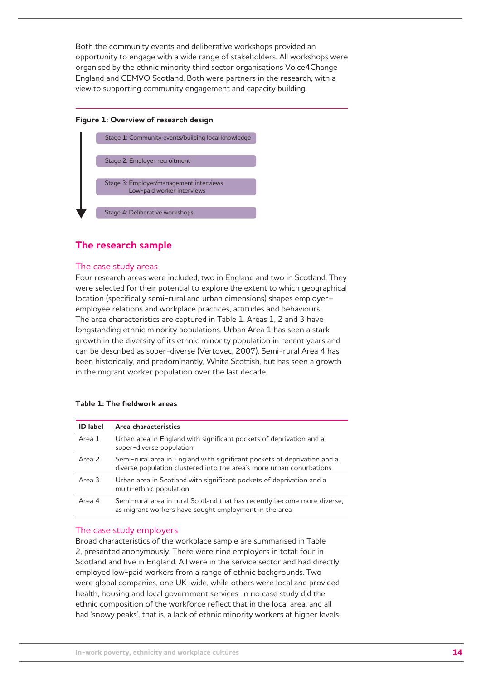Both the community events and deliberative workshops provided an opportunity to engage with a wide range of stakeholders. All workshops were organised by the ethnic minority third sector organisations Voice4Change England and CEMVO Scotland. Both were partners in the research, with a view to supporting community engagement and capacity building.

#### **Figure 1: Overview of research design**



## **The research sample**

## The case study areas

Four research areas were included, two in England and two in Scotland. They were selected for their potential to explore the extent to which geographical location (specifically semi-rural and urban dimensions) shapes employer– employee relations and workplace practices, attitudes and behaviours. The area characteristics are captured in Table 1. Areas 1, 2 and 3 have longstanding ethnic minority populations. Urban Area 1 has seen a stark growth in the diversity of its ethnic minority population in recent years and can be described as super-diverse (Vertovec, 2007). Semi-rural Area 4 has been historically, and predominantly, White Scottish, but has seen a growth in the migrant worker population over the last decade.

| <b>ID</b> label | Area characteristics                                                                                                                             |  |
|-----------------|--------------------------------------------------------------------------------------------------------------------------------------------------|--|
| Area 1          | Urban area in England with significant pockets of deprivation and a<br>super-diverse population                                                  |  |
| Area 2          | Semi-rural area in England with significant pockets of deprivation and a<br>diverse population clustered into the area's more urban conurbations |  |
| Area 3          | Urban area in Scotland with significant pockets of deprivation and a<br>multi-ethnic population                                                  |  |
| Area 4          | Semi-rural area in rural Scotland that has recently become more diverse,<br>as migrant workers have sought employment in the area                |  |

#### **Table 1: The fieldwork areas**

## The case study employers

Broad characteristics of the workplace sample are summarised in Table 2, presented anonymously. There were nine employers in total: four in Scotland and five in England. All were in the service sector and had directly employed low-paid workers from a range of ethnic backgrounds. Two were global companies, one UK-wide, while others were local and provided health, housing and local government services. In no case study did the ethnic composition of the workforce reflect that in the local area, and all had 'snowy peaks', that is, a lack of ethnic minority workers at higher levels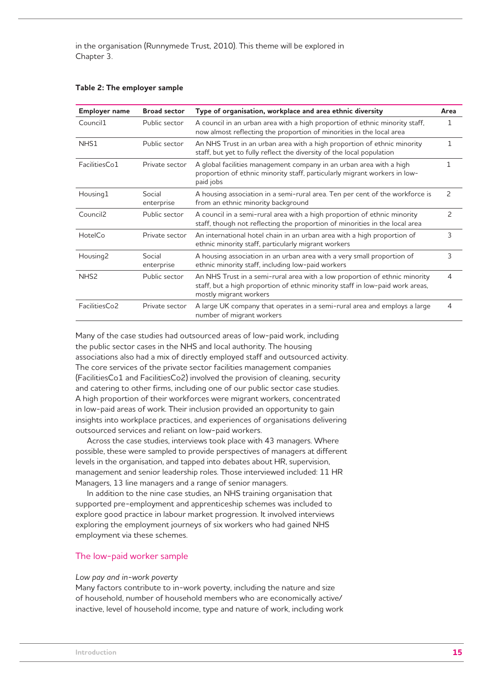in the organisation (Runnymede Trust, 2010). This theme will be explored in Chapter 3.

| <b>Employer name</b> | <b>Broad sector</b>  | Type of organisation, workplace and area ethnic diversity                                                                                                                             | Area           |
|----------------------|----------------------|---------------------------------------------------------------------------------------------------------------------------------------------------------------------------------------|----------------|
| Council1             | Public sector        | A council in an urban area with a high proportion of ethnic minority staff,<br>now almost reflecting the proportion of minorities in the local area                                   | 1              |
| NHS1                 | Public sector        | An NHS Trust in an urban area with a high proportion of ethnic minority<br>staff, but yet to fully reflect the diversity of the local population                                      | 1              |
| FacilitiesCo1        | Private sector       | A global facilities management company in an urban area with a high<br>proportion of ethnic minority staff, particularly migrant workers in low-<br>paid jobs                         |                |
| Housing1             | Social<br>enterprise | A housing association in a semi-rural area. Ten per cent of the workforce is<br>from an ethnic minority background                                                                    | 2              |
| Council <sub>2</sub> | Public sector        | A council in a semi-rural area with a high proportion of ethnic minority<br>staff, though not reflecting the proportion of minorities in the local area                               | $\overline{c}$ |
| HotelCo              | Private sector       | An international hotel chain in an urban area with a high proportion of<br>ethnic minority staff, particularly migrant workers                                                        | 3              |
| Housing <sub>2</sub> | Social<br>enterprise | A housing association in an urban area with a very small proportion of<br>ethnic minority staff, including low-paid workers                                                           | 3              |
| NHS <sub>2</sub>     | Public sector        | An NHS Trust in a semi-rural area with a low proportion of ethnic minority<br>staff, but a high proportion of ethnic minority staff in low-paid work areas,<br>mostly migrant workers | 4              |
| FacilitiesCo2        | Private sector       | A large UK company that operates in a semi-rural area and employs a large<br>number of migrant workers                                                                                | 4              |

#### **Table 2: The employer sample**

Many of the case studies had outsourced areas of low-paid work, including the public sector cases in the NHS and local authority. The housing associations also had a mix of directly employed staff and outsourced activity. The core services of the private sector facilities management companies (FacilitiesCo1 and FacilitiesCo2) involved the provision of cleaning, security and catering to other firms, including one of our public sector case studies. A high proportion of their workforces were migrant workers, concentrated in low-paid areas of work. Their inclusion provided an opportunity to gain insights into workplace practices, and experiences of organisations delivering outsourced services and reliant on low-paid workers.

Across the case studies, interviews took place with 43 managers. Where possible, these were sampled to provide perspectives of managers at different levels in the organisation, and tapped into debates about HR, supervision, management and senior leadership roles. Those interviewed included: 11 HR Managers, 13 line managers and a range of senior managers.

In addition to the nine case studies, an NHS training organisation that supported pre-employment and apprenticeship schemes was included to explore good practice in labour market progression. It involved interviews exploring the employment journeys of six workers who had gained NHS employment via these schemes.

## The low-paid worker sample

#### *Low pay and in-work poverty*

Many factors contribute to in-work poverty, including the nature and size of household, number of household members who are economically active/ inactive, level of household income, type and nature of work, including work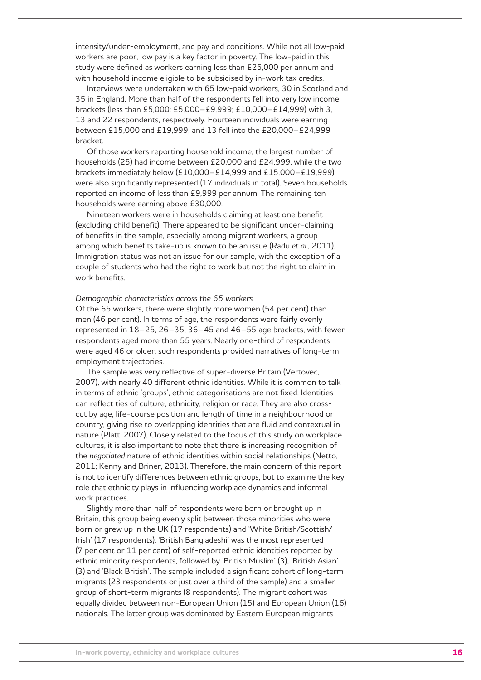intensity/under-employment, and pay and conditions. While not all low-paid workers are poor, low pay is a key factor in poverty. The low-paid in this study were defined as workers earning less than £25,000 per annum and with household income eligible to be subsidised by in-work tax credits.

Interviews were undertaken with 65 low-paid workers, 30 in Scotland and 35 in England. More than half of the respondents fell into very low income brackets (less than £5,000; £5,000–£9,999; £10,000–£14,999) with 3, 13 and 22 respondents, respectively. Fourteen individuals were earning between £15,000 and £19,999, and 13 fell into the £20,000–£24,999 bracket.

Of those workers reporting household income, the largest number of households (25) had income between £20,000 and £24,999, while the two brackets immediately below (£10,000–£14,999 and £15,000–£19,999) were also significantly represented (17 individuals in total). Seven households reported an income of less than £9,999 per annum. The remaining ten households were earning above £30,000.

Nineteen workers were in households claiming at least one benefit (excluding child benefit). There appeared to be significant under-claiming of benefits in the sample, especially among migrant workers, a group among which benefits take-up is known to be an issue (Radu *et al*., 2011). Immigration status was not an issue for our sample, with the exception of a couple of students who had the right to work but not the right to claim inwork benefits.

#### *Demographic characteristics across the 65 workers*

Of the 65 workers, there were slightly more women (54 per cent) than men (46 per cent). In terms of age, the respondents were fairly evenly represented in 18–25, 26–35, 36–45 and 46–55 age brackets, with fewer respondents aged more than 55 years. Nearly one-third of respondents were aged 46 or older; such respondents provided narratives of long-term employment trajectories.

The sample was very reflective of super-diverse Britain (Vertovec, 2007), with nearly 40 different ethnic identities. While it is common to talk in terms of ethnic 'groups', ethnic categorisations are not fixed. Identities can reflect ties of culture, ethnicity, religion or race. They are also crosscut by age, life-course position and length of time in a neighbourhood or country, giving rise to overlapping identities that are fluid and contextual in nature (Platt, 2007). Closely related to the focus of this study on workplace cultures, it is also important to note that there is increasing recognition of the *negotiated* nature of ethnic identities within social relationships (Netto, 2011; Kenny and Briner, 2013). Therefore, the main concern of this report is not to identify differences between ethnic groups, but to examine the key role that ethnicity plays in influencing workplace dynamics and informal work practices.

Slightly more than half of respondents were born or brought up in Britain, this group being evenly split between those minorities who were born or grew up in the UK (17 respondents) and 'White British/Scottish/ Irish' (17 respondents). 'British Bangladeshi' was the most represented (7 per cent or 11 per cent) of self-reported ethnic identities reported by ethnic minority respondents, followed by 'British Muslim' (3), 'British Asian' (3) and 'Black British'. The sample included a significant cohort of long-term migrants (23 respondents or just over a third of the sample) and a smaller group of short-term migrants (8 respondents). The migrant cohort was equally divided between non-European Union (15) and European Union (16) nationals. The latter group was dominated by Eastern European migrants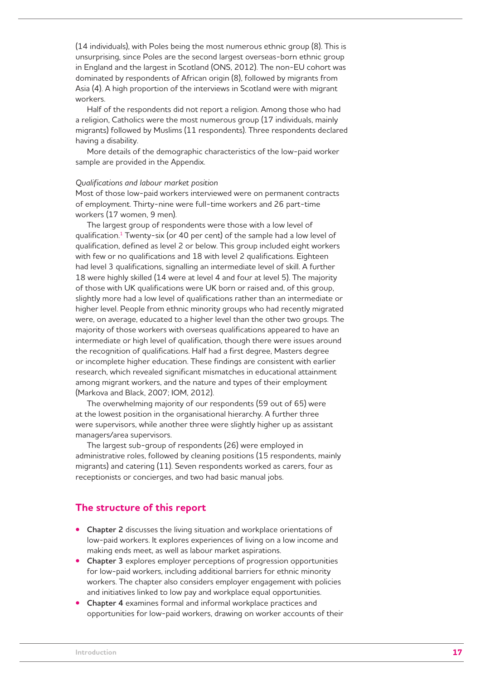(14 individuals), with Poles being the most numerous ethnic group (8). This is unsurprising, since Poles are the second largest overseas-born ethnic group in England and the largest in Scotland (ONS, 2012). The non-EU cohort was dominated by respondents of African origin (8), followed by migrants from Asia (4). A high proportion of the interviews in Scotland were with migrant workers.

Half of the respondents did not report a religion. Among those who had a religion, Catholics were the most numerous group (17 individuals, mainly migrants) followed by Muslims (11 respondents). Three respondents declared having a disability.

More details of the demographic characteristics of the low-paid worker sample are provided in the Appendix.

#### *Qualifications and labour market position*

Most of those low-paid workers interviewed were on permanent contracts of employment. Thirty-nine were full-time workers and 26 part-time workers (17 women, 9 men).

The largest group of respondents were those with a low level of qualification.1 Twenty-six (or 40 per cent) of the sample had a low level of qualification, defined as level 2 or below. This group included eight workers with few or no qualifications and 18 with level 2 qualifications. Eighteen had level 3 qualifications, signalling an intermediate level of skill. A further 18 were highly skilled (14 were at level 4 and four at level 5). The majority of those with UK qualifications were UK born or raised and, of this group, slightly more had a low level of qualifications rather than an intermediate or higher level. People from ethnic minority groups who had recently migrated were, on average, educated to a higher level than the other two groups. The majority of those workers with overseas qualifications appeared to have an intermediate or high level of qualification, though there were issues around the recognition of qualifications. Half had a first degree, Masters degree or incomplete higher education. These findings are consistent with earlier research, which revealed significant mismatches in educational attainment among migrant workers, and the nature and types of their employment (Markova and Black, 2007; IOM, 2012).

The overwhelming majority of our respondents (59 out of 65) were at the lowest position in the organisational hierarchy. A further three were supervisors, while another three were slightly higher up as assistant managers/area supervisors.

The largest sub-group of respondents (26) were employed in administrative roles, followed by cleaning positions (15 respondents, mainly migrants) and catering (11). Seven respondents worked as carers, four as receptionists or concierges, and two had basic manual jobs.

## **The structure of this report**

- **Chapter 2** discusses the living situation and workplace orientations of low-paid workers. It explores experiences of living on a low income and making ends meet, as well as labour market aspirations.
- **Chapter 3** explores employer perceptions of progression opportunities for low-paid workers, including additional barriers for ethnic minority workers. The chapter also considers employer engagement with policies and initiatives linked to low pay and workplace equal opportunities.
- **Chapter 4** examines formal and informal workplace practices and opportunities for low-paid workers, drawing on worker accounts of their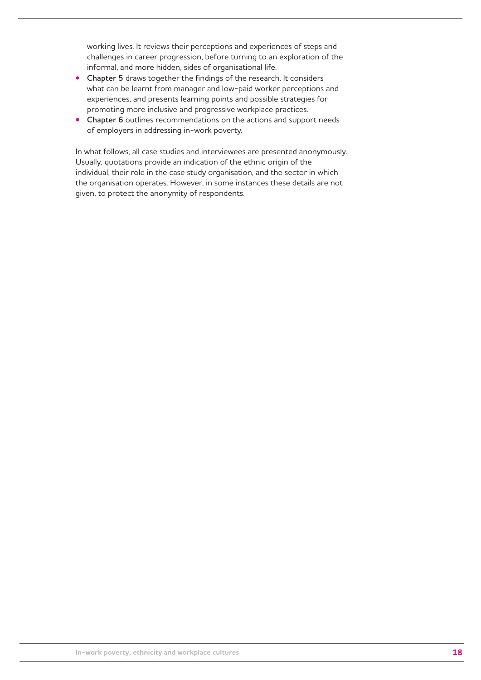working lives. It reviews their perceptions and experiences of steps and challenges in career progression, before turning to an exploration of the informal, and more hidden, sides of organisational life.

- **Chapter 5** draws together the findings of the research. It considers what can be learnt from manager and low-paid worker perceptions and experiences, and presents learning points and possible strategies for promoting more inclusive and progressive workplace practices.
- **Chapter 6** outlines recommendations on the actions and support needs of employers in addressing in-work poverty.

In what follows, all case studies and interviewees are presented anonymously. Usually, quotations provide an indication of the ethnic origin of the individual, their role in the case study organisation, and the sector in which the organisation operates. However, in some instances these details are not given, to protect the anonymity of respondents.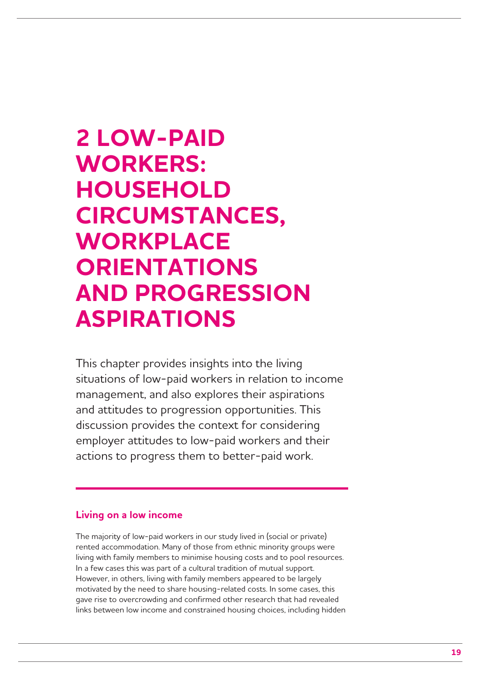## **2 LOW-PAID WORKERS: HOUSEHOLD CIRCUMSTANCES, WORKPLACE ORIENTATIONS AND PROGRESSION ASPIRATIONS**

This chapter provides insights into the living situations of low-paid workers in relation to income management, and also explores their aspirations and attitudes to progression opportunities. This discussion provides the context for considering employer attitudes to low-paid workers and their actions to progress them to better-paid work.

## **Living on a low income**

The majority of low-paid workers in our study lived in (social or private) rented accommodation. Many of those from ethnic minority groups were living with family members to minimise housing costs and to pool resources. In a few cases this was part of a cultural tradition of mutual support. However, in others, living with family members appeared to be largely motivated by the need to share housing-related costs. In some cases, this gave rise to overcrowding and confirmed other research that had revealed links between low income and constrained housing choices, including hidden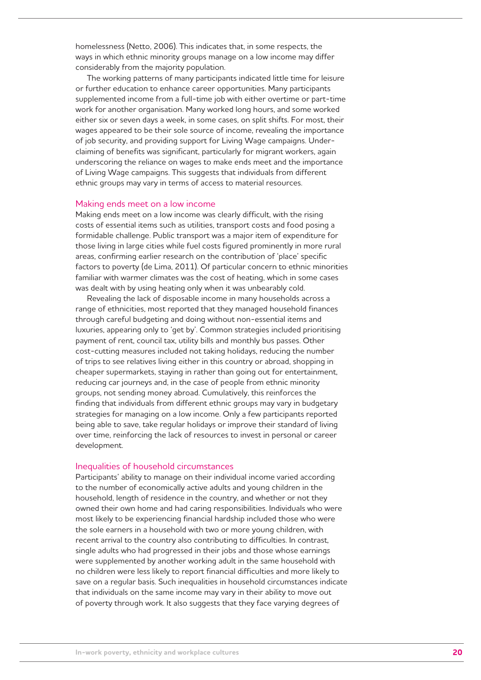homelessness (Netto, 2006). This indicates that, in some respects, the ways in which ethnic minority groups manage on a low income may differ considerably from the majority population.

The working patterns of many participants indicated little time for leisure or further education to enhance career opportunities. Many participants supplemented income from a full-time job with either overtime or part-time work for another organisation. Many worked long hours, and some worked either six or seven days a week, in some cases, on split shifts. For most, their wages appeared to be their sole source of income, revealing the importance of job security, and providing support for Living Wage campaigns. Underclaiming of benefits was significant, particularly for migrant workers, again underscoring the reliance on wages to make ends meet and the importance of Living Wage campaigns. This suggests that individuals from different ethnic groups may vary in terms of access to material resources.

#### Making ends meet on a low income

Making ends meet on a low income was clearly difficult, with the rising costs of essential items such as utilities, transport costs and food posing a formidable challenge. Public transport was a major item of expenditure for those living in large cities while fuel costs figured prominently in more rural areas, confirming earlier research on the contribution of 'place' specific factors to poverty (de Lima, 2011). Of particular concern to ethnic minorities familiar with warmer climates was the cost of heating, which in some cases was dealt with by using heating only when it was unbearably cold.

Revealing the lack of disposable income in many households across a range of ethnicities, most reported that they managed household finances through careful budgeting and doing without non-essential items and luxuries, appearing only to 'get by'. Common strategies included prioritising payment of rent, council tax, utility bills and monthly bus passes. Other cost-cutting measures included not taking holidays, reducing the number of trips to see relatives living either in this country or abroad, shopping in cheaper supermarkets, staying in rather than going out for entertainment, reducing car journeys and, in the case of people from ethnic minority groups, not sending money abroad. Cumulatively, this reinforces the finding that individuals from different ethnic groups may vary in budgetary strategies for managing on a low income. Only a few participants reported being able to save, take regular holidays or improve their standard of living over time, reinforcing the lack of resources to invest in personal or career development.

#### Inequalities of household circumstances

Participants' ability to manage on their individual income varied according to the number of economically active adults and young children in the household, length of residence in the country, and whether or not they owned their own home and had caring responsibilities. Individuals who were most likely to be experiencing financial hardship included those who were the sole earners in a household with two or more young children, with recent arrival to the country also contributing to difficulties. In contrast, single adults who had progressed in their jobs and those whose earnings were supplemented by another working adult in the same household with no children were less likely to report financial difficulties and more likely to save on a regular basis. Such inequalities in household circumstances indicate that individuals on the same income may vary in their ability to move out of poverty through work. It also suggests that they face varying degrees of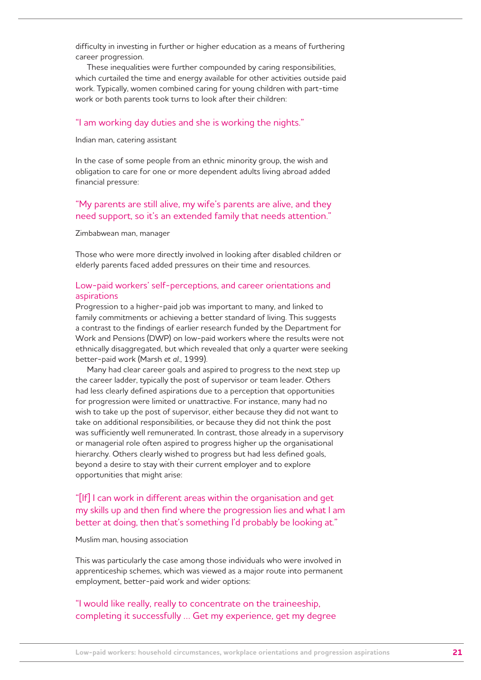difficulty in investing in further or higher education as a means of furthering career progression.

These inequalities were further compounded by caring responsibilities, which curtailed the time and energy available for other activities outside paid work. Typically, women combined caring for young children with part-time work or both parents took turns to look after their children:

#### "I am working day duties and she is working the nights."

#### Indian man, catering assistant

In the case of some people from an ethnic minority group, the wish and obligation to care for one or more dependent adults living abroad added financial pressure:

## "My parents are still alive, my wife's parents are alive, and they need support, so it's an extended family that needs attention."

#### Zimbabwean man, manager

Those who were more directly involved in looking after disabled children or elderly parents faced added pressures on their time and resources.

## Low-paid workers' self-perceptions, and career orientations and aspirations

Progression to a higher-paid job was important to many, and linked to family commitments or achieving a better standard of living. This suggests a contrast to the findings of earlier research funded by the Department for Work and Pensions (DWP) on low-paid workers where the results were not ethnically disaggregated, but which revealed that only a quarter were seeking better-paid work (Marsh *et al*., 1999).

Many had clear career goals and aspired to progress to the next step up the career ladder, typically the post of supervisor or team leader. Others had less clearly defined aspirations due to a perception that opportunities for progression were limited or unattractive. For instance, many had no wish to take up the post of supervisor, either because they did not want to take on additional responsibilities, or because they did not think the post was sufficiently well remunerated. In contrast, those already in a supervisory or managerial role often aspired to progress higher up the organisational hierarchy. Others clearly wished to progress but had less defined goals, beyond a desire to stay with their current employer and to explore opportunities that might arise:

## "[If] I can work in different areas within the organisation and get my skills up and then find where the progression lies and what I am better at doing, then that's something I'd probably be looking at."

#### Muslim man, housing association

This was particularly the case among those individuals who were involved in apprenticeship schemes, which was viewed as a major route into permanent employment, better-paid work and wider options:

## "I would like really, really to concentrate on the traineeship, completing it successfully … Get my experience, get my degree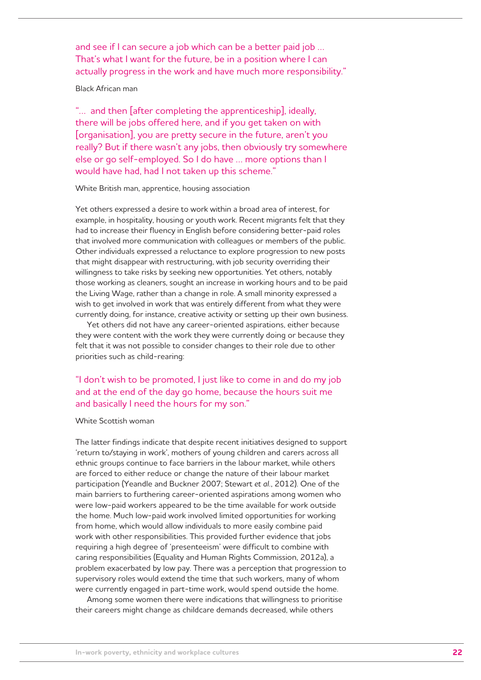and see if I can secure a job which can be a better paid job … That's what I want for the future, be in a position where I can actually progress in the work and have much more responsibility."

#### Black African man

"… and then [after completing the apprenticeship], ideally, there will be jobs offered here, and if you get taken on with [organisation], you are pretty secure in the future, aren't you really? But if there wasn't any jobs, then obviously try somewhere else or go self-employed. So I do have … more options than I would have had, had I not taken up this scheme."

#### White British man, apprentice, housing association

Yet others expressed a desire to work within a broad area of interest, for example, in hospitality, housing or youth work. Recent migrants felt that they had to increase their fluency in English before considering better-paid roles that involved more communication with colleagues or members of the public. Other individuals expressed a reluctance to explore progression to new posts that might disappear with restructuring, with job security overriding their willingness to take risks by seeking new opportunities. Yet others, notably those working as cleaners, sought an increase in working hours and to be paid the Living Wage, rather than a change in role. A small minority expressed a wish to get involved in work that was entirely different from what they were currently doing, for instance, creative activity or setting up their own business.

Yet others did not have any career-oriented aspirations, either because they were content with the work they were currently doing or because they felt that it was not possible to consider changes to their role due to other priorities such as child-rearing:

## "I don't wish to be promoted, I just like to come in and do my job and at the end of the day go home, because the hours suit me and basically I need the hours for my son."

#### White Scottish woman

The latter findings indicate that despite recent initiatives designed to support 'return to/staying in work', mothers of young children and carers across all ethnic groups continue to face barriers in the labour market, while others are forced to either reduce or change the nature of their labour market participation (Yeandle and Buckner 2007; Stewart *et al.*, 2012). One of the main barriers to furthering career-oriented aspirations among women who were low-paid workers appeared to be the time available for work outside the home. Much low-paid work involved limited opportunities for working from home, which would allow individuals to more easily combine paid work with other responsibilities. This provided further evidence that jobs requiring a high degree of 'presenteeism' were difficult to combine with caring responsibilities (Equality and Human Rights Commission, 2012a), a problem exacerbated by low pay. There was a perception that progression to supervisory roles would extend the time that such workers, many of whom were currently engaged in part-time work, would spend outside the home.

Among some women there were indications that willingness to prioritise their careers might change as childcare demands decreased, while others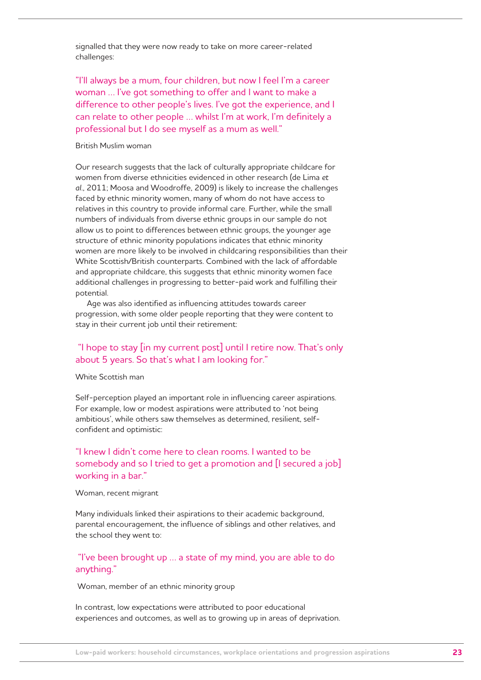signalled that they were now ready to take on more career-related challenges:

"I'll always be a mum, four children, but now I feel I'm a career woman … I've got something to offer and I want to make a difference to other people's lives. I've got the experience, and I can relate to other people … whilst I'm at work, I'm definitely a professional but I do see myself as a mum as well."

## British Muslim woman

Our research suggests that the lack of culturally appropriate childcare for women from diverse ethnicities evidenced in other research (de Lima *et al*., 2011; Moosa and Woodroffe, 2009) is likely to increase the challenges faced by ethnic minority women, many of whom do not have access to relatives in this country to provide informal care. Further, while the small numbers of individuals from diverse ethnic groups in our sample do not allow us to point to differences between ethnic groups, the younger age structure of ethnic minority populations indicates that ethnic minority women are more likely to be involved in childcaring responsibilities than their White Scottish/British counterparts. Combined with the lack of affordable and appropriate childcare, this suggests that ethnic minority women face additional challenges in progressing to better-paid work and fulfilling their potential.

Age was also identified as influencing attitudes towards career progression, with some older people reporting that they were content to stay in their current job until their retirement:

## "I hope to stay [in my current post] until I retire now. That's only about 5 years. So that's what I am looking for."

#### White Scottish man

Self-perception played an important role in influencing career aspirations. For example, low or modest aspirations were attributed to 'not being ambitious', while others saw themselves as determined, resilient, selfconfident and optimistic:

## "I knew I didn't come here to clean rooms. I wanted to be somebody and so I tried to get a promotion and [I secured a job] working in a bar."

#### Woman, recent migrant

Many individuals linked their aspirations to their academic background, parental encouragement, the influence of siblings and other relatives, and the school they went to:

## "I've been brought up … a state of my mind, you are able to do anything."

Woman, member of an ethnic minority group

In contrast, low expectations were attributed to poor educational experiences and outcomes, as well as to growing up in areas of deprivation.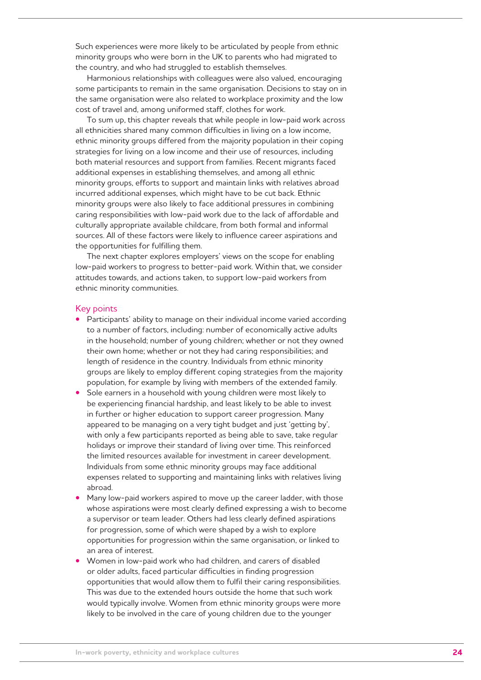Such experiences were more likely to be articulated by people from ethnic minority groups who were born in the UK to parents who had migrated to the country, and who had struggled to establish themselves.

Harmonious relationships with colleagues were also valued, encouraging some participants to remain in the same organisation. Decisions to stay on in the same organisation were also related to workplace proximity and the low cost of travel and, among uniformed staff, clothes for work.

To sum up, this chapter reveals that while people in low-paid work across all ethnicities shared many common difficulties in living on a low income, ethnic minority groups differed from the majority population in their coping strategies for living on a low income and their use of resources, including both material resources and support from families. Recent migrants faced additional expenses in establishing themselves, and among all ethnic minority groups, efforts to support and maintain links with relatives abroad incurred additional expenses, which might have to be cut back. Ethnic minority groups were also likely to face additional pressures in combining caring responsibilities with low-paid work due to the lack of affordable and culturally appropriate available childcare, from both formal and informal sources. All of these factors were likely to influence career aspirations and the opportunities for fulfilling them.

The next chapter explores employers' views on the scope for enabling low-paid workers to progress to better-paid work. Within that, we consider attitudes towards, and actions taken, to support low-paid workers from ethnic minority communities.

#### Key points

- **•** Participants' ability to manage on their individual income varied according to a number of factors, including: number of economically active adults in the household; number of young children; whether or not they owned their own home; whether or not they had caring responsibilities; and length of residence in the country. Individuals from ethnic minority groups are likely to employ different coping strategies from the majority population, for example by living with members of the extended family.
- Sole earners in a household with young children were most likely to be experiencing financial hardship, and least likely to be able to invest in further or higher education to support career progression. Many appeared to be managing on a very tight budget and just 'getting by', with only a few participants reported as being able to save, take regular holidays or improve their standard of living over time. This reinforced the limited resources available for investment in career development. Individuals from some ethnic minority groups may face additional expenses related to supporting and maintaining links with relatives living abroad.
- Many low-paid workers aspired to move up the career ladder, with those whose aspirations were most clearly defined expressing a wish to become a supervisor or team leader. Others had less clearly defined aspirations for progression, some of which were shaped by a wish to explore opportunities for progression within the same organisation, or linked to an area of interest.
- Women in low-paid work who had children, and carers of disabled or older adults, faced particular difficulties in finding progression opportunities that would allow them to fulfil their caring responsibilities. This was due to the extended hours outside the home that such work would typically involve. Women from ethnic minority groups were more likely to be involved in the care of young children due to the younger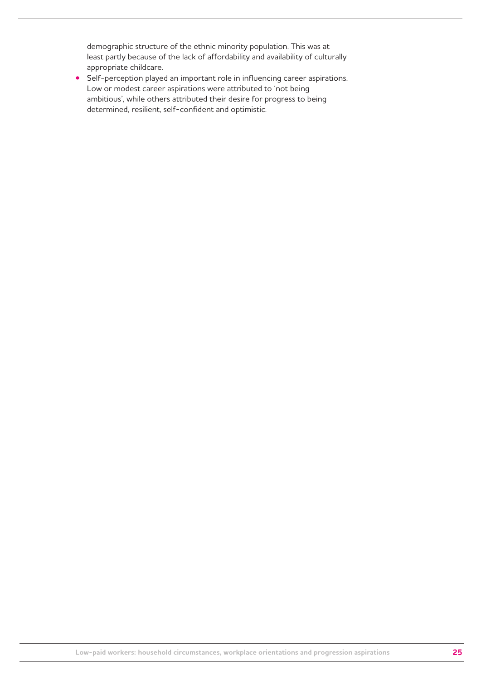demographic structure of the ethnic minority population. This was at least partly because of the lack of affordability and availability of culturally appropriate childcare.

**•** Self-perception played an important role in influencing career aspirations. Low or modest career aspirations were attributed to 'not being ambitious', while others attributed their desire for progress to being determined, resilient, self-confident and optimistic.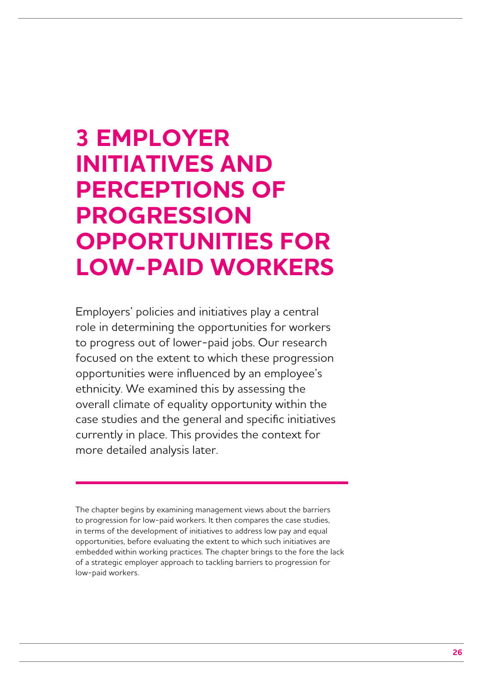# **3 EMPLOYER INITIATIVES AND PERCEPTIONS OF PROGRESSION OPPORTUNITIES FOR LOW-PAID WORKERS**

Employers' policies and initiatives play a central role in determining the opportunities for workers to progress out of lower-paid jobs. Our research focused on the extent to which these progression opportunities were influenced by an employee's ethnicity. We examined this by assessing the overall climate of equality opportunity within the case studies and the general and specific initiatives currently in place. This provides the context for more detailed analysis later.

The chapter begins by examining management views about the barriers to progression for low-paid workers. It then compares the case studies, in terms of the development of initiatives to address low pay and equal opportunities, before evaluating the extent to which such initiatives are embedded within working practices. The chapter brings to the fore the lack of a strategic employer approach to tackling barriers to progression for low-paid workers.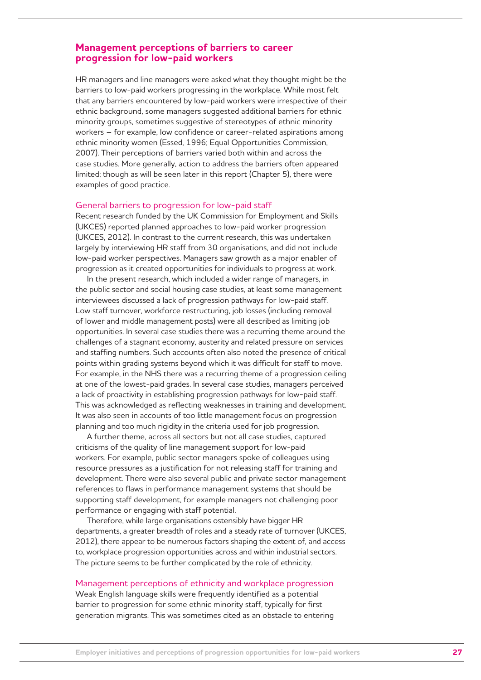## **Management perceptions of barriers to career progression for low-paid workers**

HR managers and line managers were asked what they thought might be the barriers to low-paid workers progressing in the workplace. While most felt that any barriers encountered by low-paid workers were irrespective of their ethnic background, some managers suggested additional barriers for ethnic minority groups, sometimes suggestive of stereotypes of ethnic minority workers – for example, low confidence or career-related aspirations among ethnic minority women (Essed, 1996; Equal Opportunities Commission, 2007). Their perceptions of barriers varied both within and across the case studies. More generally, action to address the barriers often appeared limited; though as will be seen later in this report (Chapter 5), there were examples of good practice.

#### General barriers to progression for low-paid staff

Recent research funded by the UK Commission for Employment and Skills (UKCES) reported planned approaches to low-paid worker progression (UKCES, 2012). In contrast to the current research, this was undertaken largely by interviewing HR staff from 30 organisations, and did not include low-paid worker perspectives. Managers saw growth as a major enabler of progression as it created opportunities for individuals to progress at work.

In the present research, which included a wider range of managers, in the public sector and social housing case studies, at least some management interviewees discussed a lack of progression pathways for low-paid staff. Low staff turnover, workforce restructuring, job losses (including removal of lower and middle management posts) were all described as limiting job opportunities. In several case studies there was a recurring theme around the challenges of a stagnant economy, austerity and related pressure on services and staffing numbers. Such accounts often also noted the presence of critical points within grading systems beyond which it was difficult for staff to move. For example, in the NHS there was a recurring theme of a progression ceiling at one of the lowest-paid grades. In several case studies, managers perceived a lack of proactivity in establishing progression pathways for low-paid staff. This was acknowledged as reflecting weaknesses in training and development. It was also seen in accounts of too little management focus on progression planning and too much rigidity in the criteria used for job progression.

A further theme, across all sectors but not all case studies, captured criticisms of the quality of line management support for low-paid workers. For example, public sector managers spoke of colleagues using resource pressures as a justification for not releasing staff for training and development. There were also several public and private sector management references to flaws in performance management systems that should be supporting staff development, for example managers not challenging poor performance or engaging with staff potential.

Therefore, while large organisations ostensibly have bigger HR departments, a greater breadth of roles and a steady rate of turnover (UKCES, 2012), there appear to be numerous factors shaping the extent of, and access to, workplace progression opportunities across and within industrial sectors. The picture seems to be further complicated by the role of ethnicity.

#### Management perceptions of ethnicity and workplace progression

Weak English language skills were frequently identified as a potential barrier to progression for some ethnic minority staff, typically for first generation migrants. This was sometimes cited as an obstacle to entering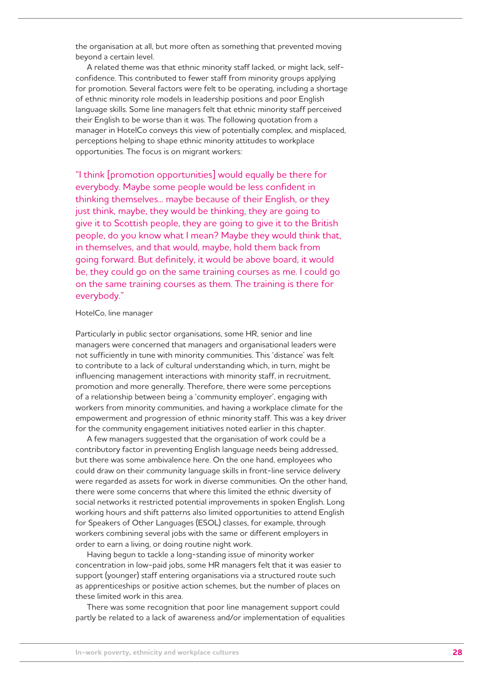the organisation at all, but more often as something that prevented moving beyond a certain level.

A related theme was that ethnic minority staff lacked, or might lack, selfconfidence. This contributed to fewer staff from minority groups applying for promotion. Several factors were felt to be operating, including a shortage of ethnic minority role models in leadership positions and poor English language skills. Some line managers felt that ethnic minority staff perceived their English to be worse than it was. The following quotation from a manager in HotelCo conveys this view of potentially complex, and misplaced, perceptions helping to shape ethnic minority attitudes to workplace opportunities. The focus is on migrant workers:

"I think [promotion opportunities] would equally be there for everybody. Maybe some people would be less confident in thinking themselves... maybe because of their English, or they just think, maybe, they would be thinking, they are going to give it to Scottish people, they are going to give it to the British people, do you know what I mean? Maybe they would think that, in themselves, and that would, maybe, hold them back from going forward. But definitely, it would be above board, it would be, they could go on the same training courses as me. I could go on the same training courses as them. The training is there for everybody."

#### HotelCo, line manager

Particularly in public sector organisations, some HR, senior and line managers were concerned that managers and organisational leaders were not sufficiently in tune with minority communities. This 'distance' was felt to contribute to a lack of cultural understanding which, in turn, might be influencing management interactions with minority staff, in recruitment, promotion and more generally. Therefore, there were some perceptions of a relationship between being a 'community employer', engaging with workers from minority communities, and having a workplace climate for the empowerment and progression of ethnic minority staff. This was a key driver for the community engagement initiatives noted earlier in this chapter.

A few managers suggested that the organisation of work could be a contributory factor in preventing English language needs being addressed, but there was some ambivalence here. On the one hand, employees who could draw on their community language skills in front-line service delivery were regarded as assets for work in diverse communities. On the other hand, there were some concerns that where this limited the ethnic diversity of social networks it restricted potential improvements in spoken English. Long working hours and shift patterns also limited opportunities to attend English for Speakers of Other Languages (ESOL) classes, for example, through workers combining several jobs with the same or different employers in order to earn a living, or doing routine night work.

Having begun to tackle a long-standing issue of minority worker concentration in low-paid jobs, some HR managers felt that it was easier to support (younger) staff entering organisations via a structured route such as apprenticeships or positive action schemes, but the number of places on these limited work in this area.

There was some recognition that poor line management support could partly be related to a lack of awareness and/or implementation of equalities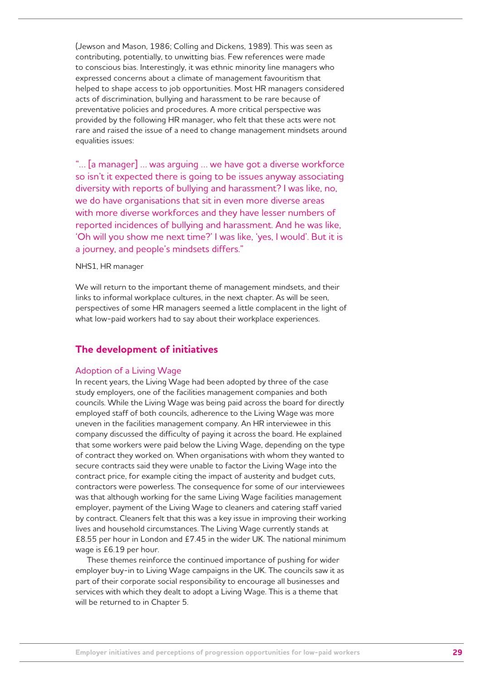(Jewson and Mason, 1986; Colling and Dickens, 1989). This was seen as contributing, potentially, to unwitting bias. Few references were made to conscious bias. Interestingly, it was ethnic minority line managers who expressed concerns about a climate of management favouritism that helped to shape access to job opportunities. Most HR managers considered acts of discrimination, bullying and harassment to be rare because of preventative policies and procedures. A more critical perspective was provided by the following HR manager, who felt that these acts were not rare and raised the issue of a need to change management mindsets around equalities issues:

"… [a manager] … was arguing … we have got a diverse workforce so isn't it expected there is going to be issues anyway associating diversity with reports of bullying and harassment? I was like, no, we do have organisations that sit in even more diverse areas with more diverse workforces and they have lesser numbers of reported incidences of bullying and harassment. And he was like, 'Oh will you show me next time?' I was like, 'yes, I would'. But it is a journey, and people's mindsets differs."

#### NHS1, HR manager

We will return to the important theme of management mindsets, and their links to informal workplace cultures, in the next chapter. As will be seen, perspectives of some HR managers seemed a little complacent in the light of what low-paid workers had to say about their workplace experiences.

## **The development of initiatives**

#### Adoption of a Living Wage

In recent years, the Living Wage had been adopted by three of the case study employers, one of the facilities management companies and both councils. While the Living Wage was being paid across the board for directly employed staff of both councils, adherence to the Living Wage was more uneven in the facilities management company. An HR interviewee in this company discussed the difficulty of paying it across the board. He explained that some workers were paid below the Living Wage, depending on the type of contract they worked on. When organisations with whom they wanted to secure contracts said they were unable to factor the Living Wage into the contract price, for example citing the impact of austerity and budget cuts, contractors were powerless. The consequence for some of our interviewees was that although working for the same Living Wage facilities management employer, payment of the Living Wage to cleaners and catering staff varied by contract. Cleaners felt that this was a key issue in improving their working lives and household circumstances. The Living Wage currently stands at £8.55 per hour in London and £7.45 in the wider UK. The national minimum wage is £6.19 per hour.

These themes reinforce the continued importance of pushing for wider employer buy-in to Living Wage campaigns in the UK. The councils saw it as part of their corporate social responsibility to encourage all businesses and services with which they dealt to adopt a Living Wage. This is a theme that will be returned to in Chapter 5.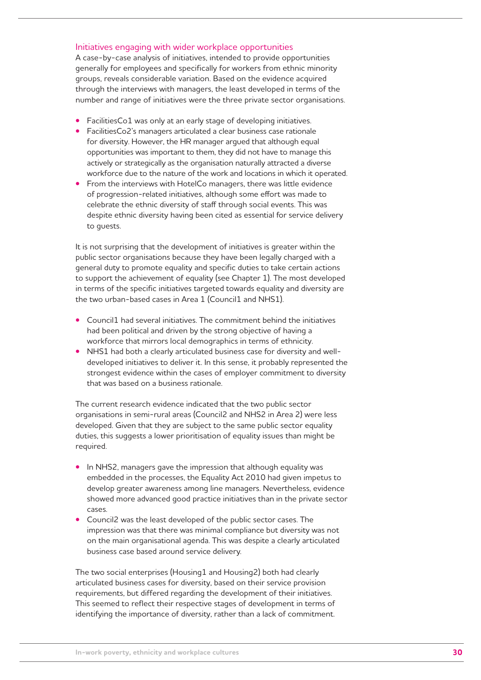## Initiatives engaging with wider workplace opportunities

A case-by-case analysis of initiatives, intended to provide opportunities generally for employees and specifically for workers from ethnic minority groups, reveals considerable variation. Based on the evidence acquired through the interviews with managers, the least developed in terms of the number and range of initiatives were the three private sector organisations.

- FacilitiesCo1 was only at an early stage of developing initiatives.
- FacilitiesCo2's managers articulated a clear business case rationale for diversity. However, the HR manager argued that although equal opportunities was important to them, they did not have to manage this actively or strategically as the organisation naturally attracted a diverse workforce due to the nature of the work and locations in which it operated.
- From the interviews with HotelCo managers, there was little evidence of progression-related initiatives, although some effort was made to celebrate the ethnic diversity of staff through social events. This was despite ethnic diversity having been cited as essential for service delivery to guests.

It is not surprising that the development of initiatives is greater within the public sector organisations because they have been legally charged with a general duty to promote equality and specific duties to take certain actions to support the achievement of equality (see Chapter 1). The most developed in terms of the specific initiatives targeted towards equality and diversity are the two urban-based cases in Area 1 (Council1 and NHS1).

- Council1 had several initiatives. The commitment behind the initiatives had been political and driven by the strong objective of having a workforce that mirrors local demographics in terms of ethnicity.
- NHS1 had both a clearly articulated business case for diversity and welldeveloped initiatives to deliver it. In this sense, it probably represented the strongest evidence within the cases of employer commitment to diversity that was based on a business rationale.

The current research evidence indicated that the two public sector organisations in semi-rural areas (Council2 and NHS2 in Area 2) were less developed. Given that they are subject to the same public sector equality duties, this suggests a lower prioritisation of equality issues than might be required.

- In NHS2, managers gave the impression that although equality was embedded in the processes, the Equality Act 2010 had given impetus to develop greater awareness among line managers. Nevertheless, evidence showed more advanced good practice initiatives than in the private sector cases.
- Council2 was the least developed of the public sector cases. The impression was that there was minimal compliance but diversity was not on the main organisational agenda. This was despite a clearly articulated business case based around service delivery.

The two social enterprises (Housing1 and Housing2) both had clearly articulated business cases for diversity, based on their service provision requirements, but differed regarding the development of their initiatives. This seemed to reflect their respective stages of development in terms of identifying the importance of diversity, rather than a lack of commitment.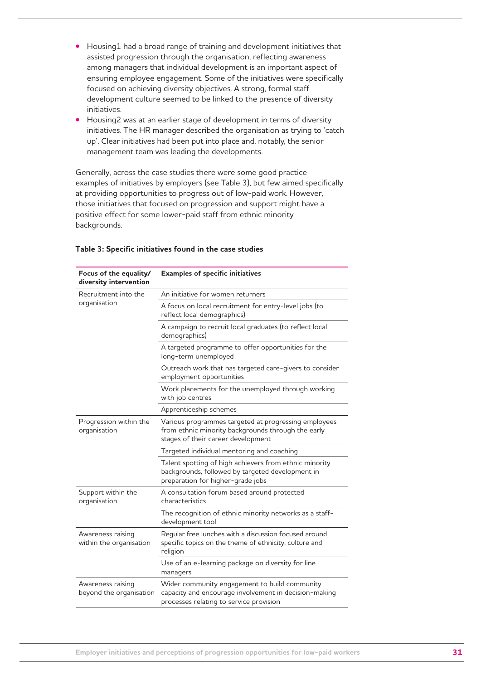- **•**  Housing1 had a broad range of training and development initiatives that assisted progression through the organisation, reflecting awareness among managers that individual development is an important aspect of ensuring employee engagement. Some of the initiatives were specifically focused on achieving diversity objectives. A strong, formal staff development culture seemed to be linked to the presence of diversity initiatives.
- **Housing2** was at an earlier stage of development in terms of diversity initiatives. The HR manager described the organisation as trying to 'catch up'. Clear initiatives had been put into place and, notably, the senior management team was leading the developments.

Generally, across the case studies there were some good practice examples of initiatives by employers (see Table 3), but few aimed specifically at providing opportunities to progress out of low-paid work. However, those initiatives that focused on progression and support might have a positive effect for some lower-paid staff from ethnic minority backgrounds.

| Focus of the equality/<br>diversity intervention | <b>Examples of specific initiatives</b>                                                                                                           |  |
|--------------------------------------------------|---------------------------------------------------------------------------------------------------------------------------------------------------|--|
| Recruitment into the                             | An initiative for women returners                                                                                                                 |  |
| organisation                                     | A focus on local recruitment for entry-level jobs (to<br>reflect local demographics)                                                              |  |
|                                                  | A campaign to recruit local graduates (to reflect local<br>demographics)                                                                          |  |
|                                                  | A targeted programme to offer opportunities for the<br>long-term unemployed                                                                       |  |
|                                                  | Outreach work that has targeted care-givers to consider<br>employment opportunities                                                               |  |
|                                                  | Work placements for the unemployed through working<br>with job centres                                                                            |  |
|                                                  | Apprenticeship schemes                                                                                                                            |  |
| Progression within the<br>organisation           | Various programmes targeted at progressing employees<br>from ethnic minority backgrounds through the early<br>stages of their career development  |  |
|                                                  | Targeted individual mentoring and coaching                                                                                                        |  |
|                                                  | Talent spotting of high achievers from ethnic minority<br>backgrounds, followed by targeted development in<br>preparation for higher-grade jobs   |  |
| Support within the<br>organisation               | A consultation forum based around protected<br>characteristics                                                                                    |  |
|                                                  | The recognition of ethnic minority networks as a staff-<br>development tool                                                                       |  |
| Awareness raising<br>within the organisation     | Regular free lunches with a discussion focused around<br>specific topics on the theme of ethnicity, culture and<br>religion                       |  |
|                                                  | Use of an e-learning package on diversity for line<br>managers                                                                                    |  |
| Awareness raising<br>beyond the organisation     | Wider community engagement to build community<br>capacity and encourage involvement in decision-making<br>processes relating to service provision |  |

#### **Table 3: Specific initiatives found in the case studies**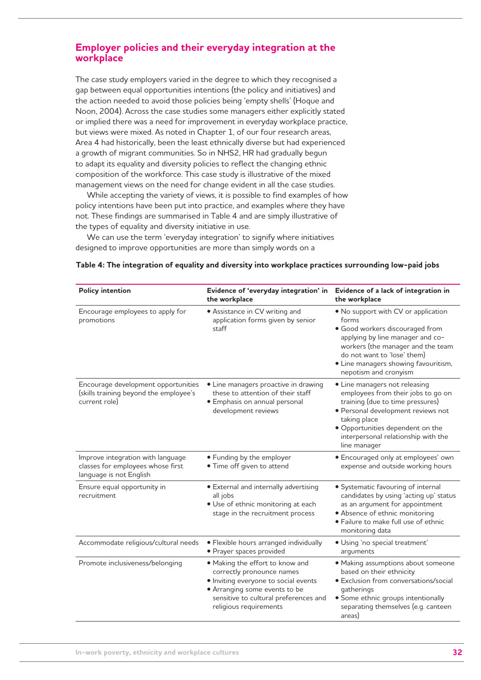## **Employer policies and their everyday integration at the workplace**

The case study employers varied in the degree to which they recognised a gap between equal opportunities intentions (the policy and initiatives) and the action needed to avoid those policies being 'empty shells' (Hoque and Noon, 2004). Across the case studies some managers either explicitly stated or implied there was a need for improvement in everyday workplace practice, but views were mixed. As noted in Chapter 1, of our four research areas, Area 4 had historically, been the least ethnically diverse but had experienced a growth of migrant communities. So in NHS2, HR had gradually begun to adapt its equality and diversity policies to reflect the changing ethnic composition of the workforce. This case study is illustrative of the mixed management views on the need for change evident in all the case studies.

While accepting the variety of views, it is possible to find examples of how policy intentions have been put into practice, and examples where they have not. These findings are summarised in Table 4 and are simply illustrative of the types of equality and diversity initiative in use.

We can use the term 'everyday integration' to signify where initiatives designed to improve opportunities are more than simply words on a

| <b>Policy intention</b>                                                                           | Evidence of 'everyday integration' in<br>the workplace                                                                                                                                                   | Evidence of a lack of integration in<br>the workplace                                                                                                                                                                                                    |
|---------------------------------------------------------------------------------------------------|----------------------------------------------------------------------------------------------------------------------------------------------------------------------------------------------------------|----------------------------------------------------------------------------------------------------------------------------------------------------------------------------------------------------------------------------------------------------------|
| Encourage employees to apply for<br>promotions                                                    | • Assistance in CV writing and<br>application forms given by senior<br>staff                                                                                                                             | . No support with CV or application<br>forms<br>· Good workers discouraged from<br>applying by line manager and co-<br>workers (the manager and the team<br>do not want to 'lose' them)<br>• Line managers showing favouritism,<br>nepotism and cronyism |
| Encourage development opportunities<br>(skills training beyond the employee's<br>current role)    | • Line managers proactive in drawing<br>these to attention of their staff<br>· Emphasis on annual personal<br>development reviews                                                                        | • Line managers not releasing<br>employees from their jobs to go on<br>training (due to time pressures)<br>· Personal development reviews not<br>taking place<br>· Opportunities dependent on the<br>interpersonal relationship with the<br>line manager |
| Improve integration with language<br>classes for employees whose first<br>language is not English | • Funding by the employer<br>. Time off given to attend                                                                                                                                                  | · Encouraged only at employees' own<br>expense and outside working hours                                                                                                                                                                                 |
| Ensure equal opportunity in<br>recruitment                                                        | • External and internally advertising<br>all jobs<br>· Use of ethnic monitoring at each<br>stage in the recruitment process                                                                              | · Systematic favouring of internal<br>candidates by using 'acting up' status<br>as an argument for appointment<br>• Absence of ethnic monitoring<br>· Failure to make full use of ethnic<br>monitoring data                                              |
| Accommodate religious/cultural needs                                                              | · Flexible hours arranged individually<br>· Prayer spaces provided                                                                                                                                       | · Using 'no special treatment'<br>arquments                                                                                                                                                                                                              |
| Promote inclusiveness/belonging                                                                   | . Making the effort to know and<br>correctly pronounce names<br>· Inviting everyone to social events<br>• Arranging some events to be<br>sensitive to cultural preferences and<br>religious requirements | · Making assumptions about someone<br>based on their ethnicity<br>· Exclusion from conversations/social<br>gatherings<br>· Some ethnic groups intentionally<br>separating themselves (e.g. canteen<br>areas)                                             |

#### **Table 4: The integration of equality and diversity into workplace practices surrounding low-paid jobs**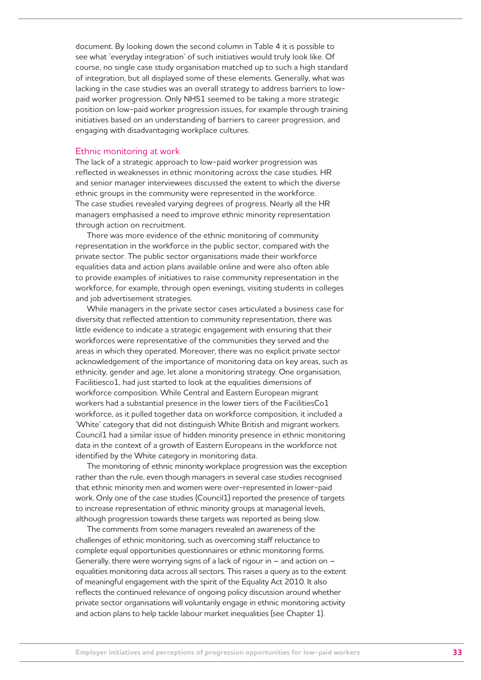document. By looking down the second column in Table 4 it is possible to see what 'everyday integration' of such initiatives would truly look like. Of course, no single case study organisation matched up to such a high standard of integration, but all displayed some of these elements. Generally, what was lacking in the case studies was an overall strategy to address barriers to lowpaid worker progression. Only NHS1 seemed to be taking a more strategic position on low-paid worker progression issues, for example through training initiatives based on an understanding of barriers to career progression, and engaging with disadvantaging workplace cultures.

#### Ethnic monitoring at work

The lack of a strategic approach to low-paid worker progression was reflected in weaknesses in ethnic monitoring across the case studies. HR and senior manager interviewees discussed the extent to which the diverse ethnic groups in the community were represented in the workforce. The case studies revealed varying degrees of progress. Nearly all the HR managers emphasised a need to improve ethnic minority representation through action on recruitment.

There was more evidence of the ethnic monitoring of community representation in the workforce in the public sector, compared with the private sector. The public sector organisations made their workforce equalities data and action plans available online and were also often able to provide examples of initiatives to raise community representation in the workforce, for example, through open evenings, visiting students in colleges and job advertisement strategies.

While managers in the private sector cases articulated a business case for diversity that reflected attention to community representation, there was little evidence to indicate a strategic engagement with ensuring that their workforces were representative of the communities they served and the areas in which they operated. Moreover, there was no explicit private sector acknowledgement of the importance of monitoring data on key areas, such as ethnicity, gender and age, let alone a monitoring strategy. One organisation, Facilitiesco1, had just started to look at the equalities dimensions of workforce composition. While Central and Eastern European migrant workers had a substantial presence in the lower tiers of the FacilitiesCo1 workforce, as it pulled together data on workforce composition, it included a 'White' category that did not distinguish White British and migrant workers. Council1 had a similar issue of hidden minority presence in ethnic monitoring data in the context of a growth of Eastern Europeans in the workforce not identified by the White category in monitoring data.

The monitoring of ethnic minority workplace progression was the exception rather than the rule, even though managers in several case studies recognised that ethnic minority men and women were over-represented in lower-paid work. Only one of the case studies (Council1) reported the presence of targets to increase representation of ethnic minority groups at managerial levels, although progression towards these targets was reported as being slow.

The comments from some managers revealed an awareness of the challenges of ethnic monitoring, such as overcoming staff reluctance to complete equal opportunities questionnaires or ethnic monitoring forms. Generally, there were worrying signs of a lack of rigour in – and action on – equalities monitoring data across all sectors. This raises a query as to the extent of meaningful engagement with the spirit of the Equality Act 2010. It also reflects the continued relevance of ongoing policy discussion around whether private sector organisations will voluntarily engage in ethnic monitoring activity and action plans to help tackle labour market inequalities (see Chapter 1).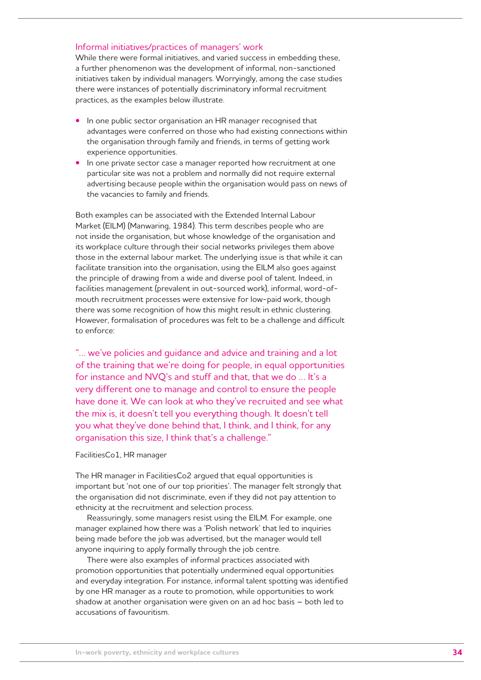#### Informal initiatives/practices of managers' work

While there were formal initiatives, and varied success in embedding these, a further phenomenon was the development of informal, non-sanctioned initiatives taken by individual managers. Worryingly, among the case studies there were instances of potentially discriminatory informal recruitment practices, as the examples below illustrate.

- **•** In one public sector organisation an HR manager recognised that advantages were conferred on those who had existing connections within the organisation through family and friends, in terms of getting work experience opportunities.
- In one private sector case a manager reported how recruitment at one particular site was not a problem and normally did not require external advertising because people within the organisation would pass on news of the vacancies to family and friends.

Both examples can be associated with the Extended Internal Labour Market (EILM) (Manwaring, 1984). This term describes people who are not inside the organisation, but whose knowledge of the organisation and its workplace culture through their social networks privileges them above those in the external labour market. The underlying issue is that while it can facilitate transition into the organisation, using the EILM also goes against the principle of drawing from a wide and diverse pool of talent. Indeed, in facilities management (prevalent in out-sourced work), informal, word-ofmouth recruitment processes were extensive for low-paid work, though there was some recognition of how this might result in ethnic clustering. However, formalisation of procedures was felt to be a challenge and difficult to enforce:

"… we've policies and guidance and advice and training and a lot of the training that we're doing for people, in equal opportunities for instance and NVQ's and stuff and that, that we do … It's a very different one to manage and control to ensure the people have done it. We can look at who they've recruited and see what the mix is, it doesn't tell you everything though. It doesn't tell you what they've done behind that, I think, and I think, for any organisation this size, I think that's a challenge."

#### FacilitiesCo1, HR manager

The HR manager in FacilitiesCo2 argued that equal opportunities is important but 'not one of our top priorities'. The manager felt strongly that the organisation did not discriminate, even if they did not pay attention to ethnicity at the recruitment and selection process.

Reassuringly, some managers resist using the EILM. For example, one manager explained how there was a 'Polish network' that led to inquiries being made before the job was advertised, but the manager would tell anyone inquiring to apply formally through the job centre.

There were also examples of informal practices associated with promotion opportunities that potentially undermined equal opportunities and everyday integration. For instance, informal talent spotting was identified by one HR manager as a route to promotion, while opportunities to work shadow at another organisation were given on an ad hoc basis – both led to accusations of favouritism.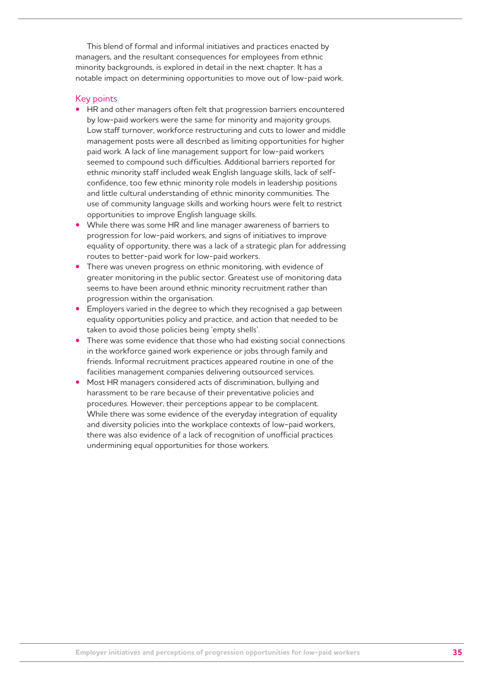This blend of formal and informal initiatives and practices enacted by managers, and the resultant consequences for employees from ethnic minority backgrounds, is explored in detail in the next chapter. It has a notable impact on determining opportunities to move out of low-paid work.

#### Key points

- **HR** and other managers often felt that progression barriers encountered by low-paid workers were the same for minority and majority groups. Low staff turnover, workforce restructuring and cuts to lower and middle management posts were all described as limiting opportunities for higher paid work. A lack of line management support for low-paid workers seemed to compound such difficulties. Additional barriers reported for ethnic minority staff included weak English language skills, lack of selfconfidence, too few ethnic minority role models in leadership positions and little cultural understanding of ethnic minority communities. The use of community language skills and working hours were felt to restrict opportunities to improve English language skills.
- While there was some HR and line manager awareness of barriers to progression for low-paid workers, and signs of initiatives to improve equality of opportunity, there was a lack of a strategic plan for addressing routes to better-paid work for low-paid workers.
- There was uneven progress on ethnic monitoring, with evidence of greater monitoring in the public sector. Greatest use of monitoring data seems to have been around ethnic minority recruitment rather than progression within the organisation.
- Employers varied in the degree to which they recognised a gap between equality opportunities policy and practice, and action that needed to be taken to avoid those policies being 'empty shells'.
- There was some evidence that those who had existing social connections in the workforce gained work experience or jobs through family and friends. Informal recruitment practices appeared routine in one of the facilities management companies delivering outsourced services.
- Most HR managers considered acts of discrimination, bullying and harassment to be rare because of their preventative policies and procedures. However, their perceptions appear to be complacent. While there was some evidence of the everyday integration of equality and diversity policies into the workplace contexts of low-paid workers, there was also evidence of a lack of recognition of unofficial practices undermining equal opportunities for those workers.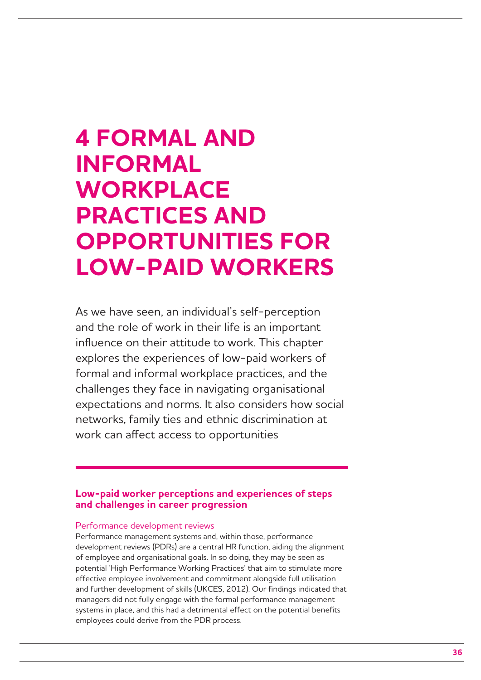## **4 FORMAL AND INFORMAL WORKPLACE PRACTICES AND OPPORTUNITIES FOR LOW-PAID WORKERS**

As we have seen, an individual's self-perception and the role of work in their life is an important influence on their attitude to work. This chapter explores the experiences of low-paid workers of formal and informal workplace practices, and the challenges they face in navigating organisational expectations and norms. It also considers how social networks, family ties and ethnic discrimination at work can affect access to opportunities

## **Low-paid worker perceptions and experiences of steps and challenges in career progression**

#### Performance development reviews

Performance management systems and, within those, performance development reviews (PDRs) are a central HR function, aiding the alignment of employee and organisational goals. In so doing, they may be seen as potential 'High Performance Working Practices' that aim to stimulate more effective employee involvement and commitment alongside full utilisation and further development of skills (UKCES, 2012). Our findings indicated that managers did not fully engage with the formal performance management systems in place, and this had a detrimental effect on the potential benefits employees could derive from the PDR process.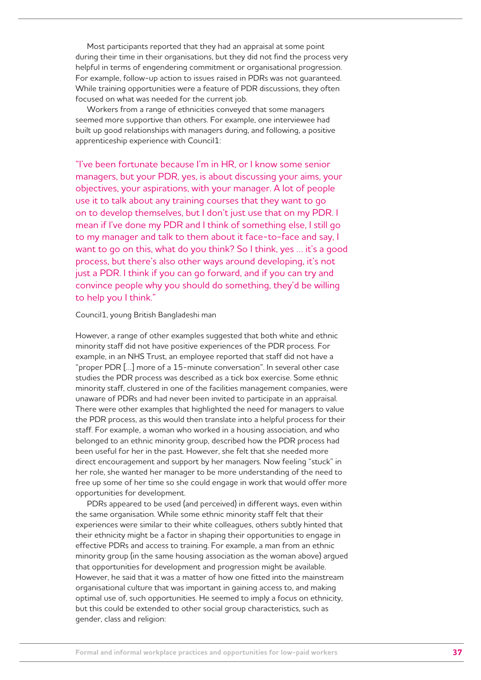Most participants reported that they had an appraisal at some point during their time in their organisations, but they did not find the process very helpful in terms of engendering commitment or organisational progression. For example, follow-up action to issues raised in PDRs was not guaranteed. While training opportunities were a feature of PDR discussions, they often focused on what was needed for the current job.

Workers from a range of ethnicities conveyed that some managers seemed more supportive than others. For example, one interviewee had built up good relationships with managers during, and following, a positive apprenticeship experience with Council1:

"I've been fortunate because I'm in HR, or I know some senior managers, but your PDR, yes, is about discussing your aims, your objectives, your aspirations, with your manager. A lot of people use it to talk about any training courses that they want to go on to develop themselves, but I don't just use that on my PDR. I mean if I've done my PDR and I think of something else, I still go to my manager and talk to them about it face-to-face and say, I want to go on this, what do you think? So I think, yes … it's a good process, but there's also other ways around developing, it's not just a PDR. I think if you can go forward, and if you can try and convince people why you should do something, they'd be willing to help you I think."

#### Council1, young British Bangladeshi man

However, a range of other examples suggested that both white and ethnic minority staff did not have positive experiences of the PDR process. For example, in an NHS Trust, an employee reported that staff did not have a "proper PDR […] more of a 15-minute conversation". In several other case studies the PDR process was described as a tick box exercise. Some ethnic minority staff, clustered in one of the facilities management companies, were unaware of PDRs and had never been invited to participate in an appraisal. There were other examples that highlighted the need for managers to value the PDR process, as this would then translate into a helpful process for their staff. For example, a woman who worked in a housing association, and who belonged to an ethnic minority group, described how the PDR process had been useful for her in the past. However, she felt that she needed more direct encouragement and support by her managers. Now feeling "stuck" in her role, she wanted her manager to be more understanding of the need to free up some of her time so she could engage in work that would offer more opportunities for development.

PDRs appeared to be used (and perceived) in different ways, even within the same organisation. While some ethnic minority staff felt that their experiences were similar to their white colleagues, others subtly hinted that their ethnicity might be a factor in shaping their opportunities to engage in effective PDRs and access to training. For example, a man from an ethnic minority group (in the same housing association as the woman above) argued that opportunities for development and progression might be available. However, he said that it was a matter of how one fitted into the mainstream organisational culture that was important in gaining access to, and making optimal use of, such opportunities. He seemed to imply a focus on ethnicity, but this could be extended to other social group characteristics, such as gender, class and religion: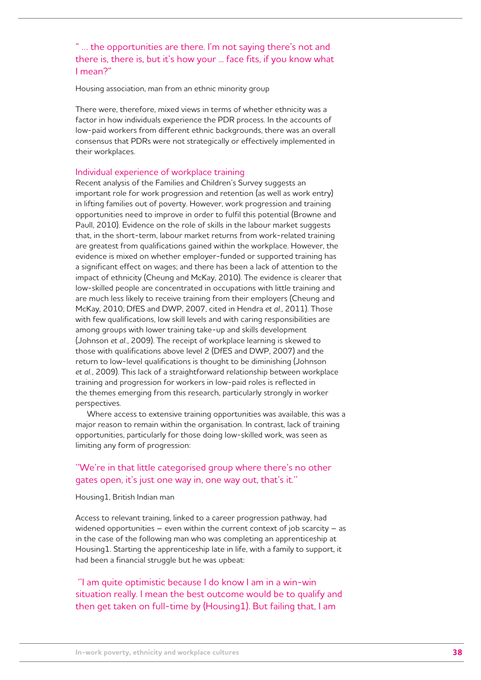" … the opportunities are there. I'm not saying there's not and there is, there is, but it's how your ... face fits, if you know what I mean?"

Housing association, man from an ethnic minority group

There were, therefore, mixed views in terms of whether ethnicity was a factor in how individuals experience the PDR process. In the accounts of low-paid workers from different ethnic backgrounds, there was an overall consensus that PDRs were not strategically or effectively implemented in their workplaces.

#### Individual experience of workplace training

Recent analysis of the Families and Children's Survey suggests an important role for work progression and retention (as well as work entry) in lifting families out of poverty. However, work progression and training opportunities need to improve in order to fulfil this potential (Browne and Paull, 2010). Evidence on the role of skills in the labour market suggests that, in the short-term, labour market returns from work-related training are greatest from qualifications gained within the workplace. However, the evidence is mixed on whether employer-funded or supported training has a significant effect on wages; and there has been a lack of attention to the impact of ethnicity (Cheung and McKay, 2010). The evidence is clearer that low-skilled people are concentrated in occupations with little training and are much less likely to receive training from their employers (Cheung and McKay, 2010; DfES and DWP, 2007, cited in Hendra *et al*., 2011). Those with few qualifications, low skill levels and with caring responsibilities are among groups with lower training take-up and skills development (Johnson *et al.*, 2009). The receipt of workplace learning is skewed to those with qualifications above level 2 (DfES and DWP, 2007) and the return to low-level qualifications is thought to be diminishing (Johnson *et al.*, 2009). This lack of a straightforward relationship between workplace training and progression for workers in low-paid roles is reflected in the themes emerging from this research, particularly strongly in worker perspectives.

Where access to extensive training opportunities was available, this was a major reason to remain within the organisation. In contrast, lack of training opportunities, particularly for those doing low-skilled work, was seen as limiting any form of progression:

# ''We're in that little categorised group where there's no other gates open, it's just one way in, one way out, that's it.''

#### Housing1, British Indian man

Access to relevant training, linked to a career progression pathway, had widened opportunities – even within the current context of job scarcity – as in the case of the following man who was completing an apprenticeship at Housing1. Starting the apprenticeship late in life, with a family to support, it had been a financial struggle but he was upbeat:

 ''I am quite optimistic because I do know I am in a win-win situation really. I mean the best outcome would be to qualify and then get taken on full-time by (Housing1). But failing that, I am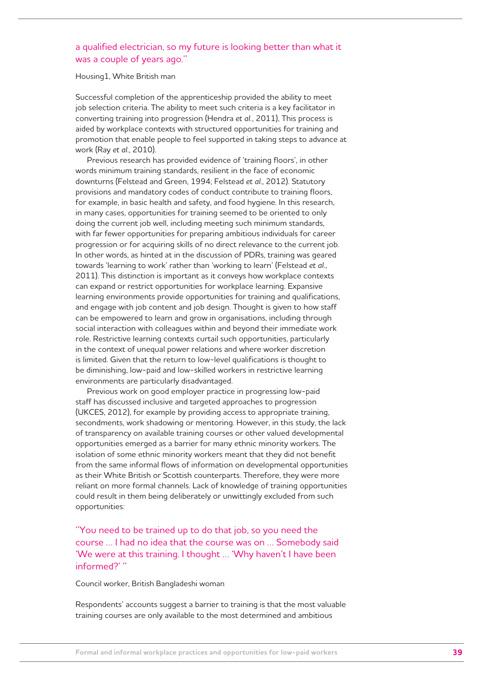# a qualified electrician, so my future is looking better than what it was a couple of years ago.''

Housing1, White British man

Successful completion of the apprenticeship provided the ability to meet job selection criteria. The ability to meet such criteria is a key facilitator in converting training into progression (Hendra *et al.*, 2011), This process is aided by workplace contexts with structured opportunities for training and promotion that enable people to feel supported in taking steps to advance at work (Ray *et al*., 2010).

Previous research has provided evidence of 'training floors', in other words minimum training standards, resilient in the face of economic downturns (Felstead and Green, 1994; Felstead *et al*., 2012). Statutory provisions and mandatory codes of conduct contribute to training floors, for example, in basic health and safety, and food hygiene. In this research, in many cases, opportunities for training seemed to be oriented to only doing the current job well, including meeting such minimum standards, with far fewer opportunities for preparing ambitious individuals for career progression or for acquiring skills of no direct relevance to the current job. In other words, as hinted at in the discussion of PDRs, training was geared towards 'learning to work' rather than 'working to learn' (Felstead *et al*., 2011). This distinction is important as it conveys how workplace contexts can expand or restrict opportunities for workplace learning. Expansive learning environments provide opportunities for training and qualifications, and engage with job content and job design. Thought is given to how staff can be empowered to learn and grow in organisations, including through social interaction with colleagues within and beyond their immediate work role. Restrictive learning contexts curtail such opportunities, particularly in the context of unequal power relations and where worker discretion is limited. Given that the return to low-level qualifications is thought to be diminishing, low-paid and low-skilled workers in restrictive learning environments are particularly disadvantaged.

Previous work on good employer practice in progressing low-paid staff has discussed inclusive and targeted approaches to progression (UKCES, 2012), for example by providing access to appropriate training, secondments, work shadowing or mentoring. However, in this study, the lack of transparency on available training courses or other valued developmental opportunities emerged as a barrier for many ethnic minority workers. The isolation of some ethnic minority workers meant that they did not benefit from the same informal flows of information on developmental opportunities as their White British or Scottish counterparts. Therefore, they were more reliant on more formal channels. Lack of knowledge of training opportunities could result in them being deliberately or unwittingly excluded from such opportunities:

''You need to be trained up to do that job, so you need the course … I had no idea that the course was on … Somebody said 'We were at this training. I thought … 'Why haven't I have been informed?' ''

Council worker, British Bangladeshi woman

Respondents' accounts suggest a barrier to training is that the most valuable training courses are only available to the most determined and ambitious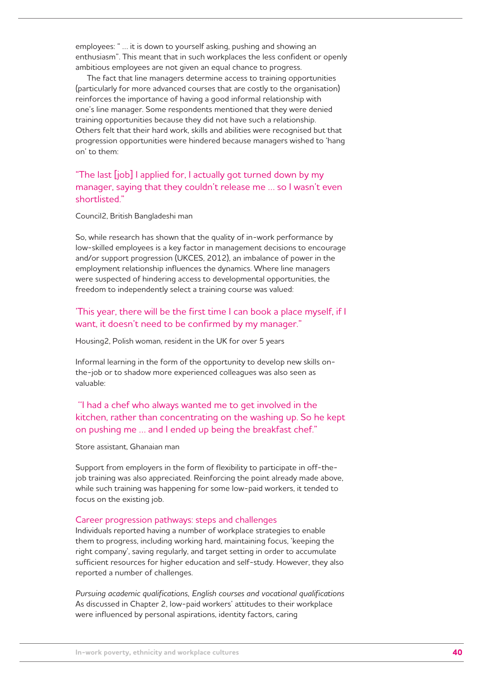employees: " … it is down to yourself asking, pushing and showing an enthusiasm". This meant that in such workplaces the less confident or openly ambitious employees are not given an equal chance to progress.

The fact that line managers determine access to training opportunities (particularly for more advanced courses that are costly to the organisation) reinforces the importance of having a good informal relationship with one's line manager. Some respondents mentioned that they were denied training opportunities because they did not have such a relationship. Others felt that their hard work, skills and abilities were recognised but that progression opportunities were hindered because managers wished to 'hang on' to them:

"The last [job] I applied for, I actually got turned down by my manager, saying that they couldn't release me … so I wasn't even shortlisted."

#### Council2, British Bangladeshi man

So, while research has shown that the quality of in-work performance by low-skilled employees is a key factor in management decisions to encourage and/or support progression (UKCES, 2012), an imbalance of power in the employment relationship influences the dynamics. Where line managers were suspected of hindering access to developmental opportunities, the freedom to independently select a training course was valued:

## 'This year, there will be the first time I can book a place myself, if I want, it doesn't need to be confirmed by my manager."

Housing2, Polish woman, resident in the UK for over 5 years

Informal learning in the form of the opportunity to develop new skills onthe-job or to shadow more experienced colleagues was also seen as valuable:

 ''I had a chef who always wanted me to get involved in the kitchen, rather than concentrating on the washing up. So he kept on pushing me … and I ended up being the breakfast chef."

## Store assistant, Ghanaian man

Support from employers in the form of flexibility to participate in off-thejob training was also appreciated. Reinforcing the point already made above, while such training was happening for some low-paid workers, it tended to focus on the existing job.

#### Career progression pathways: steps and challenges

Individuals reported having a number of workplace strategies to enable them to progress, including working hard, maintaining focus, 'keeping the right company', saving regularly, and target setting in order to accumulate sufficient resources for higher education and self-study. However, they also reported a number of challenges.

*Pursuing academic qualifications, English courses and vocational qualifications*  As discussed in Chapter 2, low-paid workers' attitudes to their workplace were influenced by personal aspirations, identity factors, caring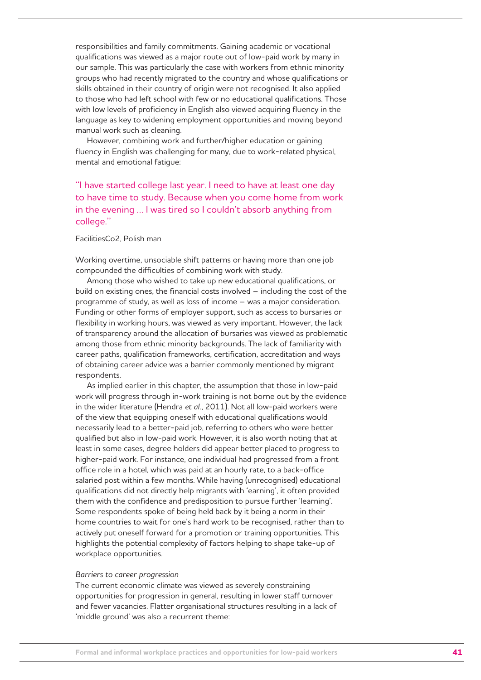responsibilities and family commitments. Gaining academic or vocational qualifications was viewed as a major route out of low-paid work by many in our sample. This was particularly the case with workers from ethnic minority groups who had recently migrated to the country and whose qualifications or skills obtained in their country of origin were not recognised. It also applied to those who had left school with few or no educational qualifications. Those with low levels of proficiency in English also viewed acquiring fluency in the language as key to widening employment opportunities and moving beyond manual work such as cleaning.

However, combining work and further/higher education or gaining fluency in English was challenging for many, due to work-related physical, mental and emotional fatigue:

''I have started college last year. I need to have at least one day to have time to study. Because when you come home from work in the evening … I was tired so I couldn't absorb anything from college.''

## FacilitiesCo2, Polish man

Working overtime, unsociable shift patterns or having more than one job compounded the difficulties of combining work with study.

Among those who wished to take up new educational qualifications, or build on existing ones, the financial costs involved – including the cost of the programme of study, as well as loss of income – was a major consideration. Funding or other forms of employer support, such as access to bursaries or flexibility in working hours, was viewed as very important. However, the lack of transparency around the allocation of bursaries was viewed as problematic among those from ethnic minority backgrounds. The lack of familiarity with career paths, qualification frameworks, certification, accreditation and ways of obtaining career advice was a barrier commonly mentioned by migrant respondents.

As implied earlier in this chapter, the assumption that those in low-paid work will progress through in-work training is not borne out by the evidence in the wider literature (Hendra *et al.*, 2011). Not all low-paid workers were of the view that equipping oneself with educational qualifications would necessarily lead to a better-paid job, referring to others who were better qualified but also in low-paid work. However, it is also worth noting that at least in some cases, degree holders did appear better placed to progress to higher-paid work. For instance, one individual had progressed from a front office role in a hotel, which was paid at an hourly rate, to a back-office salaried post within a few months. While having (unrecognised) educational qualifications did not directly help migrants with 'earning', it often provided them with the confidence and predisposition to pursue further 'learning'. Some respondents spoke of being held back by it being a norm in their home countries to wait for one's hard work to be recognised, rather than to actively put oneself forward for a promotion or training opportunities. This highlights the potential complexity of factors helping to shape take-up of workplace opportunities.

#### *Barriers to career progression*

The current economic climate was viewed as severely constraining opportunities for progression in general, resulting in lower staff turnover and fewer vacancies. Flatter organisational structures resulting in a lack of 'middle ground' was also a recurrent theme: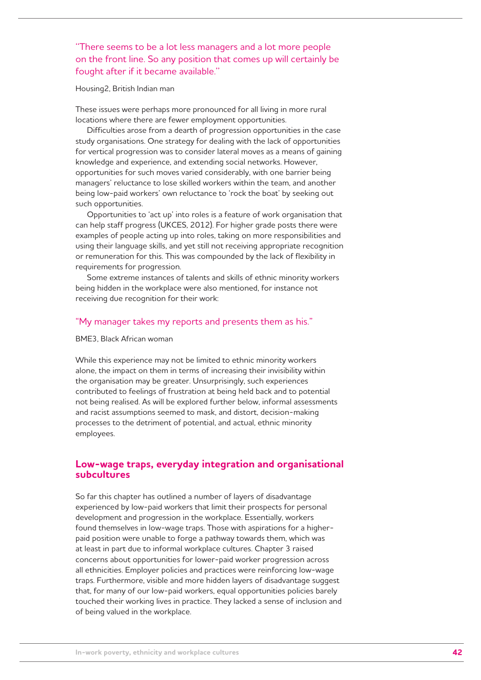# ''There seems to be a lot less managers and a lot more people on the front line. So any position that comes up will certainly be fought after if it became available.''

#### Housing2, British Indian man

These issues were perhaps more pronounced for all living in more rural locations where there are fewer employment opportunities.

Difficulties arose from a dearth of progression opportunities in the case study organisations. One strategy for dealing with the lack of opportunities for vertical progression was to consider lateral moves as a means of gaining knowledge and experience, and extending social networks. However, opportunities for such moves varied considerably, with one barrier being managers' reluctance to lose skilled workers within the team, and another being low-paid workers' own reluctance to 'rock the boat' by seeking out such opportunities.

Opportunities to 'act up' into roles is a feature of work organisation that can help staff progress (UKCES, 2012). For higher grade posts there were examples of people acting up into roles, taking on more responsibilities and using their language skills, and yet still not receiving appropriate recognition or remuneration for this. This was compounded by the lack of flexibility in requirements for progression.

Some extreme instances of talents and skills of ethnic minority workers being hidden in the workplace were also mentioned, for instance not receiving due recognition for their work:

## "My manager takes my reports and presents them as his."

#### BME3, Black African woman

While this experience may not be limited to ethnic minority workers alone, the impact on them in terms of increasing their invisibility within the organisation may be greater. Unsurprisingly, such experiences contributed to feelings of frustration at being held back and to potential not being realised. As will be explored further below, informal assessments and racist assumptions seemed to mask, and distort, decision-making processes to the detriment of potential, and actual, ethnic minority employees.

# **Low-wage traps, everyday integration and organisational subcultures**

So far this chapter has outlined a number of layers of disadvantage experienced by low-paid workers that limit their prospects for personal development and progression in the workplace. Essentially, workers found themselves in low-wage traps. Those with aspirations for a higherpaid position were unable to forge a pathway towards them, which was at least in part due to informal workplace cultures. Chapter 3 raised concerns about opportunities for lower-paid worker progression across all ethnicities. Employer policies and practices were reinforcing low-wage traps. Furthermore, visible and more hidden layers of disadvantage suggest that, for many of our low-paid workers, equal opportunities policies barely touched their working lives in practice. They lacked a sense of inclusion and of being valued in the workplace.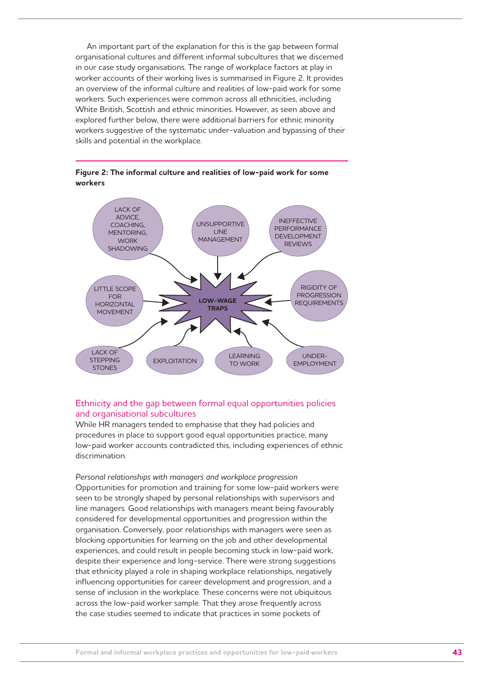An important part of the explanation for this is the gap between formal organisational cultures and different informal subcultures that we discerned in our case study organisations. The range of workplace factors at play in worker accounts of their working lives is summarised in Figure 2. It provides an overview of the informal culture and realities of low-paid work for some workers. Such experiences were common across all ethnicities, including White British, Scottish and ethnic minorities. However, as seen above and explored further below, there were additional barriers for ethnic minority workers suggestive of the systematic under-valuation and bypassing of their skills and potential in the workplace.



## **Figure 2: The informal culture and realities of low-paid work for some workers**

## Ethnicity and the gap between formal equal opportunities policies and organisational subcultures

While HR managers tended to emphasise that they had policies and procedures in place to support good equal opportunities practice, many low-paid worker accounts contradicted this, including experiences of ethnic discrimination.

*Personal relationships with managers and workplace progression* Opportunities for promotion and training for some low-paid workers were seen to be strongly shaped by personal relationships with supervisors and line managers. Good relationships with managers meant being favourably considered for developmental opportunities and progression within the organisation. Conversely, poor relationships with managers were seen as blocking opportunities for learning on the job and other developmental experiences, and could result in people becoming stuck in low-paid work, despite their experience and long-service. There were strong suggestions that ethnicity played a role in shaping workplace relationships, negatively influencing opportunities for career development and progression, and a sense of inclusion in the workplace. These concerns were not ubiquitous across the low-paid worker sample. That they arose frequently across the case studies seemed to indicate that practices in some pockets of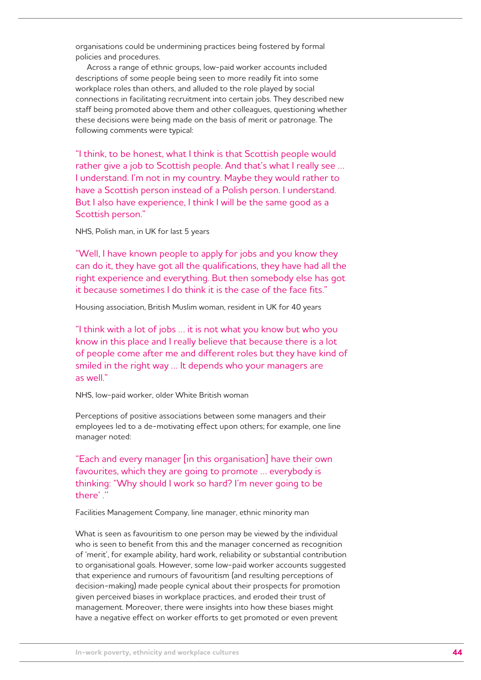organisations could be undermining practices being fostered by formal policies and procedures.

Across a range of ethnic groups, low-paid worker accounts included descriptions of some people being seen to more readily fit into some workplace roles than others, and alluded to the role played by social connections in facilitating recruitment into certain jobs. They described new staff being promoted above them and other colleagues, questioning whether these decisions were being made on the basis of merit or patronage. The following comments were typical:

"I think, to be honest, what I think is that Scottish people would rather give a job to Scottish people. And that's what I really see … I understand. I'm not in my country. Maybe they would rather to have a Scottish person instead of a Polish person. I understand. But I also have experience, I think I will be the same good as a Scottish person."

NHS, Polish man, in UK for last 5 years

"Well, I have known people to apply for jobs and you know they can do it, they have got all the qualifications, they have had all the right experience and everything. But then somebody else has got it because sometimes I do think it is the case of the face fits."

Housing association, British Muslim woman, resident in UK for 40 years

"I think with a lot of jobs … it is not what you know but who you know in this place and I really believe that because there is a lot of people come after me and different roles but they have kind of smiled in the right way … It depends who your managers are as well."

NHS, low-paid worker, older White British woman

Perceptions of positive associations between some managers and their employees led to a de-motivating effect upon others; for example, one line manager noted:

"Each and every manager [in this organisation] have their own favourites, which they are going to promote … everybody is thinking: "Why should I work so hard? I'm never going to be there' .''

Facilities Management Company, line manager, ethnic minority man

What is seen as favouritism to one person may be viewed by the individual who is seen to benefit from this and the manager concerned as recognition of 'merit', for example ability, hard work, reliability or substantial contribution to organisational goals. However, some low-paid worker accounts suggested that experience and rumours of favouritism (and resulting perceptions of decision-making) made people cynical about their prospects for promotion given perceived biases in workplace practices, and eroded their trust of management. Moreover, there were insights into how these biases might have a negative effect on worker efforts to get promoted or even prevent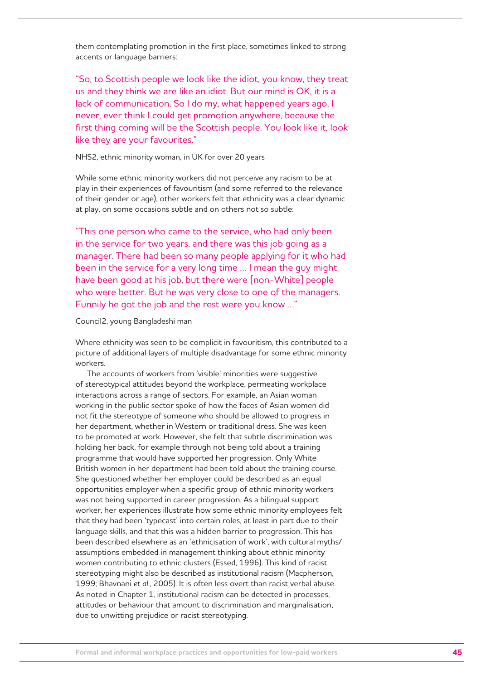them contemplating promotion in the first place, sometimes linked to strong accents or language barriers:

"So, to Scottish people we look like the idiot, you know, they treat us and they think we are like an idiot. But our mind is OK, it is a lack of communication. So I do my, what happened years ago, I never, ever think I could get promotion anywhere, because the first thing coming will be the Scottish people. You look like it, look like they are your favourites."

### NHS2, ethnic minority woman, in UK for over 20 years

While some ethnic minority workers did not perceive any racism to be at play in their experiences of favouritism (and some referred to the relevance of their gender or age), other workers felt that ethnicity was a clear dynamic at play, on some occasions subtle and on others not so subtle:

"This one person who came to the service, who had only been in the service for two years, and there was this job going as a manager. There had been so many people applying for it who had been in the service for a very long time … I mean the guy might have been good at his job, but there were [non-White] people who were better. But he was very close to one of the managers. Funnily he got the job and the rest were you know …"

#### Council2, young Bangladeshi man

Where ethnicity was seen to be complicit in favouritism, this contributed to a picture of additional layers of multiple disadvantage for some ethnic minority workers.

The accounts of workers from 'visible' minorities were suggestive of stereotypical attitudes beyond the workplace, permeating workplace interactions across a range of sectors. For example, an Asian woman working in the public sector spoke of how the faces of Asian women did not fit the stereotype of someone who should be allowed to progress in her department, whether in Western or traditional dress. She was keen to be promoted at work. However, she felt that subtle discrimination was holding her back, for example through not being told about a training programme that would have supported her progression. Only White British women in her department had been told about the training course. She questioned whether her employer could be described as an equal opportunities employer when a specific group of ethnic minority workers was not being supported in career progression. As a bilingual support worker, her experiences illustrate how some ethnic minority employees felt that they had been 'typecast' into certain roles, at least in part due to their language skills, and that this was a hidden barrier to progression. This has been described elsewhere as an 'ethnicisation of work', with cultural myths/ assumptions embedded in management thinking about ethnic minority women contributing to ethnic clusters (Essed, 1996). This kind of racist stereotyping might also be described as institutional racism (Macpherson, 1999; Bhavnani *et al*., 2005). It is often less overt than racist verbal abuse. As noted in Chapter 1, institutional racism can be detected in processes, attitudes or behaviour that amount to discrimination and marginalisation, due to unwitting prejudice or racist stereotyping.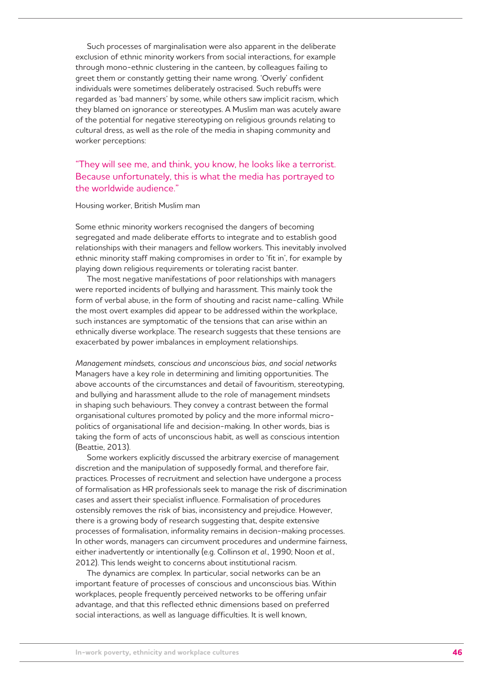Such processes of marginalisation were also apparent in the deliberate exclusion of ethnic minority workers from social interactions, for example through mono-ethnic clustering in the canteen, by colleagues failing to greet them or constantly getting their name wrong. 'Overly' confident individuals were sometimes deliberately ostracised. Such rebuffs were regarded as 'bad manners' by some, while others saw implicit racism, which they blamed on ignorance or stereotypes. A Muslim man was acutely aware of the potential for negative stereotyping on religious grounds relating to cultural dress, as well as the role of the media in shaping community and worker perceptions:

"They will see me, and think, you know, he looks like a terrorist. Because unfortunately, this is what the media has portrayed to the worldwide audience."

Housing worker, British Muslim man

Some ethnic minority workers recognised the dangers of becoming segregated and made deliberate efforts to integrate and to establish good relationships with their managers and fellow workers. This inevitably involved ethnic minority staff making compromises in order to 'fit in', for example by playing down religious requirements or tolerating racist banter.

The most negative manifestations of poor relationships with managers were reported incidents of bullying and harassment. This mainly took the form of verbal abuse, in the form of shouting and racist name-calling. While the most overt examples did appear to be addressed within the workplace, such instances are symptomatic of the tensions that can arise within an ethnically diverse workplace. The research suggests that these tensions are exacerbated by power imbalances in employment relationships.

*Management mindsets, conscious and unconscious bias, and social networks* Managers have a key role in determining and limiting opportunities. The above accounts of the circumstances and detail of favouritism, stereotyping, and bullying and harassment allude to the role of management mindsets in shaping such behaviours. They convey a contrast between the formal organisational cultures promoted by policy and the more informal micropolitics of organisational life and decision-making. In other words, bias is taking the form of acts of unconscious habit, as well as conscious intention (Beattie, 2013).

Some workers explicitly discussed the arbitrary exercise of management discretion and the manipulation of supposedly formal, and therefore fair, practices. Processes of recruitment and selection have undergone a process of formalisation as HR professionals seek to manage the risk of discrimination cases and assert their specialist influence. Formalisation of procedures ostensibly removes the risk of bias, inconsistency and prejudice. However, there is a growing body of research suggesting that, despite extensive processes of formalisation, informality remains in decision-making processes. In other words, managers can circumvent procedures and undermine fairness, either inadvertently or intentionally (e.g. Collinson *et al*., 1990; Noon *et al.*, 2012). This lends weight to concerns about institutional racism.

The dynamics are complex. In particular, social networks can be an important feature of processes of conscious and unconscious bias. Within workplaces, people frequently perceived networks to be offering unfair advantage, and that this reflected ethnic dimensions based on preferred social interactions, as well as language difficulties. It is well known,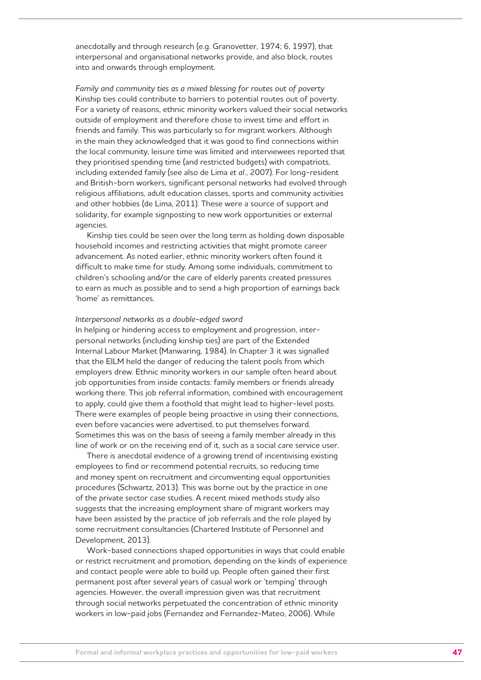anecdotally and through research (e.g. Granovetter, 1974; 6, 1997), that interpersonal and organisational networks provide, and also block, routes into and onwards through employment.

*Family and community ties as a mixed blessing for routes out of poverty* Kinship ties could contribute to barriers to potential routes out of poverty. For a variety of reasons, ethnic minority workers valued their social networks outside of employment and therefore chose to invest time and effort in friends and family. This was particularly so for migrant workers. Although in the main they acknowledged that it was good to find connections within the local community, leisure time was limited and interviewees reported that they prioritised spending time (and restricted budgets) with compatriots, including extended family (see also de Lima *et al.*, 2007). For long-resident and British-born workers, significant personal networks had evolved through religious affiliations, adult education classes, sports and community activities and other hobbies (de Lima, 2011). These were a source of support and solidarity, for example signposting to new work opportunities or external agencies.

Kinship ties could be seen over the long term as holding down disposable household incomes and restricting activities that might promote career advancement. As noted earlier, ethnic minority workers often found it difficult to make time for study. Among some individuals, commitment to children's schooling and/or the care of elderly parents created pressures to earn as much as possible and to send a high proportion of earnings back 'home' as remittances.

#### *Interpersonal networks as a double-edged sword*

In helping or hindering access to employment and progression, interpersonal networks (including kinship ties) are part of the Extended Internal Labour Market (Manwaring, 1984). In Chapter 3 it was signalled that the EILM held the danger of reducing the talent pools from which employers drew. Ethnic minority workers in our sample often heard about job opportunities from inside contacts: family members or friends already working there. This job referral information, combined with encouragement to apply, could give them a foothold that might lead to higher-level posts. There were examples of people being proactive in using their connections, even before vacancies were advertised, to put themselves forward. Sometimes this was on the basis of seeing a family member already in this line of work or on the receiving end of it, such as a social care service user.

There is anecdotal evidence of a growing trend of incentivising existing employees to find or recommend potential recruits, so reducing time and money spent on recruitment and circumventing equal opportunities procedures (Schwartz, 2013). This was borne out by the practice in one of the private sector case studies. A recent mixed methods study also suggests that the increasing employment share of migrant workers may have been assisted by the practice of job referrals and the role played by some recruitment consultancies (Chartered Institute of Personnel and Development, 2013).

Work-based connections shaped opportunities in ways that could enable or restrict recruitment and promotion, depending on the kinds of experience and contact people were able to build up. People often gained their first permanent post after several years of casual work or 'temping' through agencies. However, the overall impression given was that recruitment through social networks perpetuated the concentration of ethnic minority workers in low-paid jobs (Fernandez and Fernandez-Mateo, 2006). While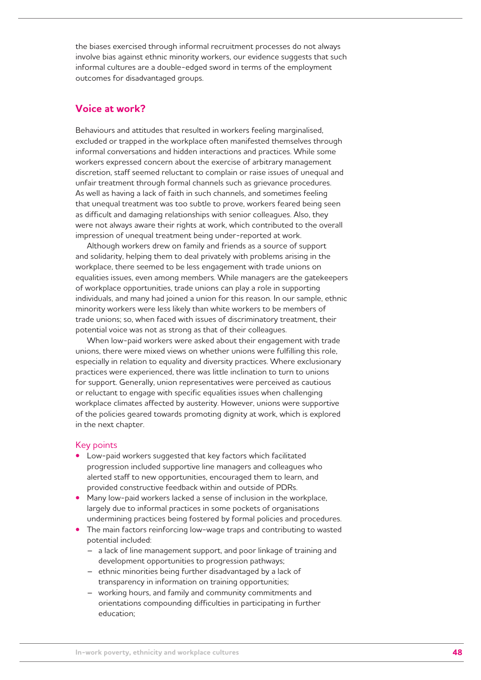the biases exercised through informal recruitment processes do not always involve bias against ethnic minority workers, our evidence suggests that such informal cultures are a double-edged sword in terms of the employment outcomes for disadvantaged groups.

# **Voice at work?**

Behaviours and attitudes that resulted in workers feeling marginalised, excluded or trapped in the workplace often manifested themselves through informal conversations and hidden interactions and practices. While some workers expressed concern about the exercise of arbitrary management discretion, staff seemed reluctant to complain or raise issues of unequal and unfair treatment through formal channels such as grievance procedures. As well as having a lack of faith in such channels, and sometimes feeling that unequal treatment was too subtle to prove, workers feared being seen as difficult and damaging relationships with senior colleagues. Also, they were not always aware their rights at work, which contributed to the overall impression of unequal treatment being under-reported at work.

Although workers drew on family and friends as a source of support and solidarity, helping them to deal privately with problems arising in the workplace, there seemed to be less engagement with trade unions on equalities issues, even among members. While managers are the gatekeepers of workplace opportunities, trade unions can play a role in supporting individuals, and many had joined a union for this reason. In our sample, ethnic minority workers were less likely than white workers to be members of trade unions; so, when faced with issues of discriminatory treatment, their potential voice was not as strong as that of their colleagues.

When low-paid workers were asked about their engagement with trade unions, there were mixed views on whether unions were fulfilling this role, especially in relation to equality and diversity practices. Where exclusionary practices were experienced, there was little inclination to turn to unions for support. Generally, union representatives were perceived as cautious or reluctant to engage with specific equalities issues when challenging workplace climates affected by austerity. However, unions were supportive of the policies geared towards promoting dignity at work, which is explored in the next chapter.

### Key points

- **•**  Low-paid workers suggested that key factors which facilitated progression included supportive line managers and colleagues who alerted staff to new opportunities, encouraged them to learn, and provided constructive feedback within and outside of PDRs.
- Many low-paid workers lacked a sense of inclusion in the workplace, largely due to informal practices in some pockets of organisations undermining practices being fostered by formal policies and procedures.
- The main factors reinforcing low-wage traps and contributing to wasted potential included:
	- a lack of line management support, and poor linkage of training and development opportunities to progression pathways;
	- ethnic minorities being further disadvantaged by a lack of transparency in information on training opportunities;
	- working hours, and family and community commitments and orientations compounding difficulties in participating in further education;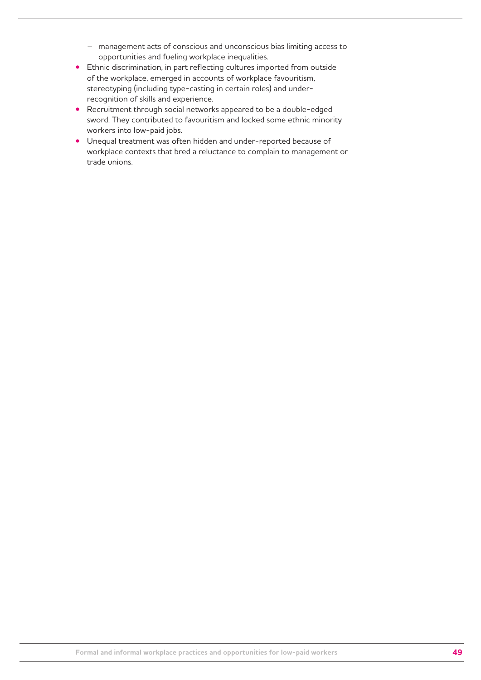- management acts of conscious and unconscious bias limiting access to opportunities and fueling workplace inequalities.
- **•**  Ethnic discrimination, in part reflecting cultures imported from outside of the workplace, emerged in accounts of workplace favouritism, stereotyping (including type-casting in certain roles) and underrecognition of skills and experience.
- **•** Recruitment through social networks appeared to be a double-edged sword. They contributed to favouritism and locked some ethnic minority workers into low-paid jobs.
- **•**  Unequal treatment was often hidden and under-reported because of workplace contexts that bred a reluctance to complain to management or trade unions.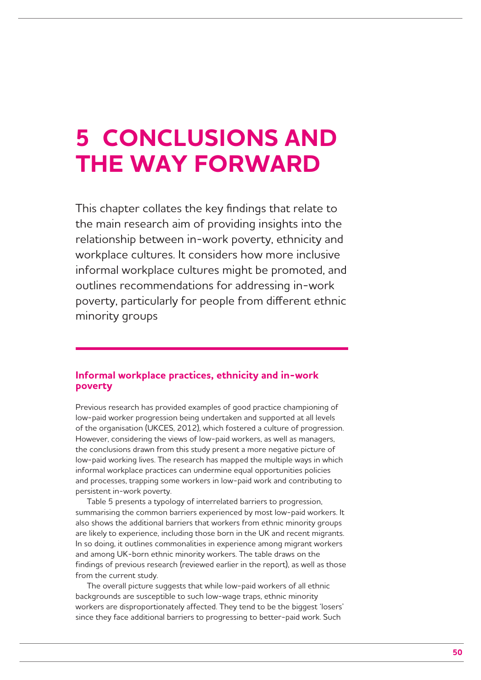# **5 CONCLUSIONS AND THE WAY FORWARD**

This chapter collates the key findings that relate to the main research aim of providing insights into the relationship between in-work poverty, ethnicity and workplace cultures. It considers how more inclusive informal workplace cultures might be promoted, and outlines recommendations for addressing in-work poverty, particularly for people from different ethnic minority groups

# **Informal workplace practices, ethnicity and in-work poverty**

Previous research has provided examples of good practice championing of low-paid worker progression being undertaken and supported at all levels of the organisation (UKCES, 2012), which fostered a culture of progression. However, considering the views of low-paid workers, as well as managers, the conclusions drawn from this study present a more negative picture of low-paid working lives. The research has mapped the multiple ways in which informal workplace practices can undermine equal opportunities policies and processes, trapping some workers in low-paid work and contributing to persistent in-work poverty.

Table 5 presents a typology of interrelated barriers to progression, summarising the common barriers experienced by most low-paid workers. It also shows the additional barriers that workers from ethnic minority groups are likely to experience, including those born in the UK and recent migrants. In so doing, it outlines commonalities in experience among migrant workers and among UK-born ethnic minority workers. The table draws on the findings of previous research (reviewed earlier in the report), as well as those from the current study.

The overall picture suggests that while low-paid workers of all ethnic backgrounds are susceptible to such low-wage traps, ethnic minority workers are disproportionately affected. They tend to be the biggest 'losers' since they face additional barriers to progressing to better-paid work. Such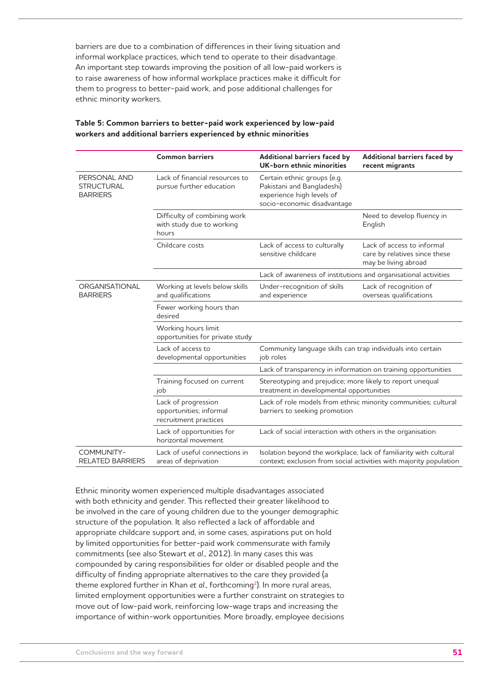barriers are due to a combination of differences in their living situation and informal workplace practices, which tend to operate to their disadvantage. An important step towards improving the position of all low-paid workers is to raise awareness of how informal workplace practices make it difficult for them to progress to better-paid work, and pose additional challenges for ethnic minority workers.

|                                                      | <b>Common barriers</b>                                                  | Additional barriers faced by<br>UK-born ethnic minorities                                                                               | Additional barriers faced by<br>recent migrants                                     |
|------------------------------------------------------|-------------------------------------------------------------------------|-----------------------------------------------------------------------------------------------------------------------------------------|-------------------------------------------------------------------------------------|
| PERSONAL AND<br><b>STRUCTURAL</b><br><b>BARRIERS</b> | Lack of financial resources to<br>pursue further education              | Certain ethnic groups (e.g.<br>Pakistani and Bangladeshi)<br>experience high levels of<br>socio-economic disadvantage                   |                                                                                     |
|                                                      | Difficulty of combining work<br>with study due to working<br>hours      |                                                                                                                                         | Need to develop fluency in<br>English                                               |
|                                                      | Childcare costs                                                         | Lack of access to culturally<br>sensitive childcare                                                                                     | Lack of access to informal<br>care by relatives since these<br>may be living abroad |
|                                                      |                                                                         | Lack of awareness of institutions and organisational activities                                                                         |                                                                                     |
| ORGANISATIONAL<br><b>BARRIERS</b>                    | Working at levels below skills<br>and qualifications                    | Under-recognition of skills<br>and experience                                                                                           | Lack of recognition of<br>overseas qualifications                                   |
|                                                      | Fewer working hours than<br>desired                                     |                                                                                                                                         |                                                                                     |
|                                                      | Working hours limit<br>opportunities for private study                  |                                                                                                                                         |                                                                                     |
|                                                      | Lack of access to<br>developmental opportunities                        | Community language skills can trap individuals into certain<br>job roles                                                                |                                                                                     |
|                                                      |                                                                         | Lack of transparency in information on training opportunities                                                                           |                                                                                     |
|                                                      | Training focused on current<br>job                                      | Stereotyping and prejudice; more likely to report unequal<br>treatment in developmental opportunities                                   |                                                                                     |
|                                                      | Lack of progression<br>opportunities; informal<br>recruitment practices | Lack of role models from ethnic minority communities; cultural<br>barriers to seeking promotion                                         |                                                                                     |
|                                                      | Lack of opportunities for<br>horizontal movement                        | Lack of social interaction with others in the organisation                                                                              |                                                                                     |
| COMMUNITY-<br><b>RELATED BARRIERS</b>                | Lack of useful connections in<br>areas of deprivation                   | Isolation beyond the workplace, lack of familiarity with cultural<br>context; exclusion from social activities with majority population |                                                                                     |

## **Table 5: Common barriers to better-paid work experienced by low-paid workers and additional barriers experienced by ethnic minorities**

Ethnic minority women experienced multiple disadvantages associated with both ethnicity and gender. This reflected their greater likelihood to be involved in the care of young children due to the younger demographic structure of the population. It also reflected a lack of affordable and appropriate childcare support and, in some cases, aspirations put on hold by limited opportunities for better-paid work commensurate with family commitments (see also Stewart *et al*., 2012). In many cases this was compounded by caring responsibilities for older or disabled people and the difficulty of finding appropriate alternatives to the care they provided (a theme explored further in Khan *et al.*, forthcoming<sup>2</sup>). In more rural areas, limited employment opportunities were a further constraint on strategies to move out of low-paid work, reinforcing low-wage traps and increasing the importance of within-work opportunities. More broadly, employee decisions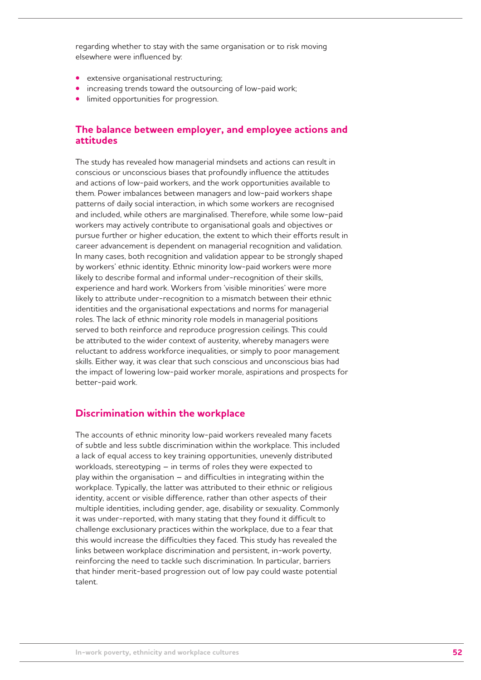regarding whether to stay with the same organisation or to risk moving elsewhere were influenced by:

- **•**  extensive organisational restructuring;
- **•** increasing trends toward the outsourcing of low-paid work;
- **•** limited opportunities for progression.

# **The balance between employer, and employee actions and attitudes**

The study has revealed how managerial mindsets and actions can result in conscious or unconscious biases that profoundly influence the attitudes and actions of low-paid workers, and the work opportunities available to them. Power imbalances between managers and low-paid workers shape patterns of daily social interaction, in which some workers are recognised and included, while others are marginalised. Therefore, while some low-paid workers may actively contribute to organisational goals and objectives or pursue further or higher education, the extent to which their efforts result in career advancement is dependent on managerial recognition and validation. In many cases, both recognition and validation appear to be strongly shaped by workers' ethnic identity. Ethnic minority low-paid workers were more likely to describe formal and informal under-recognition of their skills, experience and hard work. Workers from 'visible minorities' were more likely to attribute under-recognition to a mismatch between their ethnic identities and the organisational expectations and norms for managerial roles. The lack of ethnic minority role models in managerial positions served to both reinforce and reproduce progression ceilings. This could be attributed to the wider context of austerity, whereby managers were reluctant to address workforce inequalities, or simply to poor management skills. Either way, it was clear that such conscious and unconscious bias had the impact of lowering low-paid worker morale, aspirations and prospects for better-paid work.

# **Discrimination within the workplace**

The accounts of ethnic minority low-paid workers revealed many facets of subtle and less subtle discrimination within the workplace. This included a lack of equal access to key training opportunities, unevenly distributed workloads, stereotyping – in terms of roles they were expected to play within the organisation – and difficulties in integrating within the workplace. Typically, the latter was attributed to their ethnic or religious identity, accent or visible difference, rather than other aspects of their multiple identities, including gender, age, disability or sexuality. Commonly it was under-reported, with many stating that they found it difficult to challenge exclusionary practices within the workplace, due to a fear that this would increase the difficulties they faced. This study has revealed the links between workplace discrimination and persistent, in-work poverty, reinforcing the need to tackle such discrimination. In particular, barriers that hinder merit-based progression out of low pay could waste potential talent.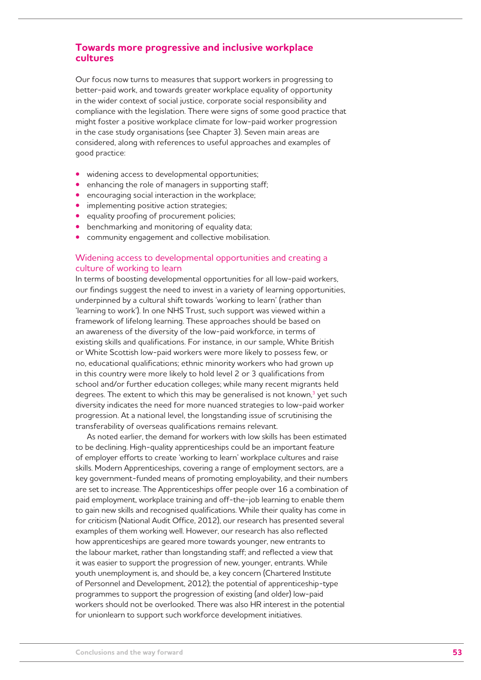# **Towards more progressive and inclusive workplace cultures**

Our focus now turns to measures that support workers in progressing to better-paid work, and towards greater workplace equality of opportunity in the wider context of social justice, corporate social responsibility and compliance with the legislation. There were signs of some good practice that might foster a positive workplace climate for low-paid worker progression in the case study organisations (see Chapter 3). Seven main areas are considered, along with references to useful approaches and examples of good practice:

- widening access to developmental opportunities;
- **•**  enhancing the role of managers in supporting staff;
- encouraging social interaction in the workplace;
- **•** implementing positive action strategies;
- **•**  equality proofing of procurement policies;
- benchmarking and monitoring of equality data;
- **•**  community engagement and collective mobilisation.

## Widening access to developmental opportunities and creating a culture of working to learn

In terms of boosting developmental opportunities for all low-paid workers, our findings suggest the need to invest in a variety of learning opportunities, underpinned by a cultural shift towards 'working to learn' (rather than 'learning to work'). In one NHS Trust, such support was viewed within a framework of lifelong learning. These approaches should be based on an awareness of the diversity of the low-paid workforce, in terms of existing skills and qualifications. For instance, in our sample, White British or White Scottish low-paid workers were more likely to possess few, or no, educational qualifications; ethnic minority workers who had grown up in this country were more likely to hold level 2 or 3 qualifications from school and/or further education colleges; while many recent migrants held degrees. The extent to which this may be generalised is not known.<sup>3</sup> yet such diversity indicates the need for more nuanced strategies to low-paid worker progression. At a national level, the longstanding issue of scrutinising the transferability of overseas qualifications remains relevant.

As noted earlier, the demand for workers with low skills has been estimated to be declining. High-quality apprenticeships could be an important feature of employer efforts to create 'working to learn' workplace cultures and raise skills. Modern Apprenticeships, covering a range of employment sectors, are a key government-funded means of promoting employability, and their numbers are set to increase. The Apprenticeships offer people over 16 a combination of paid employment, workplace training and off-the-job learning to enable them to gain new skills and recognised qualifications. While their quality has come in for criticism (National Audit Office, 2012), our research has presented several examples of them working well. However, our research has also reflected how apprenticeships are geared more towards younger, new entrants to the labour market, rather than longstanding staff; and reflected a view that it was easier to support the progression of new, younger, entrants. While youth unemployment is, and should be, a key concern (Chartered Institute of Personnel and Development, 2012); the potential of apprenticeship-type programmes to support the progression of existing (and older) low-paid workers should not be overlooked. There was also HR interest in the potential for unionlearn to support such workforce development initiatives.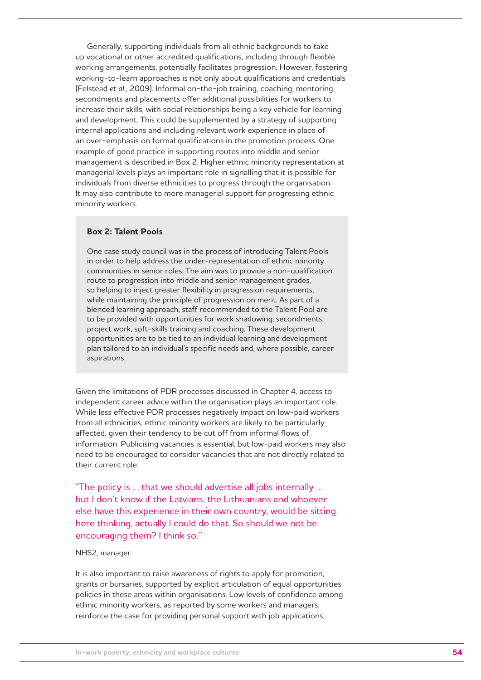Generally, supporting individuals from all ethnic backgrounds to take up vocational or other accredited qualifications, including through flexible working arrangements, potentially facilitates progression. However, fostering working-to-learn approaches is not only about qualifications and credentials (Felstead *et al.*, 2009). Informal on-the-job training, coaching, mentoring, secondments and placements offer additional possibilities for workers to increase their skills, with social relationships being a key vehicle for learning and development. This could be supplemented by a strategy of supporting internal applications and including relevant work experience in place of an over-emphasis on formal qualifications in the promotion process. One example of good practice in supporting routes into middle and senior management is described in Box 2. Higher ethnic minority representation at managerial levels plays an important role in signalling that it is possible for individuals from diverse ethnicities to progress through the organisation. It may also contribute to more managerial support for progressing ethnic minority workers.

### **Box 2: Talent Pools**

One case study council was in the process of introducing Talent Pools in order to help address the under-representation of ethnic minority communities in senior roles. The aim was to provide a non-qualification route to progression into middle and senior management grades, so helping to inject greater flexibility in progression requirements, while maintaining the principle of progression on merit. As part of a blended learning approach, staff recommended to the Talent Pool are to be provided with opportunities for work shadowing, secondments, project work, soft-skills training and coaching. These development opportunities are to be tied to an individual learning and development plan tailored to an individual's specific needs and, where possible, career aspirations.

Given the limitations of PDR processes discussed in Chapter 4, access to independent career advice within the organisation plays an important role. While less effective PDR processes negatively impact on low-paid workers from all ethnicities, ethnic minority workers are likely to be particularly affected, given their tendency to be cut off from informal flows of information. Publicising vacancies is essential, but low-paid workers may also need to be encouraged to consider vacancies that are not directly related to their current role:

"The policy is … that we should advertise all jobs internally … but I don't know if the Latvians, the Lithuanians and whoever else have this experience in their own country, would be sitting here thinking, actually I could do that. So should we not be encouraging them? I think so.''

#### NHS2, manager

It is also important to raise awareness of rights to apply for promotion, grants or bursaries, supported by explicit articulation of equal opportunities policies in these areas within organisations. Low levels of confidence among ethnic minority workers, as reported by some workers and managers, reinforce the case for providing personal support with job applications,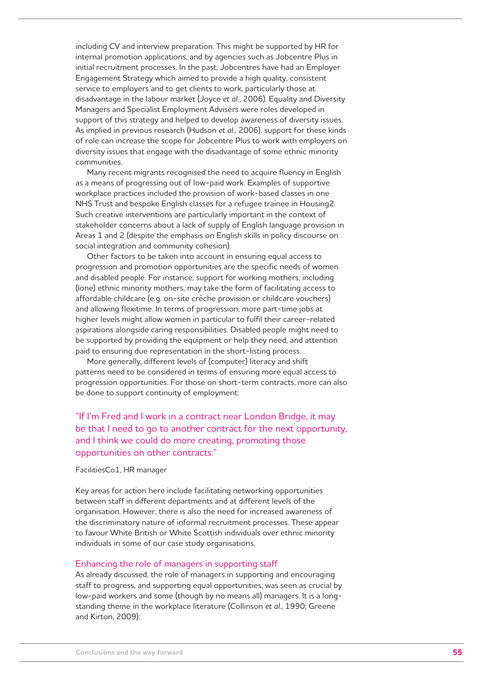including CV and interview preparation. This might be supported by HR for internal promotion applications, and by agencies such as Jobcentre Plus in initial recruitment processes. In the past, Jobcentres have had an Employer Engagement Strategy which aimed to provide a high quality, consistent service to employers and to get clients to work, particularly those at disadvantage in the labour market (Joyce *et al.*, 2006). Equality and Diversity Managers and Specialist Employment Advisers were roles developed in support of this strategy and helped to develop awareness of diversity issues. As implied in previous research (Hudson *et al*., 2006), support for these kinds of role can increase the scope for Jobcentre Plus to work with employers on diversity issues that engage with the disadvantage of some ethnic minority communities.

Many recent migrants recognised the need to acquire fluency in English as a means of progressing out of low-paid work. Examples of supportive workplace practices included the provision of work-based classes in one NHS Trust and bespoke English classes for a refugee trainee in Housing2. Such creative interventions are particularly important in the context of stakeholder concerns about a lack of supply of English language provision in Areas 1 and 2 (despite the emphasis on English skills in policy discourse on social integration and community cohesion).

Other factors to be taken into account in ensuring equal access to progression and promotion opportunities are the specific needs of women and disabled people. For instance, support for working mothers, including (lone) ethnic minority mothers, may take the form of facilitating access to affordable childcare (e.g. on-site crèche provision or childcare vouchers) and allowing flexitime. In terms of progression, more part-time jobs at higher levels might allow women in particular to fulfil their career-related aspirations alongside caring responsibilities. Disabled people might need to be supported by providing the equipment or help they need, and attention paid to ensuring due representation in the short-listing process.

More generally, different levels of (computer) literacy and shift patterns need to be considered in terms of ensuring more equal access to progression opportunities. For those on short-term contracts, more can also be done to support continuity of employment:

"If I'm Fred and I work in a contract near London Bridge, it may be that I need to go to another contract for the next opportunity, and I think we could do more creating, promoting those opportunities on other contracts."

#### FacilitiesCo1, HR manager

Key areas for action here include facilitating networking opportunities between staff in different departments and at different levels of the organisation. However, there is also the need for increased awareness of the discriminatory nature of informal recruitment processes. These appear to favour White British or White Scottish individuals over ethnic minority individuals in some of our case study organisations.

#### Enhancing the role of managers in supporting staff

As already discussed, the role of managers in supporting and encouraging staff to progress, and supporting equal opportunities, was seen as crucial by low-paid workers and some (though by no means all) managers. It is a longstanding theme in the workplace literature (Collinson *et al*., 1990; Greene and Kirton, 2009):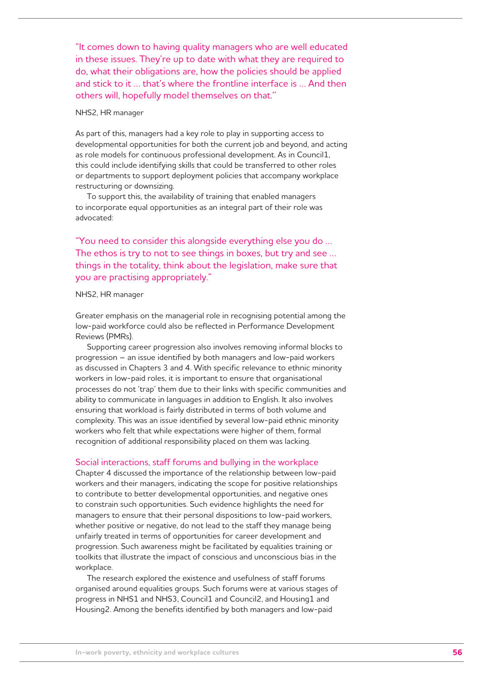"It comes down to having quality managers who are well educated in these issues. They're up to date with what they are required to do, what their obligations are, how the policies should be applied and stick to it … that's where the frontline interface is … And then others will, hopefully model themselves on that.''

### NHS2, HR manager

As part of this, managers had a key role to play in supporting access to developmental opportunities for both the current job and beyond, and acting as role models for continuous professional development. As in Council1, this could include identifying skills that could be transferred to other roles or departments to support deployment policies that accompany workplace restructuring or downsizing.

To support this, the availability of training that enabled managers to incorporate equal opportunities as an integral part of their role was advocated:

"You need to consider this alongside everything else you do … The ethos is try to not to see things in boxes, but try and see … things in the totality, think about the legislation, make sure that you are practising appropriately."

#### NHS2, HR manager

Greater emphasis on the managerial role in recognising potential among the low-paid workforce could also be reflected in Performance Development Reviews (PMRs).

Supporting career progression also involves removing informal blocks to progression – an issue identified by both managers and low-paid workers as discussed in Chapters 3 and 4. With specific relevance to ethnic minority workers in low-paid roles, it is important to ensure that organisational processes do not 'trap' them due to their links with specific communities and ability to communicate in languages in addition to English. It also involves ensuring that workload is fairly distributed in terms of both volume and complexity. This was an issue identified by several low-paid ethnic minority workers who felt that while expectations were higher of them, formal recognition of additional responsibility placed on them was lacking.

#### Social interactions, staff forums and bullying in the workplace

Chapter 4 discussed the importance of the relationship between low-paid workers and their managers, indicating the scope for positive relationships to contribute to better developmental opportunities, and negative ones to constrain such opportunities. Such evidence highlights the need for managers to ensure that their personal dispositions to low-paid workers, whether positive or negative, do not lead to the staff they manage being unfairly treated in terms of opportunities for career development and progression. Such awareness might be facilitated by equalities training or toolkits that illustrate the impact of conscious and unconscious bias in the workplace.

The research explored the existence and usefulness of staff forums organised around equalities groups. Such forums were at various stages of progress in NHS1 and NHS3, Council1 and Council2, and Housing1 and Housing2. Among the benefits identified by both managers and low-paid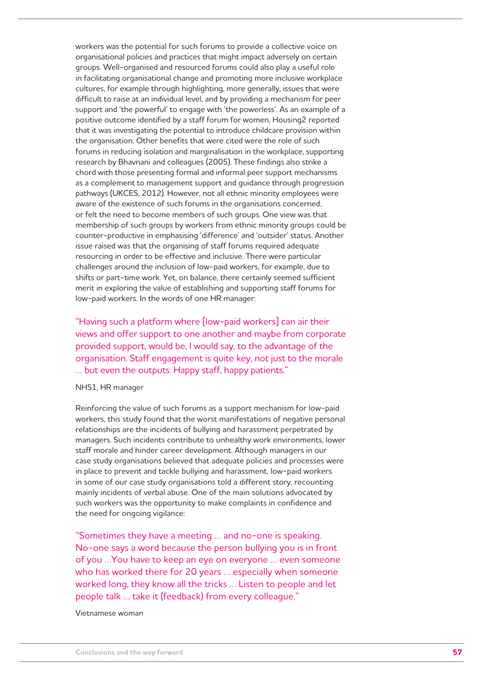workers was the potential for such forums to provide a collective voice on organisational policies and practices that might impact adversely on certain groups. Well-organised and resourced forums could also play a useful role in facilitating organisational change and promoting more inclusive workplace cultures, for example through highlighting, more generally, issues that were difficult to raise at an individual level, and by providing a mechanism for peer support and 'the powerful' to engage with 'the powerless'. As an example of a positive outcome identified by a staff forum for women, Housing2 reported that it was investigating the potential to introduce childcare provision within the organisation. Other benefits that were cited were the role of such forums in reducing isolation and marginalisation in the workplace, supporting research by Bhavnani and colleagues (2005). These findings also strike a chord with those presenting formal and informal peer support mechanisms as a complement to management support and guidance through progression pathways (UKCES, 2012). However, not all ethnic minority employees were aware of the existence of such forums in the organisations concerned, or felt the need to become members of such groups. One view was that membership of such groups by workers from ethnic minority groups could be counter-productive in emphasising 'difference' and 'outsider' status. Another issue raised was that the organising of staff forums required adequate resourcing in order to be effective and inclusive. There were particular challenges around the inclusion of low-paid workers, for example, due to shifts or part-time work. Yet, on balance, there certainly seemed sufficient merit in exploring the value of establishing and supporting staff forums for low-paid workers. In the words of one HR manager:

"Having such a platform where [low-paid workers] can air their views and offer support to one another and maybe from corporate provided support, would be, I would say, to the advantage of the organisation. Staff engagement is quite key, not just to the morale … but even the outputs. Happy staff, happy patients."

#### NHS1, HR manager

Reinforcing the value of such forums as a support mechanism for low-paid workers, this study found that the worst manifestations of negative personal relationships are the incidents of bullying and harassment perpetrated by managers. Such incidents contribute to unhealthy work environments, lower staff morale and hinder career development. Although managers in our case study organisations believed that adequate policies and processes were in place to prevent and tackle bullying and harassment, low-paid workers in some of our case study organisations told a different story, recounting mainly incidents of verbal abuse. One of the main solutions advocated by such workers was the opportunity to make complaints in confidence and the need for ongoing vigilance:

"Sometimes they have a meeting … and no-one is speaking. No-one says a word because the person bullying you is in front of you …You have to keep an eye on everyone … even someone who has worked there for 20 years … especially when someone worked long, they know all the tricks … Listen to people and let people talk … take it (feedback) from every colleague."

Vietnamese woman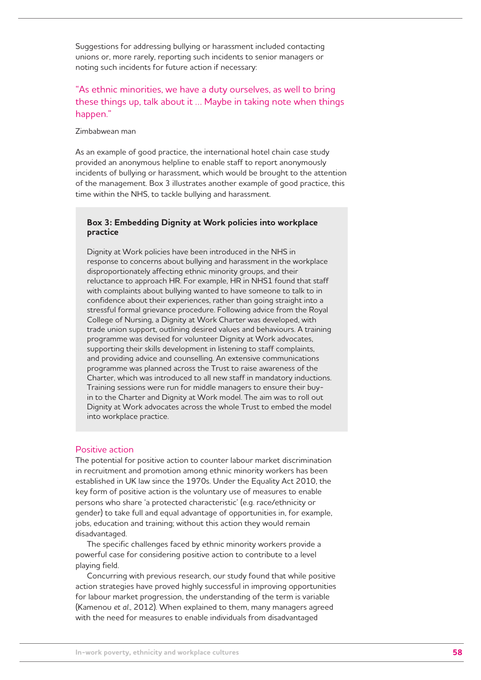Suggestions for addressing bullying or harassment included contacting unions or, more rarely, reporting such incidents to senior managers or noting such incidents for future action if necessary:

# "As ethnic minorities, we have a duty ourselves, as well to bring these things up, talk about it … Maybe in taking note when things happen."

#### Zimbabwean man

As an example of good practice, the international hotel chain case study provided an anonymous helpline to enable staff to report anonymously incidents of bullying or harassment, which would be brought to the attention of the management. Box 3 illustrates another example of good practice, this time within the NHS, to tackle bullying and harassment.

## **Box 3: Embedding Dignity at Work policies into workplace practice**

Dignity at Work policies have been introduced in the NHS in response to concerns about bullying and harassment in the workplace disproportionately affecting ethnic minority groups, and their reluctance to approach HR. For example, HR in NHS1 found that staff with complaints about bullying wanted to have someone to talk to in confidence about their experiences, rather than going straight into a stressful formal grievance procedure. Following advice from the Royal College of Nursing, a Dignity at Work Charter was developed, with trade union support, outlining desired values and behaviours. A training programme was devised for volunteer Dignity at Work advocates, supporting their skills development in listening to staff complaints, and providing advice and counselling. An extensive communications programme was planned across the Trust to raise awareness of the Charter, which was introduced to all new staff in mandatory inductions. Training sessions were run for middle managers to ensure their buyin to the Charter and Dignity at Work model. The aim was to roll out Dignity at Work advocates across the whole Trust to embed the model into workplace practice.

### Positive action

The potential for positive action to counter labour market discrimination in recruitment and promotion among ethnic minority workers has been established in UK law since the 1970s. Under the Equality Act 2010, the key form of positive action is the voluntary use of measures to enable persons who share 'a protected characteristic' (e.g. race/ethnicity or gender) to take full and equal advantage of opportunities in, for example, jobs, education and training; without this action they would remain disadvantaged.

The specific challenges faced by ethnic minority workers provide a powerful case for considering positive action to contribute to a level playing field.

Concurring with previous research, our study found that while positive action strategies have proved highly successful in improving opportunities for labour market progression, the understanding of the term is variable (Kamenou *et al*., 2012). When explained to them, many managers agreed with the need for measures to enable individuals from disadvantaged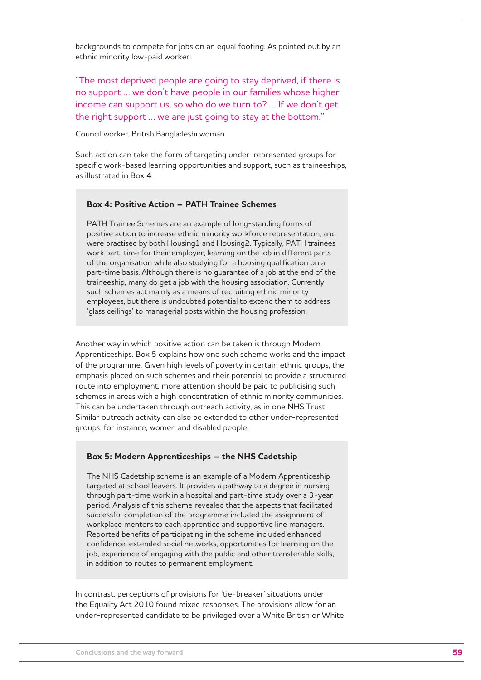backgrounds to compete for jobs on an equal footing. As pointed out by an ethnic minority low-paid worker:

"The most deprived people are going to stay deprived, if there is no support … we don't have people in our families whose higher income can support us, so who do we turn to? … If we don't get the right support … we are just going to stay at the bottom.''

Council worker, British Bangladeshi woman

Such action can take the form of targeting under-represented groups for specific work-based learning opportunities and support, such as traineeships, as illustrated in Box 4.

## **Box 4: Positive Action – PATH Trainee Schemes**

PATH Trainee Schemes are an example of long-standing forms of positive action to increase ethnic minority workforce representation, and were practised by both Housing1 and Housing2. Typically, PATH trainees work part-time for their employer, learning on the job in different parts of the organisation while also studying for a housing qualification on a part-time basis. Although there is no guarantee of a job at the end of the traineeship, many do get a job with the housing association. Currently such schemes act mainly as a means of recruiting ethnic minority employees, but there is undoubted potential to extend them to address 'glass ceilings' to managerial posts within the housing profession.

Another way in which positive action can be taken is through Modern Apprenticeships. Box 5 explains how one such scheme works and the impact of the programme. Given high levels of poverty in certain ethnic groups, the emphasis placed on such schemes and their potential to provide a structured route into employment, more attention should be paid to publicising such schemes in areas with a high concentration of ethnic minority communities. This can be undertaken through outreach activity, as in one NHS Trust. Similar outreach activity can also be extended to other under-represented groups, for instance, women and disabled people.

## **Box 5: Modern Apprenticeships – the NHS Cadetship**

The NHS Cadetship scheme is an example of a Modern Apprenticeship targeted at school leavers. It provides a pathway to a degree in nursing through part-time work in a hospital and part-time study over a 3-year period. Analysis of this scheme revealed that the aspects that facilitated successful completion of the programme included the assignment of workplace mentors to each apprentice and supportive line managers. Reported benefits of participating in the scheme included enhanced confidence, extended social networks, opportunities for learning on the job, experience of engaging with the public and other transferable skills, in addition to routes to permanent employment.

In contrast, perceptions of provisions for 'tie-breaker' situations under the Equality Act 2010 found mixed responses. The provisions allow for an under-represented candidate to be privileged over a White British or White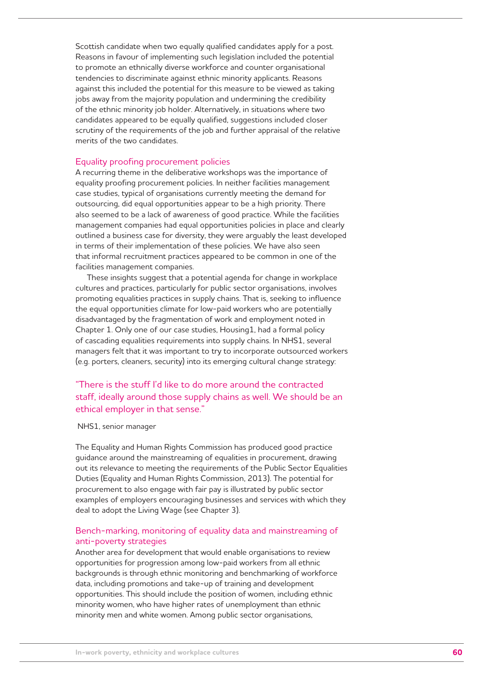Scottish candidate when two equally qualified candidates apply for a post. Reasons in favour of implementing such legislation included the potential to promote an ethnically diverse workforce and counter organisational tendencies to discriminate against ethnic minority applicants. Reasons against this included the potential for this measure to be viewed as taking jobs away from the majority population and undermining the credibility of the ethnic minority job holder. Alternatively, in situations where two candidates appeared to be equally qualified, suggestions included closer scrutiny of the requirements of the job and further appraisal of the relative merits of the two candidates.

#### Equality proofing procurement policies

A recurring theme in the deliberative workshops was the importance of equality proofing procurement policies. In neither facilities management case studies, typical of organisations currently meeting the demand for outsourcing, did equal opportunities appear to be a high priority. There also seemed to be a lack of awareness of good practice. While the facilities management companies had equal opportunities policies in place and clearly outlined a business case for diversity, they were arguably the least developed in terms of their implementation of these policies. We have also seen that informal recruitment practices appeared to be common in one of the facilities management companies.

These insights suggest that a potential agenda for change in workplace cultures and practices, particularly for public sector organisations, involves promoting equalities practices in supply chains. That is, seeking to influence the equal opportunities climate for low-paid workers who are potentially disadvantaged by the fragmentation of work and employment noted in Chapter 1. Only one of our case studies, Housing1, had a formal policy of cascading equalities requirements into supply chains. In NHS1, several managers felt that it was important to try to incorporate outsourced workers (e.g. porters, cleaners, security) into its emerging cultural change strategy:

# "There is the stuff I'd like to do more around the contracted staff, ideally around those supply chains as well. We should be an ethical employer in that sense."

#### NHS1, senior manager

The Equality and Human Rights Commission has produced good practice guidance around the mainstreaming of equalities in procurement, drawing out its relevance to meeting the requirements of the Public Sector Equalities Duties (Equality and Human Rights Commission, 2013). The potential for procurement to also engage with fair pay is illustrated by public sector examples of employers encouraging businesses and services with which they deal to adopt the Living Wage (see Chapter 3).

## Bench-marking, monitoring of equality data and mainstreaming of anti-poverty strategies

Another area for development that would enable organisations to review opportunities for progression among low-paid workers from all ethnic backgrounds is through ethnic monitoring and benchmarking of workforce data, including promotions and take-up of training and development opportunities. This should include the position of women, including ethnic minority women, who have higher rates of unemployment than ethnic minority men and white women. Among public sector organisations,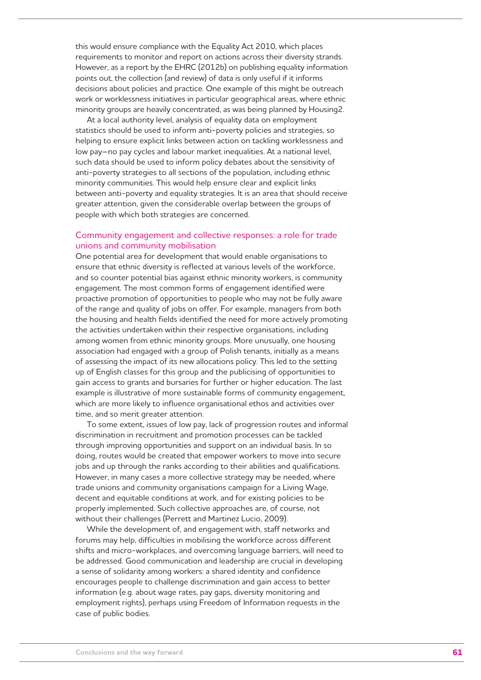this would ensure compliance with the Equality Act 2010, which places requirements to monitor and report on actions across their diversity strands. However, as a report by the EHRC (2012b) on publishing equality information points out, the collection (and review) of data is only useful if it informs decisions about policies and practice. One example of this might be outreach work or worklessness initiatives in particular geographical areas, where ethnic minority groups are heavily concentrated, as was being planned by Housing2.

At a local authority level, analysis of equality data on employment statistics should be used to inform anti-poverty policies and strategies, so helping to ensure explicit links between action on tackling worklessness and low pay–no pay cycles and labour market inequalities. At a national level, such data should be used to inform policy debates about the sensitivity of anti-poverty strategies to all sections of the population, including ethnic minority communities. This would help ensure clear and explicit links between anti-poverty and equality strategies. It is an area that should receive greater attention, given the considerable overlap between the groups of people with which both strategies are concerned.

## Community engagement and collective responses: a role for trade unions and community mobilisation

One potential area for development that would enable organisations to ensure that ethnic diversity is reflected at various levels of the workforce, and so counter potential bias against ethnic minority workers, is community engagement. The most common forms of engagement identified were proactive promotion of opportunities to people who may not be fully aware of the range and quality of jobs on offer. For example, managers from both the housing and health fields identified the need for more actively promoting the activities undertaken within their respective organisations, including among women from ethnic minority groups. More unusually, one housing association had engaged with a group of Polish tenants, initially as a means of assessing the impact of its new allocations policy. This led to the setting up of English classes for this group and the publicising of opportunities to gain access to grants and bursaries for further or higher education. The last example is illustrative of more sustainable forms of community engagement, which are more likely to influence organisational ethos and activities over time, and so merit greater attention.

To some extent, issues of low pay, lack of progression routes and informal discrimination in recruitment and promotion processes can be tackled through improving opportunities and support on an individual basis. In so doing, routes would be created that empower workers to move into secure jobs and up through the ranks according to their abilities and qualifications. However, in many cases a more collective strategy may be needed, where trade unions and community organisations campaign for a Living Wage, decent and equitable conditions at work, and for existing policies to be properly implemented. Such collective approaches are, of course, not without their challenges (Perrett and Martinez Lucio, 2009).

While the development of, and engagement with, staff networks and forums may help, difficulties in mobilising the workforce across different shifts and micro-workplaces, and overcoming language barriers, will need to be addressed. Good communication and leadership are crucial in developing a sense of solidarity among workers: a shared identity and confidence encourages people to challenge discrimination and gain access to better information (e.g. about wage rates, pay gaps, diversity monitoring and employment rights), perhaps using Freedom of Information requests in the case of public bodies.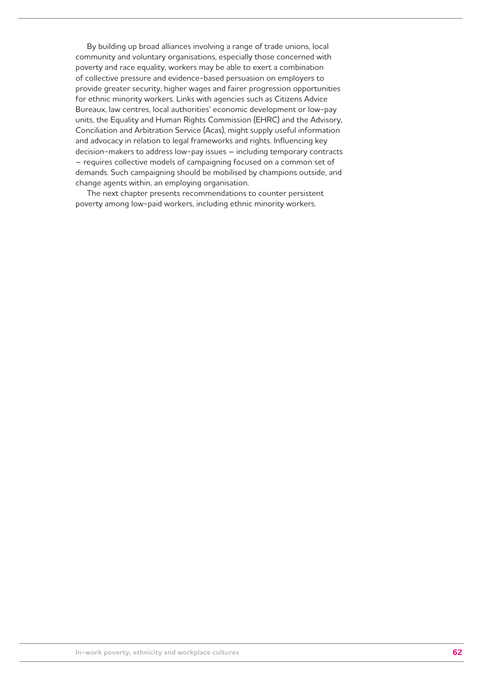By building up broad alliances involving a range of trade unions, local community and voluntary organisations, especially those concerned with poverty and race equality, workers may be able to exert a combination of collective pressure and evidence-based persuasion on employers to provide greater security, higher wages and fairer progression opportunities for ethnic minority workers. Links with agencies such as Citizens Advice Bureaux, law centres, local authorities' economic development or low-pay units, the Equality and Human Rights Commission (EHRC) and the Advisory, Conciliation and Arbitration Service (Acas), might supply useful information and advocacy in relation to legal frameworks and rights. Influencing key decision-makers to address low-pay issues – including temporary contracts – requires collective models of campaigning focused on a common set of demands. Such campaigning should be mobilised by champions outside, and change agents within, an employing organisation.

The next chapter presents recommendations to counter persistent poverty among low-paid workers, including ethnic minority workers.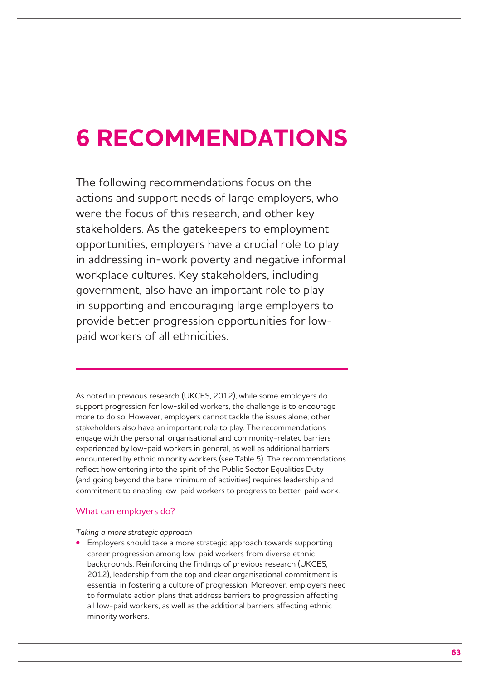# **6 RECOMMENDATIONS**

The following recommendations focus on the actions and support needs of large employers, who were the focus of this research, and other key stakeholders. As the gatekeepers to employment opportunities, employers have a crucial role to play in addressing in-work poverty and negative informal workplace cultures. Key stakeholders, including government, also have an important role to play in supporting and encouraging large employers to provide better progression opportunities for lowpaid workers of all ethnicities.

As noted in previous research (UKCES, 2012), while some employers do support progression for low-skilled workers, the challenge is to encourage more to do so. However, employers cannot tackle the issues alone; other stakeholders also have an important role to play. The recommendations engage with the personal, organisational and community-related barriers experienced by low-paid workers in general, as well as additional barriers encountered by ethnic minority workers (see Table 5). The recommendations reflect how entering into the spirit of the Public Sector Equalities Duty (and going beyond the bare minimum of activities) requires leadership and commitment to enabling low-paid workers to progress to better-paid work.

## What can employers do?

### *Taking a more strategic approach*

Employers should take a more strategic approach towards supporting career progression among low-paid workers from diverse ethnic backgrounds. Reinforcing the findings of previous research (UKCES, 2012), leadership from the top and clear organisational commitment is essential in fostering a culture of progression. Moreover, employers need to formulate action plans that address barriers to progression affecting all low-paid workers, as well as the additional barriers affecting ethnic minority workers.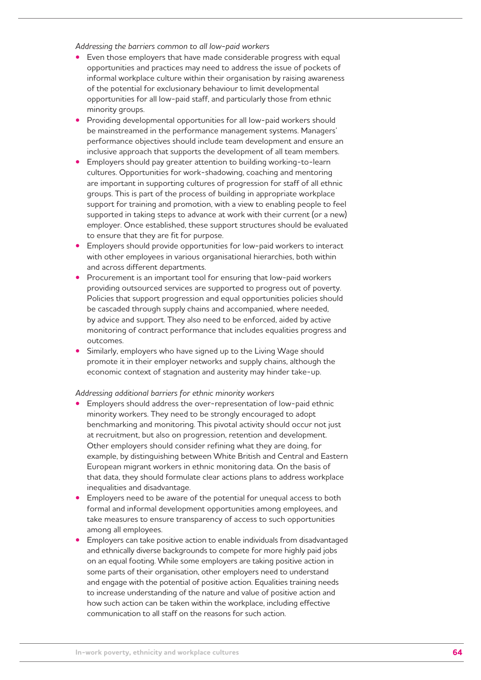*Addressing the barriers common to all low-paid workers* 

- Even those employers that have made considerable progress with equal opportunities and practices may need to address the issue of pockets of informal workplace culture within their organisation by raising awareness of the potential for exclusionary behaviour to limit developmental opportunities for all low-paid staff, and particularly those from ethnic minority groups.
- **•**  Providing developmental opportunities for all low-paid workers should be mainstreamed in the performance management systems. Managers' performance objectives should include team development and ensure an inclusive approach that supports the development of all team members.
- Employers should pay greater attention to building working-to-learn cultures. Opportunities for work-shadowing, coaching and mentoring are important in supporting cultures of progression for staff of all ethnic groups. This is part of the process of building in appropriate workplace support for training and promotion, with a view to enabling people to feel supported in taking steps to advance at work with their current (or a new) employer. Once established, these support structures should be evaluated to ensure that they are fit for purpose.
- **Employers should provide opportunities for low-paid workers to interact** with other employees in various organisational hierarchies, both within and across different departments.
- Procurement is an important tool for ensuring that low-paid workers providing outsourced services are supported to progress out of poverty. Policies that support progression and equal opportunities policies should be cascaded through supply chains and accompanied, where needed, by advice and support. They also need to be enforced, aided by active monitoring of contract performance that includes equalities progress and outcomes.
- Similarly, employers who have signed up to the Living Wage should promote it in their employer networks and supply chains, although the economic context of stagnation and austerity may hinder take-up.

### *Addressing additional barriers for ethnic minority workers*

- Employers should address the over-representation of low-paid ethnic minority workers. They need to be strongly encouraged to adopt benchmarking and monitoring. This pivotal activity should occur not just at recruitment, but also on progression, retention and development. Other employers should consider refining what they are doing, for example, by distinguishing between White British and Central and Eastern European migrant workers in ethnic monitoring data. On the basis of that data, they should formulate clear actions plans to address workplace inequalities and disadvantage.
- Employers need to be aware of the potential for unequal access to both formal and informal development opportunities among employees, and take measures to ensure transparency of access to such opportunities among all employees.
- Employers can take positive action to enable individuals from disadvantaged and ethnically diverse backgrounds to compete for more highly paid jobs on an equal footing. While some employers are taking positive action in some parts of their organisation, other employers need to understand and engage with the potential of positive action. Equalities training needs to increase understanding of the nature and value of positive action and how such action can be taken within the workplace, including effective communication to all staff on the reasons for such action.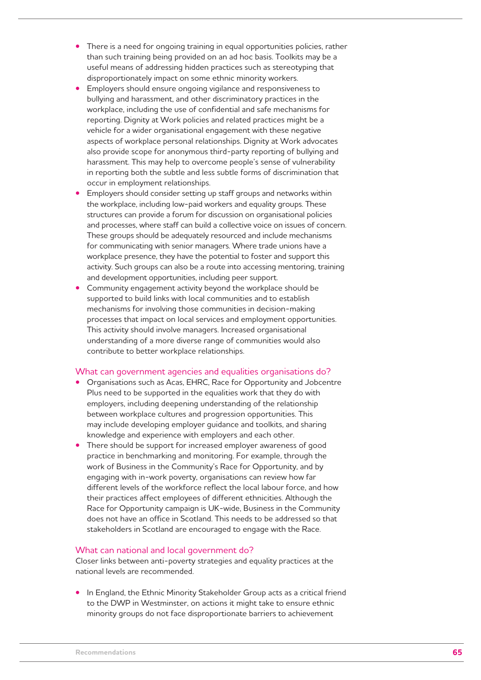- There is a need for ongoing training in equal opportunities policies, rather than such training being provided on an ad hoc basis. Toolkits may be a useful means of addressing hidden practices such as stereotyping that disproportionately impact on some ethnic minority workers.
- Employers should ensure ongoing vigilance and responsiveness to bullying and harassment, and other discriminatory practices in the workplace, including the use of confidential and safe mechanisms for reporting. Dignity at Work policies and related practices might be a vehicle for a wider organisational engagement with these negative aspects of workplace personal relationships. Dignity at Work advocates also provide scope for anonymous third-party reporting of bullying and harassment. This may help to overcome people's sense of vulnerability in reporting both the subtle and less subtle forms of discrimination that occur in employment relationships.
- Employers should consider setting up staff groups and networks within the workplace, including low-paid workers and equality groups. These structures can provide a forum for discussion on organisational policies and processes, where staff can build a collective voice on issues of concern. These groups should be adequately resourced and include mechanisms for communicating with senior managers. Where trade unions have a workplace presence, they have the potential to foster and support this activity. Such groups can also be a route into accessing mentoring, training and development opportunities, including peer support.
- Community engagement activity beyond the workplace should be supported to build links with local communities and to establish mechanisms for involving those communities in decision-making processes that impact on local services and employment opportunities. This activity should involve managers. Increased organisational understanding of a more diverse range of communities would also contribute to better workplace relationships.

### What can government agencies and equalities organisations do?

- **Preanisations such as Acas, EHRC, Race for Opportunity and Jobcentre** Plus need to be supported in the equalities work that they do with employers, including deepening understanding of the relationship between workplace cultures and progression opportunities. This may include developing employer guidance and toolkits, and sharing knowledge and experience with employers and each other.
- There should be support for increased employer awareness of good practice in benchmarking and monitoring. For example, through the work of Business in the Community's Race for Opportunity, and by engaging with in-work poverty, organisations can review how far different levels of the workforce reflect the local labour force, and how their practices affect employees of different ethnicities. Although the Race for Opportunity campaign is UK-wide, Business in the Community does not have an office in Scotland. This needs to be addressed so that stakeholders in Scotland are encouraged to engage with the Race.

### What can national and local government do?

Closer links between anti-poverty strategies and equality practices at the national levels are recommended.

**•** In England, the Ethnic Minority Stakeholder Group acts as a critical friend to the DWP in Westminster, on actions it might take to ensure ethnic minority groups do not face disproportionate barriers to achievement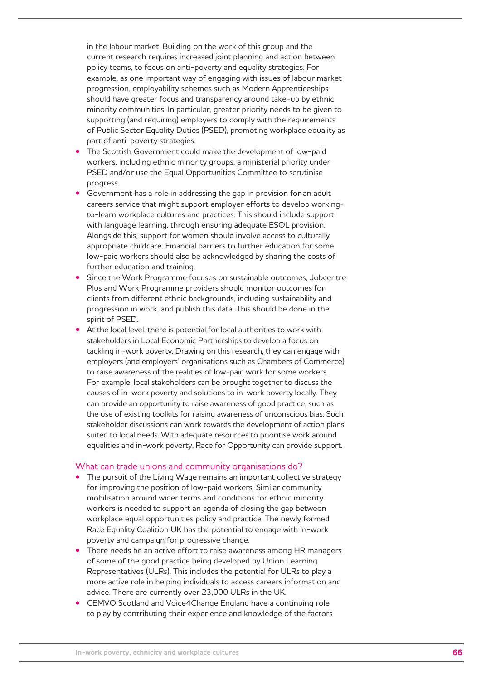in the labour market. Building on the work of this group and the current research requires increased joint planning and action between policy teams, to focus on anti-poverty and equality strategies. For example, as one important way of engaging with issues of labour market progression, employability schemes such as Modern Apprenticeships should have greater focus and transparency around take-up by ethnic minority communities. In particular, greater priority needs to be given to supporting (and requiring) employers to comply with the requirements of Public Sector Equality Duties (PSED), promoting workplace equality as part of anti-poverty strategies.

- The Scottish Government could make the development of low-paid workers, including ethnic minority groups, a ministerial priority under PSED and/or use the Equal Opportunities Committee to scrutinise progress.
- Government has a role in addressing the gap in provision for an adult careers service that might support employer efforts to develop workingto-learn workplace cultures and practices. This should include support with language learning, through ensuring adequate ESOL provision. Alongside this, support for women should involve access to culturally appropriate childcare. Financial barriers to further education for some low-paid workers should also be acknowledged by sharing the costs of further education and training.
- Since the Work Programme focuses on sustainable outcomes, Jobcentre Plus and Work Programme providers should monitor outcomes for clients from different ethnic backgrounds, including sustainability and progression in work, and publish this data. This should be done in the spirit of PSED.
- At the local level, there is potential for local authorities to work with stakeholders in Local Economic Partnerships to develop a focus on tackling in-work poverty. Drawing on this research, they can engage with employers (and employers' organisations such as Chambers of Commerce) to raise awareness of the realities of low-paid work for some workers. For example, local stakeholders can be brought together to discuss the causes of in-work poverty and solutions to in-work poverty locally. They can provide an opportunity to raise awareness of good practice, such as the use of existing toolkits for raising awareness of unconscious bias. Such stakeholder discussions can work towards the development of action plans suited to local needs. With adequate resources to prioritise work around equalities and in-work poverty, Race for Opportunity can provide support.

### What can trade unions and community organisations do?

- The pursuit of the Living Wage remains an important collective strategy for improving the position of low-paid workers. Similar community mobilisation around wider terms and conditions for ethnic minority workers is needed to support an agenda of closing the gap between workplace equal opportunities policy and practice. The newly formed Race Equality Coalition UK has the potential to engage with in-work poverty and campaign for progressive change.
- There needs be an active effort to raise awareness among HR managers of some of the good practice being developed by Union Learning Representatives (ULRs), This includes the potential for ULRs to play a more active role in helping individuals to access careers information and advice. There are currently over 23,000 ULRs in the UK.
- **CEMVO Scotland and Voice4Change England have a continuing role** to play by contributing their experience and knowledge of the factors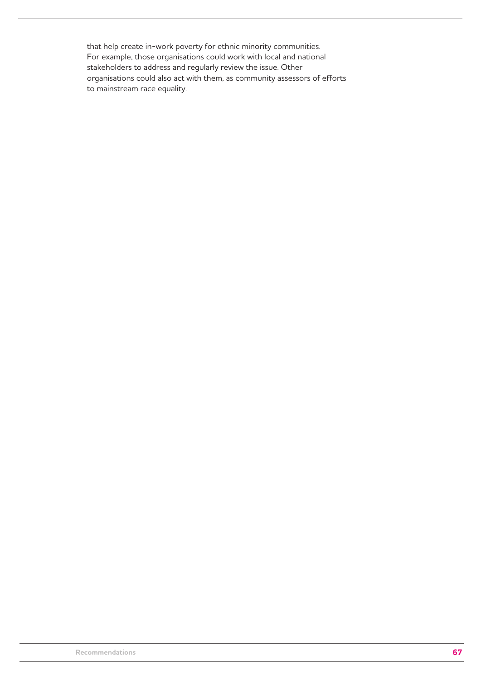that help create in-work poverty for ethnic minority communities. For example, those organisations could work with local and national stakeholders to address and regularly review the issue. Other organisations could also act with them, as community assessors of efforts to mainstream race equality.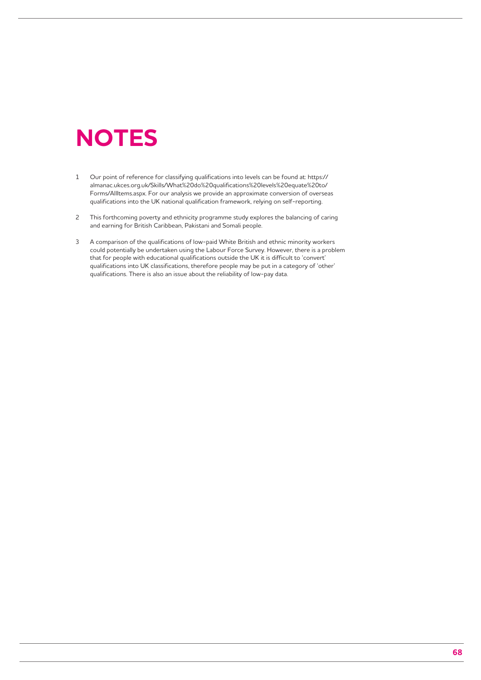# **NOTES**

- 1 Our point of reference for classifying qualifications into levels can be found at: https:// almanac.ukces.org.uk/Skills/What%20do%20qualifications%20levels%20equate%20to/ Forms/AllItems.aspx. For our analysis we provide an approximate conversion of overseas qualifications into the UK national qualification framework, relying on self-reporting.
- 2 This forthcoming poverty and ethnicity programme study explores the balancing of caring and earning for British Caribbean, Pakistani and Somali people.
- 3 A comparison of the qualifications of low-paid White British and ethnic minority workers could potentially be undertaken using the Labour Force Survey. However, there is a problem that for people with educational qualifications outside the UK it is difficult to 'convert' qualifications into UK classifications, therefore people may be put in a category of 'other' qualifications. There is also an issue about the reliability of low-pay data.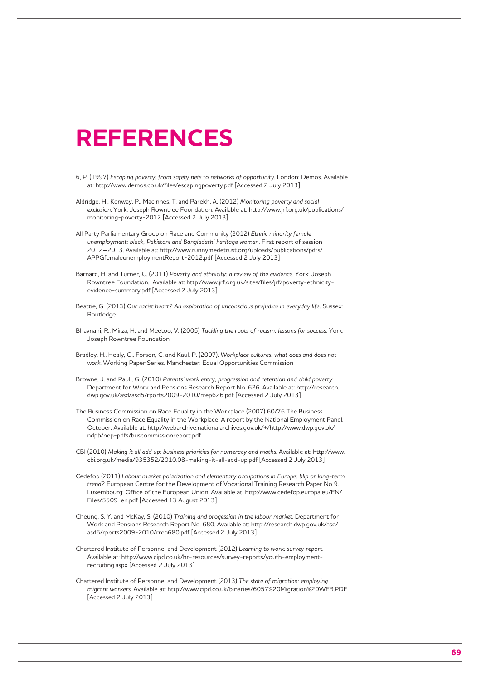# **REFERENCES**

- 6, P. (1997) *Escaping poverty: from safety nets to networks of opportunity*. London: Demos. Available at: http://www.demos.co.uk/files/escapingpoverty.pdf [Accessed 2 July 2013]
- Aldridge, H., Kenway, P., MacInnes, T. and Parekh, A. (2012) *Monitoring poverty and social exclusion*. York: Joseph Rowntree Foundation. Available at: http://www.jrf.org.uk/publications/ monitoring-poverty-2012 [Accessed 2 July 2013]
- All Party Parliamentary Group on Race and Community (2012) *Ethnic minority female unemployment: black, Pakistani and Bangladeshi heritage women*. First report of session 2012–2013. Available at: http://www.runnymedetrust.org/uploads/publications/pdfs/ APPGfemaleunemploymentReport-2012.pdf [Accessed 2 July 2013]
- Barnard, H. and Turner, C. (2011) *Poverty and ethnicity: a review of the evidence*. York: Joseph Rowntree Foundation. Available at: http://www.jrf.org.uk/sites/files/jrf/poverty-ethnicityevidence-summary.pdf [Accessed 2 July 2013]
- Beattie, G. (2013) *Our racist heart? An exploration of unconscious prejudice in everyday life.* Sussex: Routledge
- Bhavnani, R., Mirza, H. and Meetoo, V. (2005) *Tackling the roots of racism: lessons for success*. York: Joseph Rowntree Foundation
- Bradley, H., Healy, G., Forson, C. and Kaul, P. (2007). *Workplace cultures: what does and does not work*. Working Paper Series. Manchester: Equal Opportunities Commission
- Browne, J. and Paull, G. (2010) *Parents' work entry, progression and retention and child poverty.* Department for Work and Pensions Research Report No. 626. Available at: http://research. dwp.gov.uk/asd/asd5/rports2009-2010/rrep626.pdf [Accessed 2 July 2013]
- The Business Commission on Race Equality in the Workplace (2007) 60/76 The Business Commission on Race Equality in the Workplace. A report by the National Employment Panel. October. Available at: http://webarchive.nationalarchives.gov.uk/+/http://www.dwp.gov.uk/ ndpb/nep-pdfs/buscommissionreport.pdf
- CBI (2010) *Making it all add up: business priorities for numeracy and maths*. Available at: http://www. cbi.org.uk/media/935352/2010.08-making-it-all-add-up.pdf [Accessed 2 July 2013]
- Cedefop (2011) *Labour market polarization and elementary occupations in Europe: blip or long-term trend?* European Centre for the Development of Vocational Training Research Paper No 9. Luxembourg: Office of the European Union. Available at: http://www.cedefop.europa.eu/EN/ Files/5509\_en.pdf [Accessed 13 August 2013]
- Cheung, S. Y. and McKay, S. (2010) *Training and progession in the labour market*. Department for Work and Pensions Research Report No. 680. Available at: http://research.dwp.gov.uk/asd/ asd5/rports2009-2010/rrep680.pdf [Accessed 2 July 2013]
- Chartered Institute of Personnel and Development (2012) *Learning to work: survey report*. Available at: http://www.cipd.co.uk/hr-resources/survey-reports/youth-employmentrecruiting.aspx [Accessed 2 July 2013]
- Chartered Institute of Personnel and Development (2013) *The state of migration: employing migrant workers*. Available at: http://www.cipd.co.uk/binaries/6057%20Migration%20WEB.PDF [Accessed 2 July 2013]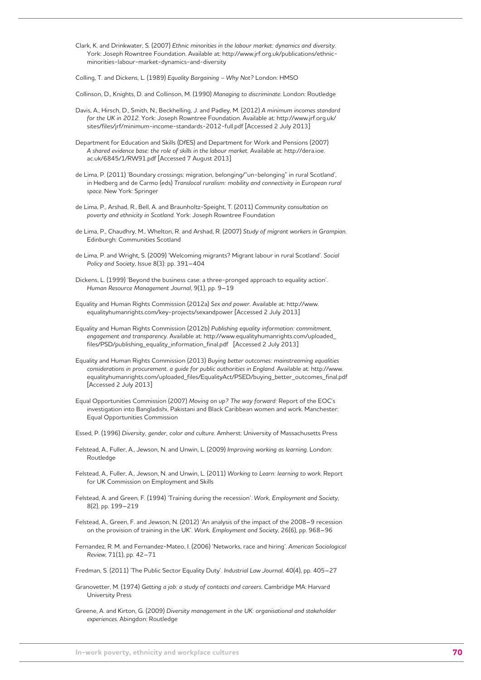Clark, K. and Drinkwater, S. (2007) *Ethnic minorities in the labour market: dynamics and diversity*. York: Joseph Rowntree Foundation. Available at: http://www.jrf.org.uk/publications/ethnicminorities-labour-market-dynamics-and-diversity

Colling, T. and Dickens, L. (1989) *Equality Bargaining – Why Not?* London: HMSO

Collinson, D., Knights, D. and Collinson, M. (1990) *Managing to discriminate*. London: Routledge

- Davis, A., Hirsch, D., Smith, N., Beckhelling, J. and Padley, M. (2012) *A minimum incomes standard for the UK in 2012*. York: Joseph Rowntree Foundation. Available at: http://www.jrf.org.uk/ sites/files/jrf/minimum-income-standards-2012-full.pdf [Accessed 2 July 2013]
- Department for Education and Skills (DfES) and Department for Work and Pensions (2007) *A shared evidence base: the role of skills in the labour market.* Available at: http://dera.ioe. ac.uk/6845/1/RW91.pdf [Accessed 7 August 2013]
- de Lima, P. (2011) 'Boundary crossings: migration, belonging/"un-belonging" in rural Scotland', in Hedberg and de Carmo (eds) *Translocal ruralism: mobility and connectivity in European rural space*. New York: Springer
- de Lima, P., Arshad, R., Bell, A. and Braunholtz-Speight, T. (2011) *Community consultation on poverty and ethnicity in Scotland*. York: Joseph Rowntree Foundation
- de Lima, P., Chaudhry, M., Whelton, R. and Arshad, R. (2007) *Study of migrant workers in Grampian*. Edinburgh: Communities Scotland
- de Lima, P. and Wright, S. (2009) 'Welcoming migrants? Migrant labour in rural Scotland'. *Social Policy and Society*, Issue 8(3): pp. 391–404
- Dickens, L. (1999) 'Beyond the business case: a three-pronged approach to equality action'. *Human Resource Management Journal*, 9(1), pp. 9–19
- Equality and Human Rights Commission (2012a) *Sex and power.* Available at: http://www. equalityhumanrights.com/key-projects/sexandpower [Accessed 2 July 2013]
- Equality and Human Rights Commission (2012b) *Publishing equality information: commitment, engagement and transparency*. Available at: http://www.equalityhumanrights.com/uploaded\_ files/PSD/publishing\_equality\_information\_final.pdf [Accessed 2 July 2013]
- Equality and Human Rights Commission (2013) *Buying better outcomes: mainstreaming equalities considerations in procurement. a guide for public authorities in England*. Available at: http://www. equalityhumanrights.com/uploaded\_files/EqualityAct/PSED/buying\_better\_outcomes\_final.pdf [Accessed 2 July 2013]
- Equal Opportunities Commission (2007) *Moving on up? The way forward:* Report of the EOC's investigation into Bangladishi, Pakistani and Black Caribbean women and work. Manchester: Equal Opportunities Commission
- Essed, P. (1996) *Diversity, gender, color and culture*. Amherst: University of Massachusetts Press
- Felstead, A., Fuller, A., Jewson, N. and Unwin, L. (2009) *Improving working as learning*. London: Routledge
- Felstead, A., Fuller, A., Jewson, N. and Unwin, L. (2011) *Working to Learn: learning to work*. Report for UK Commission on Employment and Skills
- Felstead, A. and Green, F. (1994) 'Training during the recession'. *Work, Employment and Society*, 8(2), pp. 199–219
- Felstead, A., Green, F. and Jewson, N. (2012) 'An analysis of the impact of the 2008–9 recession on the provision of training in the UK'. *Work, Employment and Society*, 26(6), pp. 968–96
- Fernandez, R. M. and Fernandez-Mateo, I. (2006) 'Networks, race and hiring'. *American Sociological Review*, 71(1), pp. 42–71

Fredman, S. (2011) 'The Public Sector Equality Duty'. *Industrial Law Journal*, 40(4), pp. 405–27

- Granovetter, M. (1974) *Getting a job: a study of contacts and careers*. Cambridge MA: Harvard University Press
- Greene, A. and Kirton, G. (2009) *Diversity management in the UK: organisational and stakeholder experiences*. Abingdon: Routledge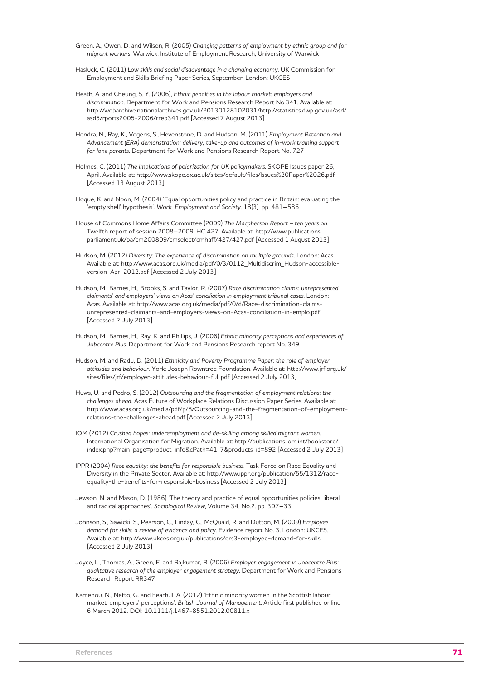Green. A., Owen, D. and Wilson, R. (2005) *Changing patterns of employment by ethnic group and for migrant workers*. Warwick: Institute of Employment Research, University of Warwick

- Hasluck, C. (2011) *Low skills and social disadvantage in a changing economy*. UK Commission for Employment and Skills Briefing Paper Series, September. London: UKCES
- Heath, A. and Cheung, S. Y. (2006), *Ethnic penalties in the labour market: employers and discrimination*. Department for Work and Pensions Research Report No.341. Available at: http://webarchive.nationalarchives.gov.uk/20130128102031/http://statistics.dwp.gov.uk/asd/ asd5/rports2005-2006/rrep341.pdf [Accessed 7 August 2013]
- Hendra, N., Ray, K., Vegeris, S., Hevenstone, D. and Hudson, M. (2011) *Employment Retention and Advancement (ERA) demonstration: delivery, take-up and outcomes of in-work training support for lone parents*. Department for Work and Pensions Research Report No. 727
- Holmes, C. (2011) *The implications of polarization for UK policymakers*. SKOPE Issues paper 26, April. Available at: http://www.skope.ox.ac.uk/sites/default/files/Issues%20Paper%2026.pdf [Accessed 13 August 2013]
- Hoque, K. and Noon, M. (2004) 'Equal opportunities policy and practice in Britain: evaluating the 'empty shell' hypothesis'. *Work, Employment and Society*, 18(3), pp. 481–586
- House of Commons Home Affairs Committee (2009) *The Macpherson Report ten years on*. Twelfth report of session 2008–2009. HC 427. Available at: http://www.publications. parliament.uk/pa/cm200809/cmselect/cmhaff/427/427.pdf [Accessed 1 August 2013]
- Hudson, M. (2012) *Diversity: The experience of discrimination on multiple grounds*. London: Acas. Available at: http://www.acas.org.uk/media/pdf/0/3/0112\_Multidiscrim\_Hudson-accessibleversion-Apr-2012.pdf [Accessed 2 July 2013]
- Hudson, M., Barnes, H., Brooks, S. and Taylor, R. (2007) *Race discrimination claims: unrepresented claimants' and employers' views on Acas' conciliation in employment tribunal cases*. London: Acas. Available at: http://www.acas.org.uk/media/pdf/0/d/Race-discrimination-claimsunrepresented-claimants-and-employers-views-on-Acas-conciliation-in-emplo.pdf [Accessed 2 July 2013]
- Hudson, M., Barnes, H., Ray, K. and Phillips, J. (2006) *Ethnic minority perceptions and experiences of Jobcentre Plus*. Department for Work and Pensions Research report No. 349
- Hudson, M. and Radu, D. (2011) *Ethnicity and Poverty Programme Paper: the role of employer attitudes and behaviour*. York: Joseph Rowntree Foundation. Available at: http://www.jrf.org.uk/ sites/files/jrf/employer-attitudes-behaviour-full.pdf [Accessed 2 July 2013]
- Huws, U. and Podro, S. (2012) *Outsourcing and the fragmentation of employment relations: the challenges ahead.* Acas Future of Workplace Relations Discussion Paper Series. Available at: http://www.acas.org.uk/media/pdf/p/8/Outsourcing-and-the-fragmentation-of-employmentrelations-the-challenges-ahead.pdf [Accessed 2 July 2013]
- IOM (2012) *Crushed hopes: underemployment and de-skilling among skilled migrant women.*  International Organisation for Migration. Available at: http://publications.iom.int/bookstore/ index.php?main\_page=product\_info&cPath=41\_7&products\_id=892 [Accessed 2 July 2013]
- IPPR (2004) *Race equality: the benefits for responsible business*. Task Force on Race Equality and Diversity in the Private Sector. Available at: http://www.ippr.org/publication/55/1312/raceequality-the-benefits-for-responsible-business [Accessed 2 July 2013]
- Jewson, N. and Mason, D. (1986) 'The theory and practice of equal opportunities policies: liberal and radical approaches'. *Sociological Review*, Volume 34, No.2. pp. 307–33
- Johnson, S., Sawicki, S., Pearson, C., Linday, C., McQuaid, R. and Dutton, M. (2009) *Employee demand for skills: a review of evidence and policy*. Evidence report No. 3. London: UKCES. Available at: http://www.ukces.org.uk/publications/ers3-employee-demand-for-skills [Accessed 2 July 2013]
- Joyce, L., Thomas, A., Green, E. and Rajkumar, R. (2006) *Employer engagement in Jobcentre Plus: qualitative research of the employer engagement strategy*. Department for Work and Pensions Research Report RR347
- Kamenou, N., Netto, G. and Fearfull, A. (2012) 'Ethnic minority women in the Scottish labour market: employers' perceptions'. *British Journal of Management*. Article first published online 6 March 2012. DOI: 10.1111/j.1467-8551.2012.00811.x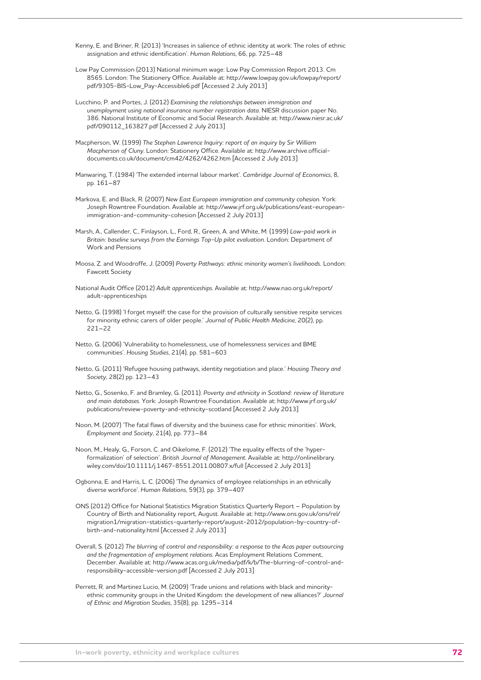Kenny, E. and Briner, R. (2013) 'Increases in salience of ethnic identity at work: The roles of ethnic assignation and ethnic identification'. *Human Relations*, 66, pp. 725–48

Low Pay Commission (2013) National minimum wage: Low Pay Commission Report 2013. Cm 8565. London: The Stationery Office. Available at: http://www.lowpay.gov.uk/lowpay/report/ pdf/9305-BIS-Low\_Pay-Accessible6.pdf [Accessed 2 July 2013]

Lucchino, P. and Portes, J. (2012) *Examining the relationships between immigration and unemployment using national insurance number registration data*. NIESR discussion paper No. 386. National Institute of Economic and Social Research. Available at: http://www.niesr.ac.uk/ pdf/090112\_163827.pdf [Accessed 2 July 2013]

Macpherson, W. (1999) *The Stephen Lawrence Inquiry: report of an inquiry by Sir William Macpherson of Cluny*. London: Stationery Office. Available at: http://www.archive.officialdocuments.co.uk/document/cm42/4262/4262.htm [Accessed 2 July 2013]

Manwaring, T. (1984) 'The extended internal labour market'. *Cambridge Journal of Economics*, 8, pp. 161–87

Markova, E. and Black, R. (2007) *New East European immigration and community cohesion*. York: Joseph Rowntree Foundation. Available at: http://www.jrf.org.uk/publications/east-europeanimmigration-and-community-cohesion [Accessed 2 July 2013]

Marsh, A., Callender, C., Finlayson, L., Ford, R., Green, A. and White, M. (1999) *Low-paid work in Britain: baseline surveys from the Earnings Top-Up pilot evaluation*. London: Department of Work and Pensions

Moosa, Z. and Woodroffe, J. (2009) *Poverty Pathways: ethnic minority women's livelihoods.* London: Fawcett Society

National Audit Office (2012) *Adult apprenticeships*. Available at: http://www.nao.org.uk/report/ adult-apprenticeships

Netto, G. (1998) 'I forget myself: the case for the provision of culturally sensitive respite services for minority ethnic carers of older people.' *Journal of Public Health Medicine*, 20(2), pp. 221–22

Netto, G. (2006) 'Vulnerability to homelessness, use of homelessness services and BME communities'. *Housing Studies*, 21(4), pp. 581–603

Netto, G. (2011) 'Refugee housing pathways, identity negotiation and place.' *Housing Theory and Society*, 28(2) pp. 123–43

Netto, G., Sosenko, F. and Bramley, G. (2011). *Poverty and ethnicity in Scotland: review of literature and main databases*. York: Joseph Rowntree Foundation. Available at: http://www.jrf.org.uk/ publications/review-poverty-and-ethnicity-scotland [Accessed 2 July 2013]

Noon, M. (2007) 'The fatal flaws of diversity and the business case for ethnic minorities'. *Work, Employment and Society*, 21(4), pp. 773–84

Noon, M., Healy, G., Forson, C. and Oikelome, F. (2012) 'The equality effects of the 'hyperformalization' of selection'. *British Journal of Management*. Available at: http://onlinelibrary. wiley.com/doi/10.1111/j.1467-8551.2011.00807.x/full [Accessed 2 July 2013]

Ogbonna, E. and Harris, L. C. (2006) 'The dynamics of employee relationships in an ethnically diverse workforce'. *Human Relations*, 59(3), pp. 379–407

ONS (2012) Office for National Statistics Migration Statistics Quarterly Report – Population by Country of Birth and Nationality report, August. Available at: http://www.ons.gov.uk/ons/rel/ migration1/migration-statistics-quarterly-report/august-2012/population-by-country-ofbirth-and-nationality.html [Accessed 2 July 2013]

Overall, S. (2012) *The blurring of control and responsibility: a response to the Acas paper outsourcing and the fragmentation of employment relations*. Acas Employment Relations Comment, December. Available at: http://www.acas.org.uk/media/pdf/k/b/The-blurring-of-control-andresponsibility-accessible-version.pdf [Accessed 2 July 2013]

Perrett, R. and Martinez Lucio, M. (2009) 'Trade unions and relations with black and minorityethnic community groups in the United Kingdom: the development of new alliances?' *Journal of Ethnic and Migration Studies*, 35(8), pp. 1295–314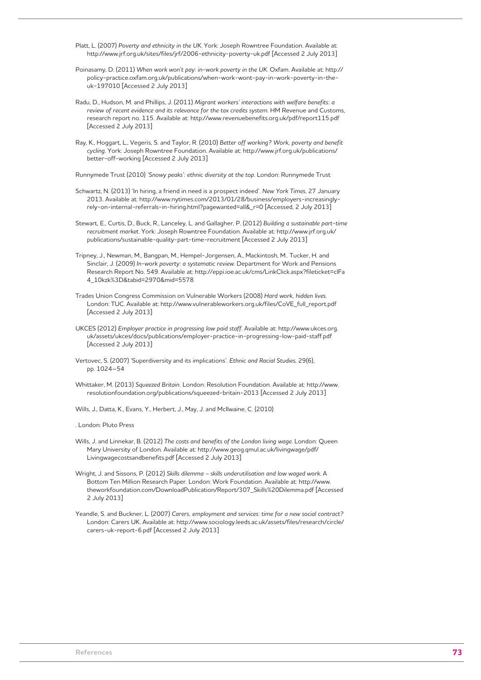Platt, L. (2007) *Poverty and ethnicity in the UK*. York: Joseph Rowntree Foundation. Available at: http://www.jrf.org.uk/sites/files/jrf/2006-ethnicity-poverty-uk.pdf [Accessed 2 July 2013]

- Poinasamy, D. (2011) *When work won't pay: in-work poverty in the UK*. Oxfam. Available at: http:// policy-practice.oxfam.org.uk/publications/when-work-wont-pay-in-work-poverty-in-theuk-197010 [Accessed 2 July 2013]
- Radu, D., Hudson, M. and Phillips, J. (2011) *Migrant workers' interactions with welfare benefits: a review of recent evidence and its relevance for the tax credits system*. HM Revenue and Customs, research report no. 115. Available at: http://www.revenuebenefits.org.uk/pdf/report115.pdf [Accessed 2 July 2013]
- Ray, K., Hoggart, L., Vegeris, S. and Taylor, R. (2010) *Better off working? Work, poverty and benefit cycling*. York: Joseph Rowntree Foundation. Available at: http://www.jrf.org.uk/publications/ better-off-working [Accessed 2 July 2013]

Runnymede Trust (2010) *'Snowy peaks': ethnic diversity at the top*. London: Runnymede Trust

- Schwartz, N. (2013) 'In hiring, a friend in need is a prospect indeed'. *New York Times*, 27 January 2013. Available at: http://www.nytimes.com/2013/01/28/business/employers-increasinglyrely-on-internal-referrals-in-hiring.html?pagewanted=all&\_r=0 [Accessed, 2 July 2013]
- Stewart, E., Curtis, D., Buck, R., Lanceley, L. and Gallagher, P. (2012) *Building a sustainable part-time recruitment market*. York: Joseph Rowntree Foundation. Available at: http://www.jrf.org.uk/ publications/sustainable-quality-part-time-recruitment [Accessed 2 July 2013]
- Tripney, J., Newman, M., Bangpan, M., Hempel-Jorgensen, A., Mackintosh, M.. Tucker, H. and Sinclair, J. (2009) *In-work poverty: a systematic review*. Department for Work and Pensions Research Report No. 549. Available at: http://eppi.ioe.ac.uk/cms/LinkClick.aspx?fileticket=clFa 4\_10kzk%3D&tabid=2970&mid=5578
- Trades Union Congress Commission on Vulnerable Workers (2008) *Hard work, hidden lives.*  London: TUC. Available at: http://www.vulnerableworkers.org.uk/files/CoVE\_full\_report.pdf [Accessed 2 July 2013]
- UKCES (2012) *Employer practice in progressing low paid staff*. Available at: http://www.ukces.org. uk/assets/ukces/docs/publications/employer-practice-in-progressing-low-paid-staff.pdf [Accessed 2 July 2013]
- Vertovec, S. (2007) 'Superdiversity and its implications'. *Ethnic and Racial Studies*, 29(6), pp. 1024–54
- Whittaker, M. (2013) *Squeezed Britain.* London: Resolution Foundation. Available at: http://www. resolutionfoundation.org/publications/squeezed-britain-2013 [Accessed 2 July 2013]
- Wills, J., Datta, K., Evans, Y., Herbert, J., May, J. and McIlwaine, C. (2010)

. London: Pluto Press

- Wills, J. and Linnekar, B. (2012) *The costs and benefits of the London living wage*. London: Queen Mary University of London. Available at: http://www.geog.qmul.ac.uk/livingwage/pdf/ Livingwagecostsandbenefits.pdf [Accessed 2 July 2013]
- Wright, J. and Sissons, P. (2012) *Skills dilemma skills underutilisation and low waged work*. A Bottom Ten Million Research Paper. London: Work Foundation. Available at: http://www. theworkfoundation.com/DownloadPublication/Report/307\_Skills%20Dilemma.pdf [Accessed 2 July 2013]
- Yeandle, S. and Buckner, L. (2007) *Carers, employment and services: time for a new social contract?* London: Carers UK. Available at: http://www.sociology.leeds.ac.uk/assets/files/research/circle/ carers-uk-report-6.pdf [Accessed 2 July 2013]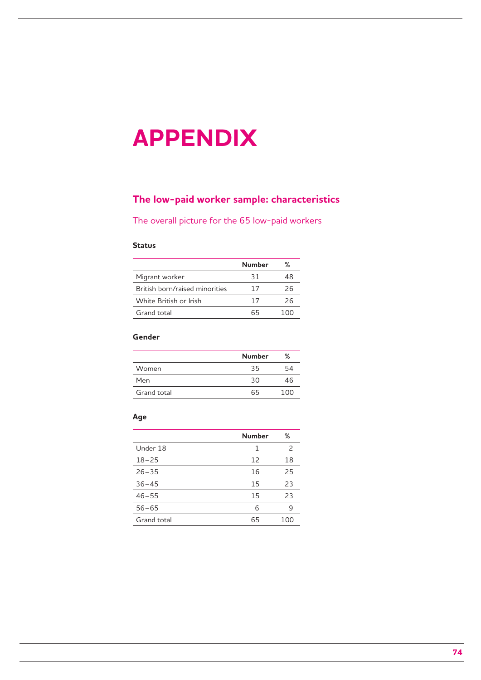# **APPENDIX**

# **The low-paid worker sample: characteristics**

The overall picture for the 65 low-paid workers

## **Status**

|                                | <b>Number</b> | ℅   |
|--------------------------------|---------------|-----|
| Migrant worker                 | 31            | 48  |
| British born/raised minorities | 17            | 26  |
| White British or Irish         | 17            | 26  |
| Grand total                    | 65            | 100 |

# **Gender**

|             | <b>Number</b> | %     |
|-------------|---------------|-------|
| Women       | 35            | 54    |
| Men         | 30            | 46    |
| Grand total | 65            | 1 N N |

#### **Age**

|             | <b>Number</b> | %             |
|-------------|---------------|---------------|
| Under 18    | 1             | $\mathcal{P}$ |
| $18 - 25$   | 12            | 18            |
| $26 - 35$   | 16            | 25            |
| $36 - 45$   | 15            | 23            |
| $46 - 55$   | 15            | 23            |
| $56 - 65$   | 6             | 9             |
| Grand total | 65            | 100           |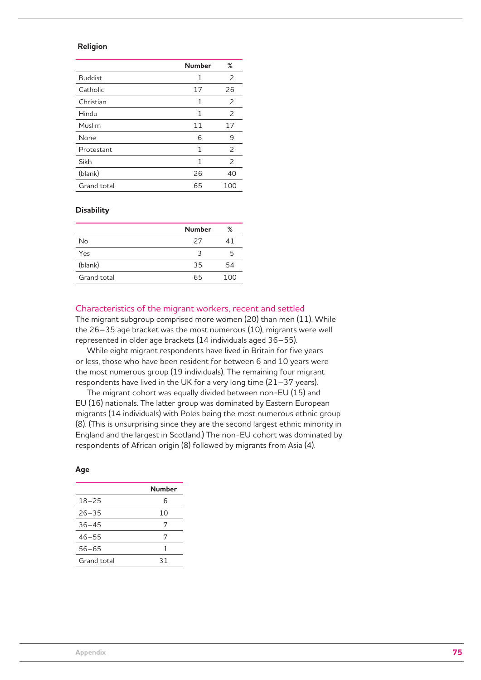### **Religion**

|                | <b>Number</b> | %             |
|----------------|---------------|---------------|
| <b>Buddist</b> | 1             | 2             |
| Catholic       | 17            | 26            |
| Christian      | 1             | 2             |
| Hindu          | 1             | 2             |
| Muslim         | 11            | 17            |
| None           | 6             | 9             |
| Protestant     | 1             | $\mathcal{P}$ |
| Sikh           | 1             | 2             |
| (blank)        | 26            | 40            |
| Grand total    | 65            | 100           |

#### **Disability**

|             | <b>Number</b> | %   |
|-------------|---------------|-----|
| No          | 27            | 41  |
| Yes         | ੨             | 5   |
| (blank)     | 35            | 54  |
| Grand total | 65            | 100 |

#### Characteristics of the migrant workers, recent and settled

The migrant subgroup comprised more women (20) than men (11). While the 26–35 age bracket was the most numerous (10), migrants were well represented in older age brackets (14 individuals aged 36–55).

While eight migrant respondents have lived in Britain for five years or less, those who have been resident for between 6 and 10 years were the most numerous group (19 individuals). The remaining four migrant respondents have lived in the UK for a very long time (21–37 years).

The migrant cohort was equally divided between non-EU (15) and EU (16) nationals. The latter group was dominated by Eastern European migrants (14 individuals) with Poles being the most numerous ethnic group (8). (This is unsurprising since they are the second largest ethnic minority in England and the largest in Scotland.) The non-EU cohort was dominated by respondents of African origin (8) followed by migrants from Asia (4).

#### **Age**

|             | Number |
|-------------|--------|
| $18 - 25$   | 6      |
| $26 - 35$   | 10     |
| $36 - 45$   | 7      |
| $46 - 55$   | 7      |
| $56 - 65$   | 1      |
| Grand total | 31     |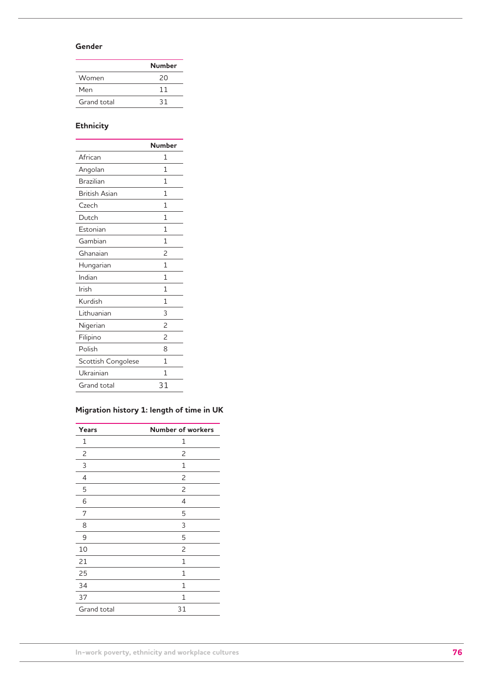## **Gender**

|             | Number |
|-------------|--------|
| Women       | 20     |
| Men         | 11     |
| Grand total | 31     |
|             |        |

# **Ethnicity**

| <b>Number</b>            |
|--------------------------|
| 1                        |
| 1                        |
| 1                        |
| 1                        |
| 1                        |
| 1                        |
| 1                        |
| 1                        |
| $\overline{c}$           |
| 1                        |
| 1                        |
| 1                        |
| 1                        |
| 3                        |
| $\overline{c}$           |
| $\overline{\phantom{0}}$ |
| 8                        |
| 1                        |
| 1                        |
| 31                       |
|                          |

# **Migration history 1: length of time in UK**

| Years          | <b>Number of workers</b> |
|----------------|--------------------------|
| 1              | 1                        |
| 2              | 2                        |
| 3              | 1                        |
| $\overline{4}$ | $\overline{c}$           |
| 5              | 2                        |
| 6              | 4                        |
| 7              | 5                        |
| 8              | 3                        |
| 9              | 5                        |
| 10             | 2                        |
| 21             | 1                        |
| 25             | 1                        |
| 34             | 1                        |
| 37             | 1                        |
| Grand total    | 31                       |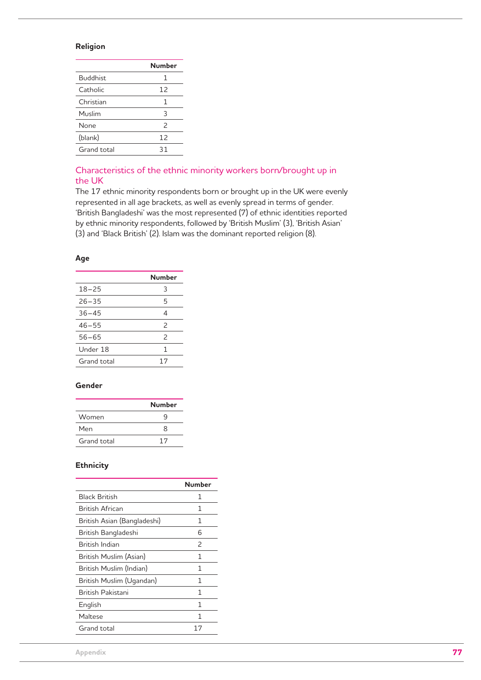## **Religion**

|                 | <b>Number</b> |
|-----------------|---------------|
| <b>Buddhist</b> | 1             |
| Catholic        | 12            |
| Christian       | 1             |
| Muslim          | 3             |
| None            | $\mathcal{P}$ |
| (blank)         | 12            |
| Grand total     | 31            |

## Characteristics of the ethnic minority workers born/brought up in the UK

The 17 ethnic minority respondents born or brought up in the UK were evenly represented in all age brackets, as well as evenly spread in terms of gender. 'British Bangladeshi' was the most represented (7) of ethnic identities reported by ethnic minority respondents, followed by 'British Muslim' (3), 'British Asian' (3) and 'Black British' (2). Islam was the dominant reported religion (8).

#### **Age**

|             | Number                   |
|-------------|--------------------------|
| $18 - 25$   | 3                        |
| $26 - 35$   | 5                        |
| $36 - 45$   | $\overline{\mathcal{A}}$ |
| $46 - 55$   | $\mathcal{P}$            |
| $56 - 65$   | $\mathcal{P}$            |
| Under 18    | 1                        |
| Grand total | 17                       |

### **Gender**

|             | <b>Number</b> |
|-------------|---------------|
| Women       | a             |
| Men         | 8             |
| Grand total | 17            |

## **Ethnicity**

|                             | Number        |
|-----------------------------|---------------|
| <b>Black British</b>        | 1             |
| British African             | 1             |
| British Asian (Bangladeshi) | 1             |
| British Bangladeshi         | 6             |
| British Indian              | $\mathcal{P}$ |
| British Muslim (Asian)      | 1             |
| British Muslim (Indian)     | 1             |
| British Muslim (Ugandan)    | 1             |
| <b>Rritish Pakistani</b>    | 1             |
| English                     | 1             |
| Maltese                     | 1             |
| Grand total                 | 17            |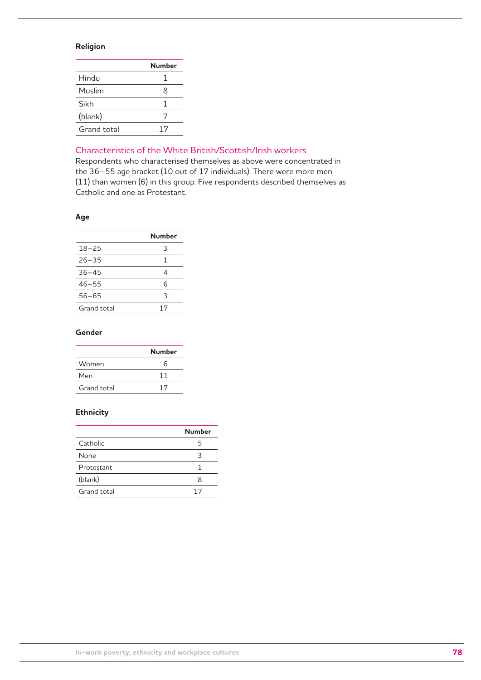## **Religion**

|             | Number |
|-------------|--------|
| Hindu       | 1      |
| Muslim      | 8      |
| Sikh        | 1      |
| (blank)     | 7      |
| Grand total | 17     |

# Characteristics of the White British/Scottish/Irish workers

Respondents who characterised themselves as above were concentrated in the 36–55 age bracket (10 out of 17 individuals). There were more men (11) than women (6) in this group. Five respondents described themselves as Catholic and one as Protestant.

## **Age**

|             | Number      |
|-------------|-------------|
| $18 - 25$   | 3           |
| $26 - 35$   | $\mathbf 1$ |
| $36 - 45$   | 4           |
| $46 - 55$   | 6           |
| $56 - 65$   | 3           |
| Grand total | 17          |

## **Gender**

|             | <b>Number</b> |
|-------------|---------------|
| Women       | ิค            |
| Men         | 11            |
| Grand total | 17            |

## **Ethnicity**

|             | <b>Number</b> |
|-------------|---------------|
| Catholic    | 5             |
| None        | ٦             |
| Protestant  |               |
| (blank)     | x             |
| Grand total | 17            |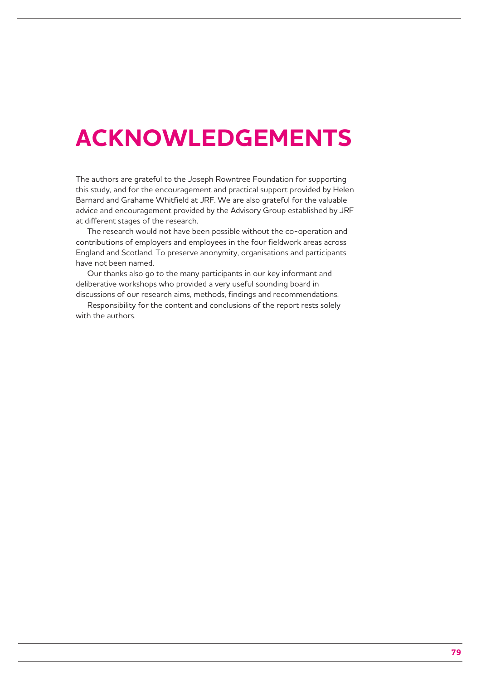# **ACKNOWLEDGEMENTS**

The authors are grateful to the Joseph Rowntree Foundation for supporting this study, and for the encouragement and practical support provided by Helen Barnard and Grahame Whitfield at JRF. We are also grateful for the valuable advice and encouragement provided by the Advisory Group established by JRF at different stages of the research.

The research would not have been possible without the co-operation and contributions of employers and employees in the four fieldwork areas across England and Scotland. To preserve anonymity, organisations and participants have not been named.

Our thanks also go to the many participants in our key informant and deliberative workshops who provided a very useful sounding board in discussions of our research aims, methods, findings and recommendations.

Responsibility for the content and conclusions of the report rests solely with the authors.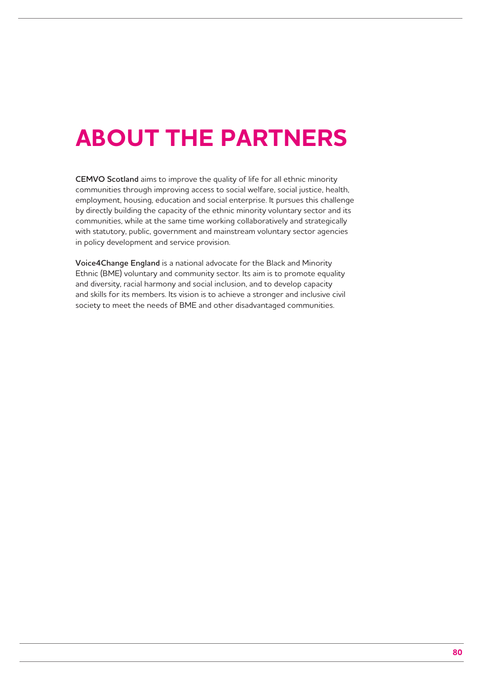# **ABOUT THE PARTNERS**

**CEMVO Scotland** aims to improve the quality of life for all ethnic minority communities through improving access to social welfare, social justice, health, employment, housing, education and social enterprise. It pursues this challenge by directly building the capacity of the ethnic minority voluntary sector and its communities, while at the same time working collaboratively and strategically with statutory, public, government and mainstream voluntary sector agencies in policy development and service provision.

**Voice4Change England** is a national advocate for the Black and Minority Ethnic (BME) voluntary and community sector. Its aim is to promote equality and diversity, racial harmony and social inclusion, and to develop capacity and skills for its members. Its vision is to achieve a stronger and inclusive civil society to meet the needs of BME and other disadvantaged communities.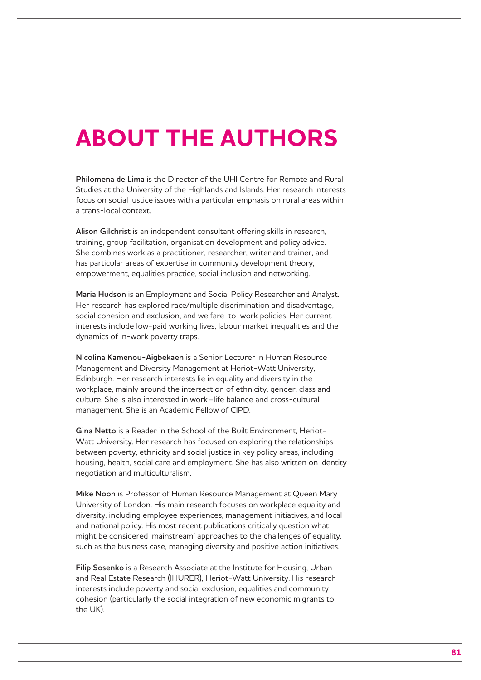# **ABOUT THE AUTHORS**

**Philomena de Lima** is the Director of the UHI Centre for Remote and Rural Studies at the University of the Highlands and Islands. Her research interests focus on social justice issues with a particular emphasis on rural areas within a trans-local context.

**Alison Gilchrist** is an independent consultant offering skills in research, training, group facilitation, organisation development and policy advice. She combines work as a practitioner, researcher, writer and trainer, and has particular areas of expertise in community development theory, empowerment, equalities practice, social inclusion and networking.

**Maria Hudson** is an Employment and Social Policy Researcher and Analyst. Her research has explored race/multiple discrimination and disadvantage, social cohesion and exclusion, and welfare-to-work policies. Her current interests include low-paid working lives, labour market inequalities and the dynamics of in-work poverty traps.

**Nicolina Kamenou-Aigbekaen** is a Senior Lecturer in Human Resource Management and Diversity Management at Heriot-Watt University, Edinburgh. Her research interests lie in equality and diversity in the workplace, mainly around the intersection of ethnicity, gender, class and culture. She is also interested in work–life balance and cross-cultural management. She is an Academic Fellow of CIPD.

**Gina Netto** is a Reader in the School of the Built Environment, Heriot-Watt University. Her research has focused on exploring the relationships between poverty, ethnicity and social justice in key policy areas, including housing, health, social care and employment. She has also written on identity negotiation and multiculturalism.

**Mike Noon** is Professor of Human Resource Management at Queen Mary University of London. His main research focuses on workplace equality and diversity, including employee experiences, management initiatives, and local and national policy. His most recent publications critically question what might be considered 'mainstream' approaches to the challenges of equality, such as the business case, managing diversity and positive action initiatives.

**Filip Sosenko** is a Research Associate at the Institute for Housing, Urban and Real Estate Research (IHURER), Heriot-Watt University. His research interests include poverty and social exclusion, equalities and community cohesion (particularly the social integration of new economic migrants to the UK).